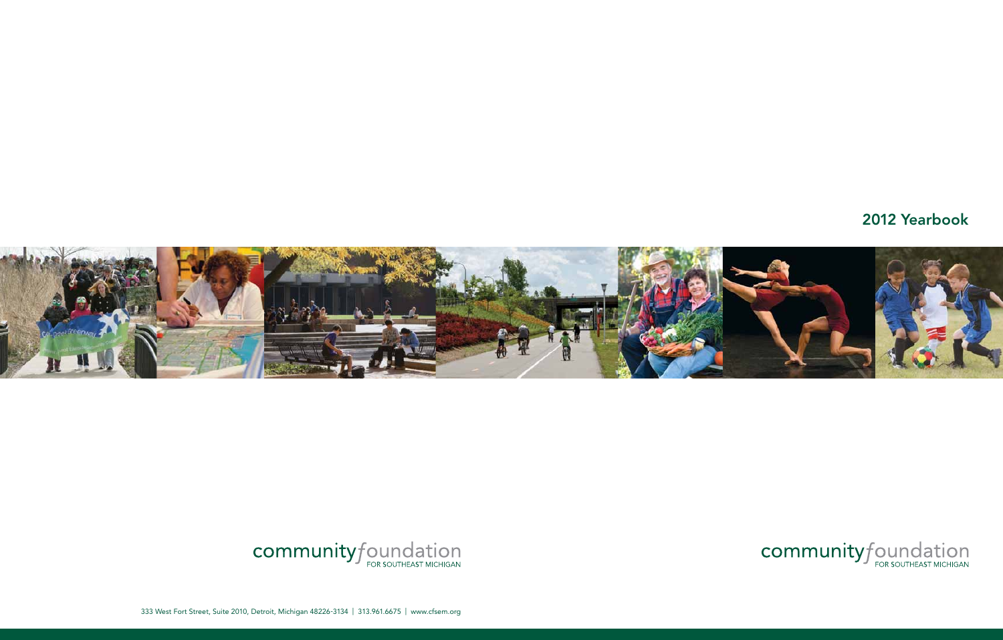# 2012 Yearbook



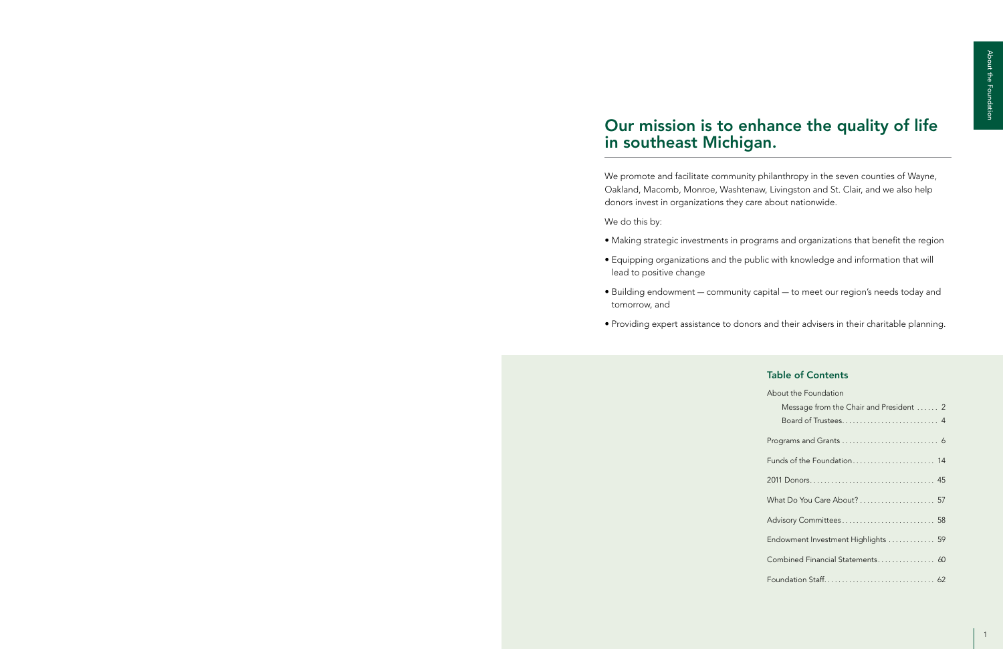We promote and facilitate community philanthropy in the seven counties of Wayne, Oakland, Macomb, Monroe, Washtenaw, Livingston and St. Clair, and we also help donors invest in organizations they care about nationwide.

We do this by:

• Making strategic investments in programs and organizations that benefit the region

• Equipping organizations and the public with knowledge and information that will

- 
- lead to positive change
- tomorrow, and
- 

• Building endowment — community capital — to meet our region's needs today and

• Providing expert assistance to donors and their advisers in their charitable planning.

# Our mission is to enhance the quality of life in southeast Michigan.

### Table of Contents

| About the Foundation                    |
|-----------------------------------------|
| Message from the Chair and President  2 |
|                                         |
|                                         |
|                                         |
|                                         |
| What Do You Care About?  57             |
|                                         |
| Endowment Investment Highlights  59     |
| Combined Financial Statements 60        |
|                                         |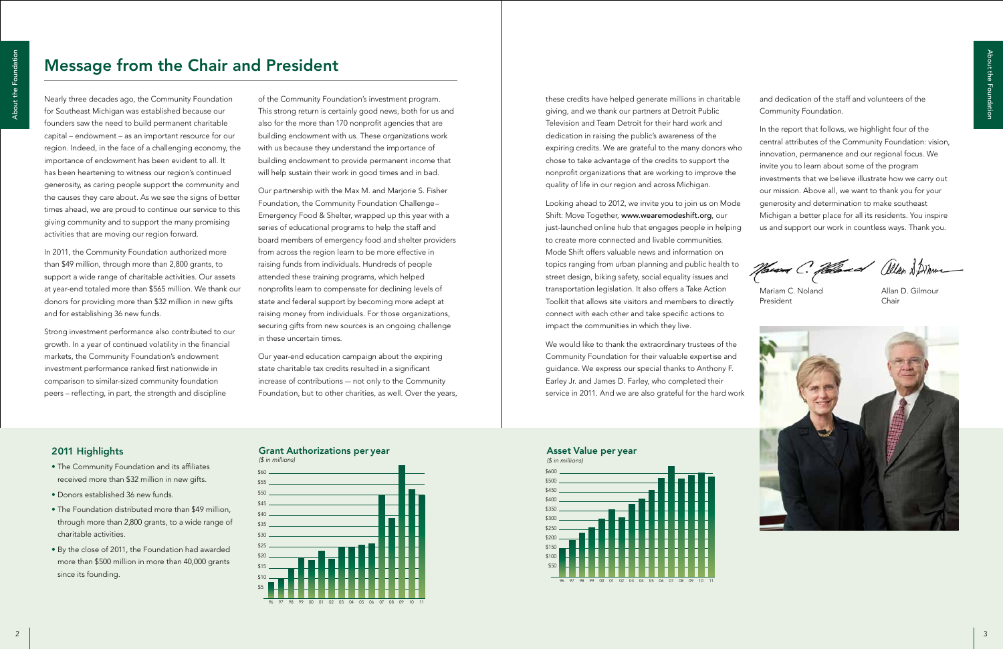



### Grant Authorizations per year

Nearly three decades ago, the Community Foundation for Southeast Michigan was established because our founders saw the need to build permanent charitable capital – endowment – as an important resource for our region. Indeed, in the face of a challenging economy, the importance of endowment has been evident to all. It has been heartening to witness our region's continued generosity, as caring people support the community and the causes they care about. As we see the signs of better times ahead, we are proud to continue our service to this giving community and to support the many promising activities that are moving our region forward.

In 2011, the Community Foundation authorized more than \$49 million, through more than 2,800 grants, to support a wide range of charitable activities. Our assets at year-end totaled more than \$565 million. We thank our donors for providing more than \$32 million in new gifts and for establishing 36 new funds.

Strong investment performance also contributed to our growth. In a year of continued volatility in the financial markets, the Community Foundation's endowment investment performance ranked first nationwide in comparison to similar-sized community foundation peers – reflecting, in part, the strength and discipline

of the Community Foundation's investment program. This strong return is certainly good news, both for us and also for the more than 170 nonprofit agencies that are building endowment with us. These organizations work with us because they understand the importance of building endowment to provide permanent income that will help sustain their work in good times and in bad.

> just-launched online hub that engages people in helping to create more connected and livable communities. Mode Shift offers valuable news and information on topics ranging from urban planning and public health to *(\$ in millions)* street design, biking safety, social equality issues and transportation legislation. It also offers a Take Action Toolkit that allows site visitors and members to directly connect with each other and take specific actions to impact the communities in which they live. Eniss ranging from urban planning an

We would like to thank the extraordinary trustees of the Community Foundation for their valuable expertise and guidance. We express our special thanks to Anthony F. \$20 -<br>Earley Jr. and James D. Farley, who completed their service in 2011. And we are also grateful for the hard work  $-$ 

Our partnership with the Max M. and Marjorie S. Fisher Foundation, the Community Foundation Challenge– Emergency Food & Shelter, wrapped up this year with a series of educational programs to help the staff and board members of emergency food and shelter providers from across the region learn to be more effective in raising funds from individuals. Hundreds of people attended these training programs, which helped nonprofits learn to compensate for declining levels of state and federal support by becoming more adept at raising money from individuals. For those organizations, securing gifts from new sources is an ongoing challenge in these uncertain times.

Our year-end education campaign about the expiring state charitable tax credits resulted in a significant increase of contributions — not only to the Community Foundation, but to other charities, as well. Over the years,

# 2011 Highlights

- The Community Foundation and its affiliates received more than \$32 million in new gifts.
- Donors established 36 new funds.
- The Foundation distributed more than \$49 million, through more than 2,800 grants, to a wide range of charitable activities.
- By the close of 2011, the Foundation had awarded more than \$500 million in more than 40,000 grants since its founding.

Mariam C. Noland President

Allan D. Gilmour Chair



these credits have helped generate millions in charitable giving, and we thank our partners at Detroit Public Television and Team Detroit for their hard work and dedication in raising the public's awareness of the expiring credits. We are grateful to the many donors who chose to take advantage of the credits to support the nonprofit organizations that are working to improve the quality of life in our region and across Michigan. Looking ahead to 2012, we invite you to join us on Mode Shift: Move Together, www.wearemodeshift.org, our and dedication of the staff and volunteers of the Community Foundation. In the report that follows, we highlight four of the central attributes of the Community Foundation: vision, innovation, permanence and our regional focus. We invite you to learn about some of the program investments that we believe illustrate how we carry out our mission. Above all, we want to thank you for your generosity and determination to make southeast Michigan a better place for all its residents. You inspire us and support our work in countless ways. Thank you. <sup>2</sup> <sup>3</sup> About the Foundation







# Message from the Chair and President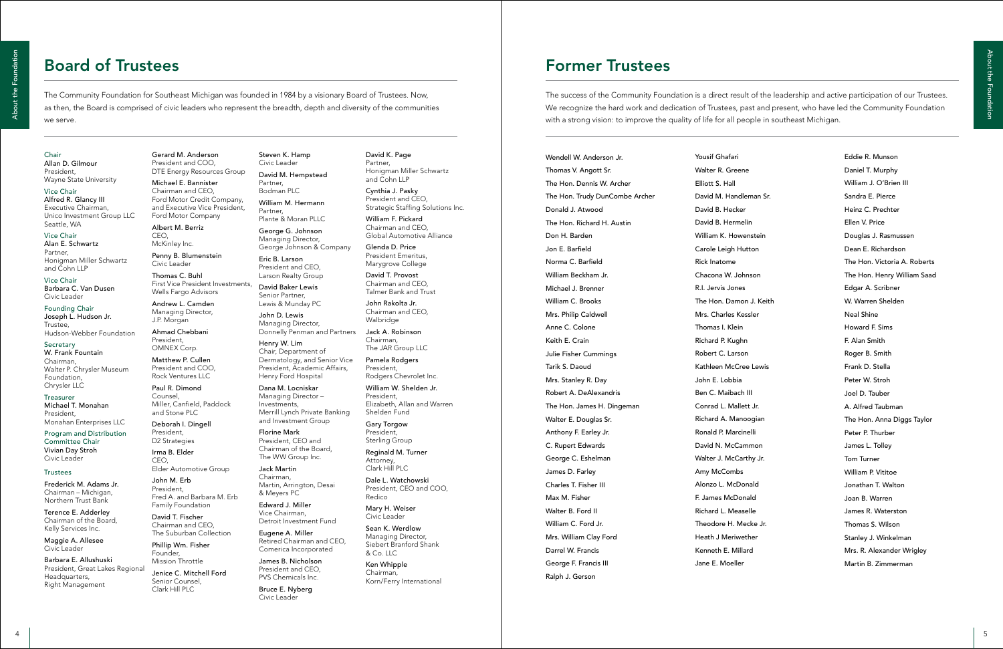| ari           |
|---------------|
| reene         |
| ıll           |
| andleman Sr.  |
| cker!         |
| rmelin!       |
| lowenstein    |
| h Hutton      |
| e             |
| . Johnson     |
| ones          |
| amon J. Keith |
| s Kessler     |
| lein          |
| ughn          |
| arson         |
| cCree Lewis   |
| bia           |
| pach III      |
| Mallett Jr.   |
| Manoogian     |
| arcinelli     |
| cCammon       |
| cCarthy Jr.   |
| nbs           |
| IcDonald      |
| Donald        |
| Aeaselle      |
| l. Mecke Jr.  |
| riwether      |
| Millard       |
| eller         |

The Community Foundation for Southeast Michigan was founded in 1984 by a visionary Board of Trustees. Now, as then, the Board is comprised of civic leaders who represent the breadth, depth and diversity of the communities we serve.

# Board of Trustees

The success of the Community Foundation is a direct result of the leadership and active participation of our Trustees. We recognize the hard work and dedication of Trustees, past and present, who have led the Community Foundation with a strong vision: to improve the quality of life for all people in southeast Michigan.

# Former Trustees

### Chair

Allan D. Gilmour President, Wayne State University

Vice Chair Alfred R. Glancy III Executive Chairman, Unico Investment Group LLC Seattle, WA

Vice Chair Alan E. Schwartz Partner, Honigman Miller Schwartz and Cohn LLP

Vice Chair Barbara C. Van Dusen Civic Leader

Founding Chair Joseph L. Hudson Jr. Trustee, Hudson-Webber Foundation

Secretary W. Frank Fountain Chairman, Walter P. Chrysler Museum Foundation, Chrysler LLC

Treasurer Michael T. Monahan President, Monahan Enterprises LLC

Program and Distribution Committee Chair Vivian Day Stroh Civic Leader

### **Trustees**

Frederick M. Adams Jr. Chairman – Michigan, Northern Trust Bank

Terence E. Adderley Chairman of the Board, Kelly Services Inc.

Maggie A. Allesee Civic Leader

Barbara E. Allushuski President, Great Lakes Regional Headquarters, Right Management

Gerard M. Anderson President and COO, DTE Energy Resources Group

Michael E. Bannister Chairman and CEO, Ford Motor Credit Company, and Executive Vice President, Ford Motor Company

Albert M. Berriz CEO, McKinley Inc.

Penny B. Blumenstein Civic Leader

Thomas C. Buhl First Vice President Investments, Wells Fargo Advisors

Andrew L. Camden Managing Director, J.P. Morgan

Ahmad Chebbani President, OMNEX Corp.

Matthew P. Cullen President and COO, Rock Ventures LLC

Paul R. Dimond Counsel, Miller, Canfield, Paddock and Stone PLC

Deborah I. Dingell President, D2 Strategies

Irma B. Elder CEO,

Elder Automotive Group

John M. Erb President, Fred A. and Barbara M. Erb Family Foundation

David T. Fischer Chairman and CEO, The Suburban Collection

Phillip Wm. Fisher Founder, Mission Throttle

Jenice C. Mitchell Ford Senior Counsel, Clark Hill PLC

<sup>4</sup> <sup>5</sup> About the Foundation Wendell W. Anderson Jr. Thomas V. Angott Sr. The Hon. Dennis W. Archer The Hon. Trudy DunCombe Archer Donald J. Atwood The Hon. Richard H. Austin Don H. Barden Jon E. Barfield Norma C. Barfield William Beckham Jr. Michael J. Brenner William C. Brooks Mrs. Philip Caldwell Anne C. Colone Keith E. Crain Julie Fisher Cummings Tarik S. Daoud Mrs. Stanley R. Day Robert A. DeAlexandris The Hon. James H. Dingeman Walter E. Douglas Sr. Anthony F. Earley Jr. C. Rupert Edwards George C. Eshelman James D. Farley Charles T. Fisher III Max M. Fisher Walter B. Ford II William C. Ford Jr. Mrs. William Clay Ford Darrel W. Francis George F. Francis III

Steven K. Hamp Civic Leader David M. Hempstead Partner, Bodman PLC William M. Hermann Partner, Plante & Moran PLLC

George G. Johnson Managing Director, George Johnson & Company

Eric B. Larson President and CEO, Larson Realty Group

David Baker Lewis Senior Partner, Lewis & Munday PC

John D. Lewis Managing Director, Donnelly Penman and Partners

Henry W. Lim Chair, Department of Dermatology, and Senior Vice President, Academic Affairs, Henry Ford Hospital

Dana M. Locniskar Managing Director – Investments, Merrill Lynch Private Banking and Investment Group

Florine Mark President, CEO and Chairman of the Board, The WW Group Inc.

Jack Martin Chairman, Martin, Arrington, Desai & Meyers PC

Edward J. Miller Vice Chairman, Detroit Investment Fund

Eugene A. Miller Retired Chairman and CEO, Comerica Incorporated

James B. Nicholson President and CEO, PVS Chemicals Inc.

Bruce E. Nyberg Civic Leader

# David K. Page

Partner, Honigman Miller Schwartz and Cohn LLP

Cynthia J. Pasky

President and CEO, Strategic Staffing Solutions Inc.

William F. Pickard Chairman and CEO, Global Automotive Alliance

Glenda D. Price President Emeritus, Marygrove College

David T. Provost Chairman and CEO,

Talmer Bank and Trust

John Rakolta Jr. Chairman and CEO, Walbridge

Jack A. Robinson Chairman, The JAR Group LLC

President,

Pamela Rodgers Rodgers Chevrolet Inc.

William W. Shelden Jr. President, Shelden Fund

Elizabeth, Allan and Warren

Gary Torgow President, Sterling Group

Reginald M. Turner Attorney,

Clark Hill PLC

Dale L. Watchowski President, CEO and COO,

Redico

Mary H. Weiser Civic Leader

Sean K. Werdlow Managing Director,

Siebert Branford Shank & Co. LLC

Ken Whipple Chairman,

Korn/Ferry International

Ralph J. Gerson

Yousif Ghaf Walter R. Gr Elliott S. Ha David M. Ha David B. He David B. He William K. H Carole Leig Rick Inatome Chacona W. R.I. Jervis Jo The Hon. Da Mrs. Charles Thomas I. K Richard P. Ku Robert C. La Kathleen Me John E. Lob Ben C. Maib Conrad L. M Richard A. M Ronald P. M David N. Mo Walter J. Mc Amy McCor Alonzo L. M F. James Mo Richard L. M Theodore H Heath J Me Kenneth E. Jane E. Mo

Eddie R. Munson Daniel T. Murphy William J. O'Brien III Sandra E. Pierce Heinz C. Prechter Ellen V. Price Douglas J. Rasmussen Dean E. Richardson The Hon. Victoria A. Roberts The Hon. Henry William Saad Edgar A. Scribner W. Warren Shelden Neal Shine Howard F. Sims F. Alan Smith Roger B. Smith Frank D. Stella Peter W. Stroh Joel D. Tauber A. Alfred Taubman The Hon. Anna Diggs Taylor Peter P. Thurber James L. Tolley Tom Turner William P. Vititoe Jonathan T. Walton Joan B. Warren James R. Waterston Thomas S. Wilson Stanley J. Winkelman Mrs. R. Alexander Wrigley Martin B. Zimmerman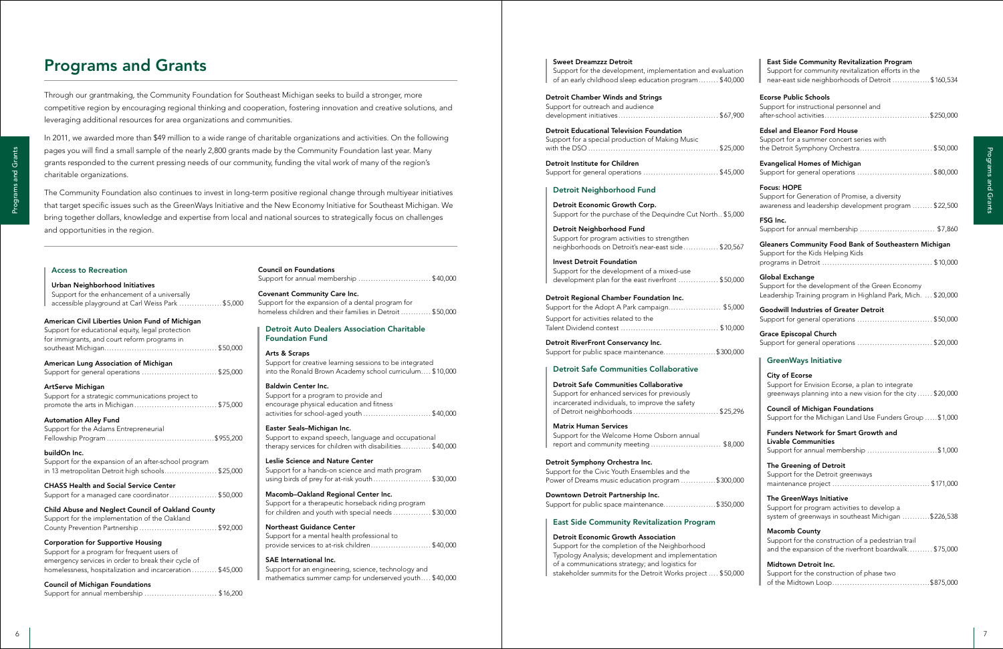| Detroit Institute for Children                                                                     | <b>Evangelical Homes of Michigan</b>                                                                              |
|----------------------------------------------------------------------------------------------------|-------------------------------------------------------------------------------------------------------------------|
| Support for general operations \$45,000                                                            | Support for general operations \$80,000                                                                           |
| <b>Detroit Neighborhood Fund</b>                                                                   | <b>Focus: HOPE</b>                                                                                                |
|                                                                                                    | Support for Generation of Promise, a diversity                                                                    |
| Detroit Economic Growth Corp.                                                                      | awareness and leadership development program  \$22,500                                                            |
| Support for the purchase of the Dequindre Cut North \$5,000                                        | FSG Inc.                                                                                                          |
| Detroit Neighborhood Fund                                                                          | Support for annual membership  \$7,860                                                                            |
| Support for program activities to strengthen                                                       |                                                                                                                   |
| neighborhoods on Detroit's near-east side\$20,567                                                  | Gleaners Community Food Bank of Southeastern Michigan<br>Support for the Kids Helping Kids                        |
| <b>Invest Detroit Foundation</b>                                                                   |                                                                                                                   |
| Support for the development of a mixed-use                                                         |                                                                                                                   |
| development plan for the east riverfront \$50,000                                                  | <b>Global Exchange</b>                                                                                            |
|                                                                                                    | Support for the development of the Green Economy<br>Leadership Training program in Highland Park, Mich.  \$20,000 |
| Detroit Regional Chamber Foundation Inc.                                                           |                                                                                                                   |
| Support for the Adopt A Park campaign \$5,000                                                      | <b>Goodwill Industries of Greater Detroit</b>                                                                     |
| Support for activities related to the                                                              | Support for general operations \$50,000                                                                           |
|                                                                                                    |                                                                                                                   |
| Detroit RiverFront Conservancy Inc.                                                                | <b>Grace Episcopal Church</b><br>Support for general operations \$20,000                                          |
| Support for public space maintenance\$300,000                                                      |                                                                                                                   |
|                                                                                                    | <b>GreenWays Initiative</b>                                                                                       |
| <b>Detroit Safe Communities Collaborative</b>                                                      |                                                                                                                   |
|                                                                                                    | <b>City of Ecorse</b>                                                                                             |
| <b>Detroit Safe Communities Collaborative</b>                                                      | Support for Envision Ecorse, a plan to integrate                                                                  |
| Support for enhanced services for previously                                                       | greenways planning into a new vision for the city  \$20,000                                                       |
| incarcerated individuals, to improve the safety                                                    | <b>Council of Michigan Foundations</b>                                                                            |
|                                                                                                    | Support for the Michigan Land Use Funders Group  \$1,000                                                          |
| <b>Matrix Human Services</b>                                                                       |                                                                                                                   |
| Support for the Welcome Home Osborn annual                                                         | <b>Funders Network for Smart Growth and</b>                                                                       |
| report and community meeting  \$8,000                                                              | <b>Livable Communities</b><br>Support for annual membership \$1,000                                               |
|                                                                                                    |                                                                                                                   |
| Detroit Symphony Orchestra Inc.                                                                    | The Greening of Detroit                                                                                           |
| Support for the Civic Youth Ensembles and the<br>Power of Dreams music education program \$300,000 | Support for the Detroit greenways                                                                                 |
|                                                                                                    |                                                                                                                   |
| Downtown Detroit Partnership Inc.                                                                  | The GreenWays Initiative                                                                                          |
| Support for public space maintenance\$350,000                                                      | Support for program activities to develop a                                                                       |
|                                                                                                    | system of greenways in southeast Michigan \$226,538                                                               |
| <b>East Side Community Revitalization Program</b>                                                  |                                                                                                                   |
| <b>Detroit Economic Growth Association</b>                                                         | <b>Macomb County</b>                                                                                              |
| Support for the completion of the Neighborhood                                                     | Support for the construction of a pedestrian trail<br>and the expansion of the riverfront boardwalk \$75,000      |
| Typology Analysis; development and implementation                                                  |                                                                                                                   |
| of a communications strategy; and logistics for                                                    | Midtown Detroit Inc.                                                                                              |
| stakeholder summits for the Detroit Works project  \$50,000                                        | Support for the construction of phase two                                                                         |
|                                                                                                    |                                                                                                                   |
|                                                                                                    |                                                                                                                   |
|                                                                                                    |                                                                                                                   |
|                                                                                                    |                                                                                                                   |
|                                                                                                    |                                                                                                                   |

### Sweet Dreamzzz Detroit

Support for the development, implementation and evaluatio of an early childhood sleep education program........ \$40,00

### Detroit Chamber Winds and Strings Support for outreach and audience development initiatives........................................ \$67,900

Detroit Educational Television Foundation Support for a special production of Making Music with the DSO .................................................... \$25,000

### Detroit Neighborhood Fund

| Detroit Regional Chamber Foundation Inc.     |  |
|----------------------------------------------|--|
| Support for the Adopt A Park campaign\$5,000 |  |
| Support for activities related to the        |  |
|                                              |  |

### Detroit Safe Communities Collaborative

### Matrix Human Services

### East Side Community Revitalization Program

### Detroit Economic Growth Association

East Side Community Revitalization Program

| 'n<br>)0 | Support for community revitalization efforts in the<br>near-east side neighborhoods of Detroit \$160,534                                 |
|----------|------------------------------------------------------------------------------------------------------------------------------------------|
| 0        | <b>Ecorse Public Schools</b><br>Support for instructional personnel and                                                                  |
| )0       | <b>Edsel and Eleanor Ford House</b><br>Support for a summer concert series with<br>the Detroit Symphony Orchestra \$50,000               |
| 00       | <b>Evangelical Homes of Michigan</b><br>Support for general operations \$80,000                                                          |
|          | <b>Focus: HOPE</b><br>Support for Generation of Promise, a diversity<br>awareness and leadership development program  \$22,500           |
| )0       | FSG Inc.<br>Support for annual membership  \$7,860                                                                                       |
| 57       | Gleaners Community Food Bank of Southeastern Michigan<br>Support for the Kids Helping Kids                                               |
| )O       | Global Exchange<br>Support for the development of the Green Economy<br>Leadership Training program in Highland Park, Mich.  \$20,000     |
| )0<br>)O | <b>Goodwill Industries of Greater Detroit</b><br>Support for general operations  \$50,000                                                |
|          | Grace Episcopal Church<br>Support for general operations \$20,000                                                                        |
| 0        | <b>GreenWays Initiative</b>                                                                                                              |
|          | <b>City of Ecorse</b><br>Support for Envision Ecorse, a plan to integrate<br>greenways planning into a new vision for the city  \$20,000 |
| 76       | <b>Council of Michigan Foundations</b><br>Support for the Michigan Land Use Funders Group \$1,000                                        |
| 00       | <b>Funders Network for Smart Growth and</b><br>Livable Communities<br>Support for annual membership \$1,000                              |
| 00       | The Greening of Detroit<br>Support for the Detroit greenways                                                                             |
| )0       | The GreenWays Initiative<br>Support for program activities to develop a<br>system of greenways in southeast Michigan \$226,538           |
|          | <b>Macomb County</b><br>Support for the construction of a pedestrian trail<br>and the expansion of the riverfront boardwalk \$75,000     |
| 00       | Midtown Detroit Inc.<br>Support for the construction of phase two                                                                        |

Through our grantmaking, the Community Foundation for Southeast Michigan seeks to build a stronger, more competitive region by encouraging regional thinking and cooperation, fostering innovation and creative solutions, and leveraging additional resources for area organizations and communities.

In 2011, we awarded more than \$49 million to a wide range of charitable organizations and activities. On the following pages you will find a small sample of the nearly 2,800 grants made by the Community Foundation last year. Many grants responded to the current pressing needs of our community, funding the vital work of many of the region's charitable organizations.

# Programs and Grants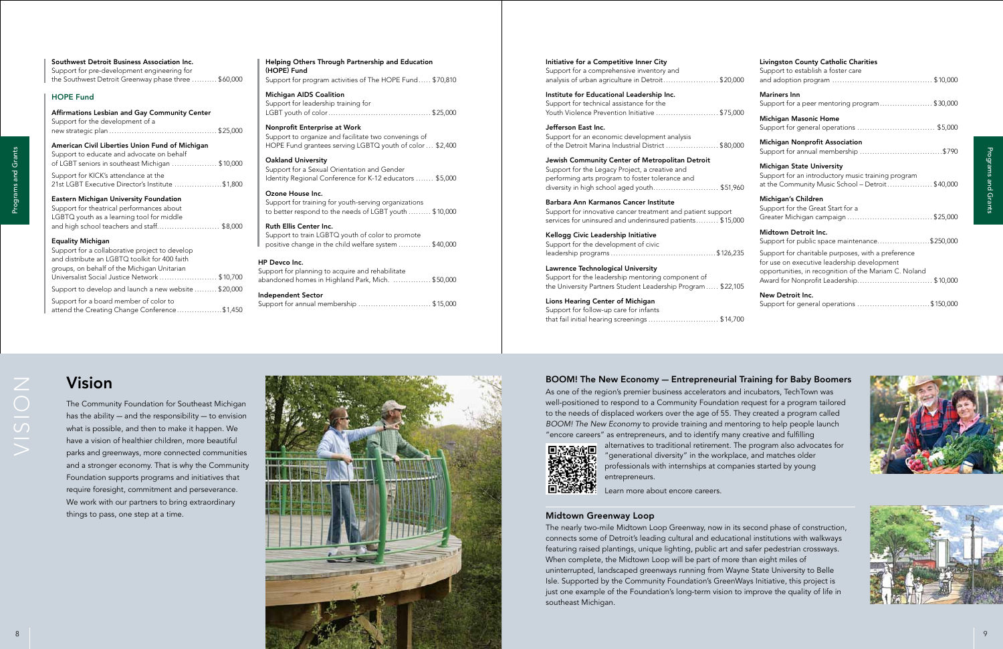# Vision

The Community Foundation for Southeast Michigan has the ability — and the responsibility — to envision what is possible, and then to make it happen. We have a vision of healthier children, more beautiful parks and greenways, more connected communities and a stronger economy. That is why the Community Foundation supports programs and initiatives that require foresight, commitment and perseverance. We work with our partners to bring extraordinary things to pass, one step at a time.

### BOOM! The New Economy — Entrepreneurial Training for Baby Boomers

As one of the region's premier business accelerators and incubators, TechTown was well-positioned to respond to a Community Foundation request for a program tailored to the needs of displaced workers over the age of 55. They created a program called *BOOM! The New Economy* to provide training and mentoring to help people launch "encore careers" as entrepreneurs, and to identify many creative and fulfilling alternatives to traditional retirement. The program also advocates for "generational diversity" in the workplace, and matches older professionals with internships at companies started by young



entrepreneurs.

Learn more about encore careers.

### Midtown Greenway Loop

Support for a comprehensive inventory and analysis of urban agriculture in Detroit........................ \$20,00

The nearly two-mile Midtown Loop Greenway, now in its second phase of construction, connects some of Detroit's leading cultural and educational institutions with walkways featuring raised plantings, unique lighting, public art and safer pedestrian crossways. When complete, the Midtown Loop will be part of more than eight miles of uninterrupted, landscaped greenways running from Wayne State University to Belle Isle. Supported by the Community Foundation's GreenWays Initiative, this project is just one example of the Foundation's long-term vision to improve the quality of life in southeast Michigan.

Institute for Educational Leadership Inc. Support for technical assistance for the Youth Violence Prevention Initiative ............................ \$75,00

Jefferson East Inc. Support for an economic development analysis of the Detroit Marina Industrial District ....................... \$80,00

Jewish Community Center of Metropolitan Detroit Support for the Legacy Project, a creative and performing arts program to foster tolerance and diversity in high school aged youth.............................. \$51,96

Barbara Ann Karmanos Cancer Institute Support for innovative cancer treatment and patient support services for uninsured and underinsured patients......... \$15,00

# <sup>8</sup> <sup>9</sup> Programs and GrantsPrograms and Grants

Lawrence Technological University Support for the leadership mentoring component of the University Partners Student Leadership Program ..... \$22,10

| CC       | <b>Livingston County Catholic Charities</b><br>Support to establish a foster care                                                                                                                    |
|----------|------------------------------------------------------------------------------------------------------------------------------------------------------------------------------------------------------|
|          | <b>Mariners Inn</b><br>Support for a peer mentoring program\$30,000                                                                                                                                  |
| 00       | <b>Michigan Masonic Home</b>                                                                                                                                                                         |
| ĴО       | <b>Michigan Nonprofit Association</b><br>Support for annual membership \$790                                                                                                                         |
| 50       | <b>Michigan State University</b><br>Support for an introductory music training program<br>at the Community Music School - Detroit\$40,000                                                            |
| CC       | Michigan's Children<br>Support for the Great Start for a<br>Greater Michigan campaign \$25,000                                                                                                       |
|          | Midtown Detroit Inc.<br>Support for public space maintenance\$250,000                                                                                                                                |
| 35<br>25 | Support for charitable purposes, with a preference<br>for use on executive leadership development<br>opportunities, in recognition of the Mariam C. Noland<br>Award for Nonprofit Leadership\$10,000 |
|          | New Detroit Inc.<br>Support for general operations \$150,000                                                                                                                                         |
| ገበ       |                                                                                                                                                                                                      |



### Initiative for a Competitive Inner City

Kellogg Civic Leadership Initiative Support for the development of civic leadership programs .......................................... \$126,235

Lions Hearing Center of Michigan Support for follow-up care for infants that fail initial hearing screenings ............................ \$14,700

| Helping Others Through Partnership and Education<br>(HOPE) Fund<br>Support for program activities of The HOPE Fund \$70,810                      |
|--------------------------------------------------------------------------------------------------------------------------------------------------|
| <b>Michigan AIDS Coalition</b><br>Support for leadership training for                                                                            |
| Nonprofit Enterprise at Work<br>Support to organize and facilitate two convenings of<br>HOPE Fund grantees serving LGBTQ youth of color  \$2,400 |
| <b>Oakland University</b><br>Support for a Sexual Orientation and Gender<br>Identity Regional Conference for K-12 educators  \$5,000             |
| Ozone House Inc.<br>Support for training for youth-serving organizations<br>to better respond to the needs of LGBT youth  \$10,000               |
| <b>Ruth Ellis Center Inc.</b><br>Support to train LGBTQ youth of color to promote<br>positive change in the child welfare system  \$40,000       |
| <b>HP Devco Inc.</b><br>Support for planning to acquire and rehabilitate<br>abandoned homes in Highland Park, Mich.  \$50,000                    |
| Independent Sector<br>Support for annual membership \$15,000                                                                                     |
|                                                                                                                                                  |

| Southwest Detroit Business Association Inc.<br>Support for pre-development engineering for<br>the Southwest Detroit Greenway phase three  \$60,000                                                                         |
|----------------------------------------------------------------------------------------------------------------------------------------------------------------------------------------------------------------------------|
| <b>HOPE Fund</b>                                                                                                                                                                                                           |
| Affirmations Lesbian and Gay Community Center<br>Support for the development of a                                                                                                                                          |
| American Civil Liberties Union Fund of Michigan<br>Support to educate and advocate on behalf<br>of LGBT seniors in southeast Michigan \$10,000                                                                             |
| Support for KICK's attendance at the<br>21st LGBT Executive Director's Institute \$1,800                                                                                                                                   |
| <b>Eastern Michigan University Foundation</b><br>Support for theatrical performances about<br>LGBTQ youth as a learning tool for middle<br>and high school teachers and staff\$8,000                                       |
| <b>Equality Michigan</b><br>Support for a collaborative project to develop<br>and distribute an LGBTQ toolkit for 400 faith<br>groups, on behalf of the Michigan Unitarian<br>Universalist Social Justice Network \$10,700 |
| Support to develop and launch a new website  \$20,000                                                                                                                                                                      |
| Support for a board member of color to<br>attend the Creating Change Conference\$1,450                                                                                                                                     |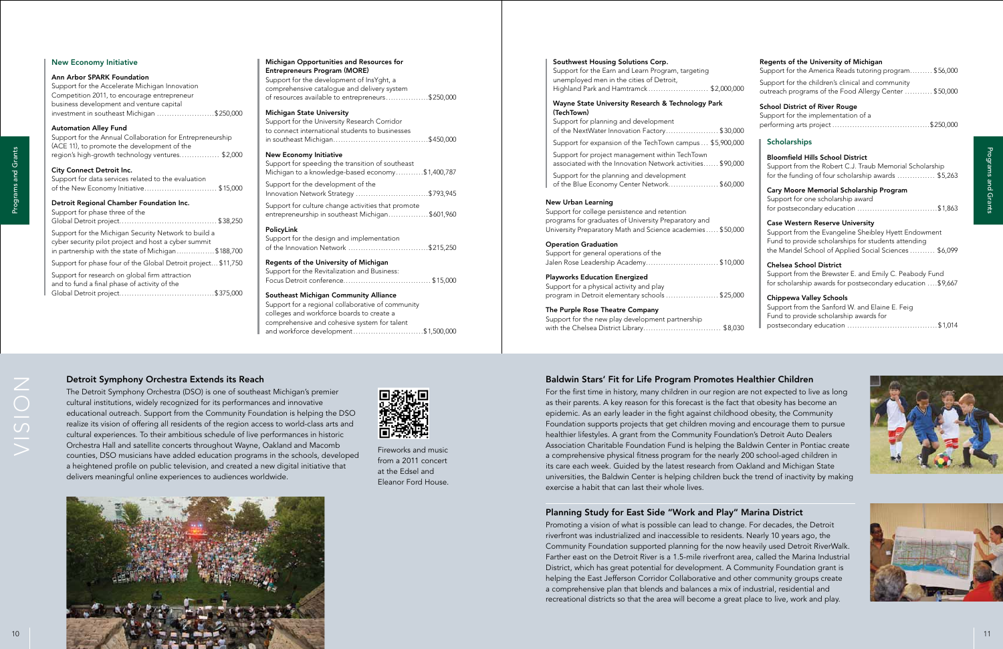### Baldwin Stars' Fit for Life Program Promotes Healthier Children

### Planning Study for East Side "Work and Play" Marina District





### Detroit Symphony Orchestra Extends its Reach



### $\epsilon$  InsYght, a delivery system reneurs..................\$250,000 arch Corridor ts to businesses in southeast Michigan......................................\$450,000 tion of southeast d economy..........\$1,400,787  $\cdot$  the Innovation Network Strategy .............................\$793,945 ities that promote Michigan.................\$601,960 lementation of the Innovation Network ................................\$215,250 Aichigan nd Business: Focus Detroit conference................................... \$15,000 ity Alliance ative of community colleges and workforce boards to create a

|    | Regents of the University of Michigan<br>Support for the America Reads tutoring program \$56,000                                                                                                               |
|----|----------------------------------------------------------------------------------------------------------------------------------------------------------------------------------------------------------------|
| ĴО | Support for the children's clinical and community<br>outreach programs of the Food Allergy Center \$50,000                                                                                                     |
| СC | <b>School District of River Rouge</b><br>Support for the implementation of a                                                                                                                                   |
| ОC | <b>Scholarships</b>                                                                                                                                                                                            |
| ĴО | <b>Bloomfield Hills School District</b><br>Support from the Robert C.J. Traub Memorial Scholarship<br>for the funding of four scholarship awards \$5,263                                                       |
| CC | Cary Moore Memorial Scholarship Program<br>Support for one scholarship award<br>for postsecondary education \$1,863                                                                                            |
| CC | <b>Case Western Reserve University</b><br>Support from the Evangeline Sheibley Hyett Endowment<br>Fund to provide scholarships for students attending<br>the Mandel School of Applied Social Sciences  \$6,099 |
| CC | <b>Chelsea School District</b><br>Support from the Brewster E. and Emily C. Peabody Fund<br>for scholarship awards for postsecondary education  \$9,667                                                        |
| CC | <b>Chippewa Valley Schools</b><br>Support from the Sanford W. and Elaine E. Feig<br>Fund to provide scholarship awards for                                                                                     |
| 30 |                                                                                                                                                                                                                |

### Southwest Housing Solutions Corp.

| Support for the Earn and Learn Program, targeting |  |
|---------------------------------------------------|--|
| unemployed men in the cities of Detroit,          |  |
| Highland Park and Hamtramck\$2,000,000            |  |

# Wayne State University Research & Technology Park

### New Urban Learning

### The Purple Rose Theatre Company

| <b>New Economy Initiative</b>                                                                                                                                                                                                                                                                                                                                                                                                                                                                                                                                                                                                                                                                                                                                                                               | Michigan Opportunities and Resources for                                                                  | Southwest Housing Solutions Corp.                                                                                                                                                                                                                                                                                                                                                                                                                                                                                                                                                                                                                                                                                                                                                                                                                                                                                                                     | Regents of the University of Michigan                                        |
|-------------------------------------------------------------------------------------------------------------------------------------------------------------------------------------------------------------------------------------------------------------------------------------------------------------------------------------------------------------------------------------------------------------------------------------------------------------------------------------------------------------------------------------------------------------------------------------------------------------------------------------------------------------------------------------------------------------------------------------------------------------------------------------------------------------|-----------------------------------------------------------------------------------------------------------|-------------------------------------------------------------------------------------------------------------------------------------------------------------------------------------------------------------------------------------------------------------------------------------------------------------------------------------------------------------------------------------------------------------------------------------------------------------------------------------------------------------------------------------------------------------------------------------------------------------------------------------------------------------------------------------------------------------------------------------------------------------------------------------------------------------------------------------------------------------------------------------------------------------------------------------------------------|------------------------------------------------------------------------------|
|                                                                                                                                                                                                                                                                                                                                                                                                                                                                                                                                                                                                                                                                                                                                                                                                             | <b>Entrepreneurs Program (MORE)</b>                                                                       | Support for the Earn and Learn Program, targeting                                                                                                                                                                                                                                                                                                                                                                                                                                                                                                                                                                                                                                                                                                                                                                                                                                                                                                     | Support for the America Reads tutoring program \$56,000                      |
| Ann Arbor SPARK Foundation                                                                                                                                                                                                                                                                                                                                                                                                                                                                                                                                                                                                                                                                                                                                                                                  | Support for the development of InsYght, a                                                                 | unemployed men in the cities of Detroit,                                                                                                                                                                                                                                                                                                                                                                                                                                                                                                                                                                                                                                                                                                                                                                                                                                                                                                              | Support for the children's clinical and community                            |
| Support for the Accelerate Michigan Innovation                                                                                                                                                                                                                                                                                                                                                                                                                                                                                                                                                                                                                                                                                                                                                              | comprehensive catalogue and delivery system                                                               | Highland Park and Hamtramck\$2,000,000                                                                                                                                                                                                                                                                                                                                                                                                                                                                                                                                                                                                                                                                                                                                                                                                                                                                                                                | outreach programs of the Food Allergy Center  \$50,000                       |
| Competition 2011, to encourage entrepreneur                                                                                                                                                                                                                                                                                                                                                                                                                                                                                                                                                                                                                                                                                                                                                                 | of resources available to entrepreneurs\$250,000                                                          |                                                                                                                                                                                                                                                                                                                                                                                                                                                                                                                                                                                                                                                                                                                                                                                                                                                                                                                                                       |                                                                              |
| business development and venture capital                                                                                                                                                                                                                                                                                                                                                                                                                                                                                                                                                                                                                                                                                                                                                                    |                                                                                                           | Wayne State University Research & Technology Park                                                                                                                                                                                                                                                                                                                                                                                                                                                                                                                                                                                                                                                                                                                                                                                                                                                                                                     | <b>School District of River Rouge</b>                                        |
| investment in southeast Michigan \$250,000                                                                                                                                                                                                                                                                                                                                                                                                                                                                                                                                                                                                                                                                                                                                                                  | <b>Michigan State University</b>                                                                          | (TechTown)                                                                                                                                                                                                                                                                                                                                                                                                                                                                                                                                                                                                                                                                                                                                                                                                                                                                                                                                            | Support for the implementation of a                                          |
| <b>Automation Alley Fund</b>                                                                                                                                                                                                                                                                                                                                                                                                                                                                                                                                                                                                                                                                                                                                                                                | Support for the University Research Corridor                                                              | Support for planning and development                                                                                                                                                                                                                                                                                                                                                                                                                                                                                                                                                                                                                                                                                                                                                                                                                                                                                                                  |                                                                              |
| Support for the Annual Collaboration for Entrepreneurship                                                                                                                                                                                                                                                                                                                                                                                                                                                                                                                                                                                                                                                                                                                                                   | to connect international students to businesses                                                           | of the NextWater Innovation Factory\$30,000                                                                                                                                                                                                                                                                                                                                                                                                                                                                                                                                                                                                                                                                                                                                                                                                                                                                                                           |                                                                              |
| (ACE 11), to promote the development of the                                                                                                                                                                                                                                                                                                                                                                                                                                                                                                                                                                                                                                                                                                                                                                 |                                                                                                           | Support for expansion of the TechTown campus  \$5,900,000                                                                                                                                                                                                                                                                                                                                                                                                                                                                                                                                                                                                                                                                                                                                                                                                                                                                                             | <b>Scholarships</b>                                                          |
|                                                                                                                                                                                                                                                                                                                                                                                                                                                                                                                                                                                                                                                                                                                                                                                                             | <b>New Economy Initiative</b>                                                                             | Support for project management within TechTown                                                                                                                                                                                                                                                                                                                                                                                                                                                                                                                                                                                                                                                                                                                                                                                                                                                                                                        |                                                                              |
| region's high-growth technology ventures \$2,000                                                                                                                                                                                                                                                                                                                                                                                                                                                                                                                                                                                                                                                                                                                                                            | Support for speeding the transition of southeast                                                          | associated with the Innovation Network activities \$90,000                                                                                                                                                                                                                                                                                                                                                                                                                                                                                                                                                                                                                                                                                                                                                                                                                                                                                            | <b>Bloomfield Hills School District</b>                                      |
| City Connect Detroit Inc.                                                                                                                                                                                                                                                                                                                                                                                                                                                                                                                                                                                                                                                                                                                                                                                   | Michigan to a knowledge-based economy\$1,400,787                                                          |                                                                                                                                                                                                                                                                                                                                                                                                                                                                                                                                                                                                                                                                                                                                                                                                                                                                                                                                                       | Support from the Robert C.J. Traub Memorial Scholarship                      |
| Support for data services related to the evaluation                                                                                                                                                                                                                                                                                                                                                                                                                                                                                                                                                                                                                                                                                                                                                         |                                                                                                           | Support for the planning and development                                                                                                                                                                                                                                                                                                                                                                                                                                                                                                                                                                                                                                                                                                                                                                                                                                                                                                              | for the funding of four scholarship awards  \$5,263                          |
| of the New Economy Initiative\$15,000                                                                                                                                                                                                                                                                                                                                                                                                                                                                                                                                                                                                                                                                                                                                                                       | Support for the development of the                                                                        | of the Blue Economy Center Network\$60,000                                                                                                                                                                                                                                                                                                                                                                                                                                                                                                                                                                                                                                                                                                                                                                                                                                                                                                            |                                                                              |
|                                                                                                                                                                                                                                                                                                                                                                                                                                                                                                                                                                                                                                                                                                                                                                                                             | Innovation Network Strategy \$793,945                                                                     |                                                                                                                                                                                                                                                                                                                                                                                                                                                                                                                                                                                                                                                                                                                                                                                                                                                                                                                                                       | Cary Moore Memorial Scholarship Program<br>Support for one scholarship award |
| Detroit Regional Chamber Foundation Inc.                                                                                                                                                                                                                                                                                                                                                                                                                                                                                                                                                                                                                                                                                                                                                                    | Support for culture change activities that promote                                                        | <b>New Urban Learning</b>                                                                                                                                                                                                                                                                                                                                                                                                                                                                                                                                                                                                                                                                                                                                                                                                                                                                                                                             | for postsecondary education \$1,863                                          |
| Support for phase three of the                                                                                                                                                                                                                                                                                                                                                                                                                                                                                                                                                                                                                                                                                                                                                                              | entrepreneurship in southeast Michigan\$601,960                                                           | Support for college persistence and retention                                                                                                                                                                                                                                                                                                                                                                                                                                                                                                                                                                                                                                                                                                                                                                                                                                                                                                         |                                                                              |
|                                                                                                                                                                                                                                                                                                                                                                                                                                                                                                                                                                                                                                                                                                                                                                                                             |                                                                                                           | programs for graduates of University Preparatory and                                                                                                                                                                                                                                                                                                                                                                                                                                                                                                                                                                                                                                                                                                                                                                                                                                                                                                  | <b>Case Western Reserve University</b>                                       |
| Support for the Michigan Security Network to build a                                                                                                                                                                                                                                                                                                                                                                                                                                                                                                                                                                                                                                                                                                                                                        | PolicyLink                                                                                                | University Preparatory Math and Science academies \$50,000                                                                                                                                                                                                                                                                                                                                                                                                                                                                                                                                                                                                                                                                                                                                                                                                                                                                                            | Support from the Evangeline Sheibley Hyett Endowment                         |
| cyber security pilot project and host a cyber summit                                                                                                                                                                                                                                                                                                                                                                                                                                                                                                                                                                                                                                                                                                                                                        | Support for the design and implementation                                                                 |                                                                                                                                                                                                                                                                                                                                                                                                                                                                                                                                                                                                                                                                                                                                                                                                                                                                                                                                                       | Fund to provide scholarships for students attending                          |
| in partnership with the state of Michigan\$188,700                                                                                                                                                                                                                                                                                                                                                                                                                                                                                                                                                                                                                                                                                                                                                          | of the Innovation Network \$215,250                                                                       | <b>Operation Graduation</b>                                                                                                                                                                                                                                                                                                                                                                                                                                                                                                                                                                                                                                                                                                                                                                                                                                                                                                                           | the Mandel School of Applied Social Sciences  \$6,099                        |
|                                                                                                                                                                                                                                                                                                                                                                                                                                                                                                                                                                                                                                                                                                                                                                                                             |                                                                                                           | Support for general operations of the                                                                                                                                                                                                                                                                                                                                                                                                                                                                                                                                                                                                                                                                                                                                                                                                                                                                                                                 |                                                                              |
| Support for phase four of the Global Detroit project \$11,750                                                                                                                                                                                                                                                                                                                                                                                                                                                                                                                                                                                                                                                                                                                                               | Regents of the University of Michigan                                                                     | Jalen Rose Leadership Academy\$10,000                                                                                                                                                                                                                                                                                                                                                                                                                                                                                                                                                                                                                                                                                                                                                                                                                                                                                                                 | <b>Chelsea School District</b>                                               |
| Support for research on global firm attraction                                                                                                                                                                                                                                                                                                                                                                                                                                                                                                                                                                                                                                                                                                                                                              | Support for the Revitalization and Business:                                                              | <b>Playworks Education Energized</b>                                                                                                                                                                                                                                                                                                                                                                                                                                                                                                                                                                                                                                                                                                                                                                                                                                                                                                                  | Support from the Brewster E. and Emily C. Peabody Fund                       |
| and to fund a final phase of activity of the                                                                                                                                                                                                                                                                                                                                                                                                                                                                                                                                                                                                                                                                                                                                                                |                                                                                                           | Support for a physical activity and play                                                                                                                                                                                                                                                                                                                                                                                                                                                                                                                                                                                                                                                                                                                                                                                                                                                                                                              | for scholarship awards for postsecondary education  \$9,667                  |
|                                                                                                                                                                                                                                                                                                                                                                                                                                                                                                                                                                                                                                                                                                                                                                                                             | <b>Southeast Michigan Community Alliance</b>                                                              | program in Detroit elementary schools \$25,000                                                                                                                                                                                                                                                                                                                                                                                                                                                                                                                                                                                                                                                                                                                                                                                                                                                                                                        |                                                                              |
|                                                                                                                                                                                                                                                                                                                                                                                                                                                                                                                                                                                                                                                                                                                                                                                                             | Support for a regional collaborative of community                                                         |                                                                                                                                                                                                                                                                                                                                                                                                                                                                                                                                                                                                                                                                                                                                                                                                                                                                                                                                                       | <b>Chippewa Valley Schools</b>                                               |
|                                                                                                                                                                                                                                                                                                                                                                                                                                                                                                                                                                                                                                                                                                                                                                                                             | colleges and workforce boards to create a                                                                 | The Purple Rose Theatre Company                                                                                                                                                                                                                                                                                                                                                                                                                                                                                                                                                                                                                                                                                                                                                                                                                                                                                                                       | Support from the Sanford W. and Elaine E. Feig                               |
|                                                                                                                                                                                                                                                                                                                                                                                                                                                                                                                                                                                                                                                                                                                                                                                                             | comprehensive and cohesive system for talent                                                              | Support for the new play development partnership                                                                                                                                                                                                                                                                                                                                                                                                                                                                                                                                                                                                                                                                                                                                                                                                                                                                                                      | Fund to provide scholarship awards for                                       |
|                                                                                                                                                                                                                                                                                                                                                                                                                                                                                                                                                                                                                                                                                                                                                                                                             | and workforce development\$1,500,000                                                                      |                                                                                                                                                                                                                                                                                                                                                                                                                                                                                                                                                                                                                                                                                                                                                                                                                                                                                                                                                       |                                                                              |
|                                                                                                                                                                                                                                                                                                                                                                                                                                                                                                                                                                                                                                                                                                                                                                                                             |                                                                                                           |                                                                                                                                                                                                                                                                                                                                                                                                                                                                                                                                                                                                                                                                                                                                                                                                                                                                                                                                                       |                                                                              |
| Detroit Symphony Orchestra Extends its Reach<br>The Detroit Symphony Orchestra (DSO) is one of southeast Michigan's premier<br>cultural institutions, widely recognized for its performances and innovative<br>educational outreach. Support from the Community Foundation is helping the DSO<br>realize its vision of offering all residents of the region access to world-class arts and<br>cultural experiences. To their ambitious schedule of live performances in historic<br>Orchestra Hall and satellite concerts throughout Wayne, Oakland and Macomb<br>counties, DSO musicians have added education programs in the schools, developed<br>a heightened profile on public television, and created a new digital initiative that<br>delivers meaningful online experiences to audiences worldwide. | 恩激黑<br>繁彩<br>回接触<br>Fireworks and music<br>from a 2011 concert<br>at the Edsel and<br>Eleanor Ford House. | Baldwin Stars' Fit for Life Program Promotes Healthier Children<br>For the first time in history, many children in our region are not expected to live as long<br>as their parents. A key reason for this forecast is the fact that obesity has become an<br>epidemic. As an early leader in the fight against childhood obesity, the Community<br>Foundation supports projects that get children moving and encourage them to pursue<br>healthier lifestyles. A grant from the Community Foundation's Detroit Auto Dealers<br>Association Charitable Foundation Fund is helping the Baldwin Center in Pontiac create<br>a comprehensive physical fitness program for the nearly 200 school-aged children in<br>its care each week. Guided by the latest research from Oakland and Michigan State<br>universities, the Baldwin Center is helping children buck the trend of inactivity by making<br>exercise a habit that can last their whole lives. |                                                                              |
|                                                                                                                                                                                                                                                                                                                                                                                                                                                                                                                                                                                                                                                                                                                                                                                                             |                                                                                                           | Planning Study for East Side "Work and Play" Marina District<br>Promoting a vision of what is possible can lead to change. For decades, the Detroit<br>riverfront was industrialized and inaccessible to residents. Nearly 10 years ago, the<br>Community Foundation supported planning for the now heavily used Detroit RiverWalk.<br>Farther east on the Detroit River is a 1.5-mile riverfront area, called the Marina Industrial<br>District, which has great potential for development. A Community Foundation grant is<br>helping the East Jefferson Corridor Collaborative and other community groups create<br>a comprehensive plan that blends and balances a mix of industrial, residential and<br>recreational districts so that the area will become a great place to live, work and play.                                                                                                                                                | 11                                                                           |

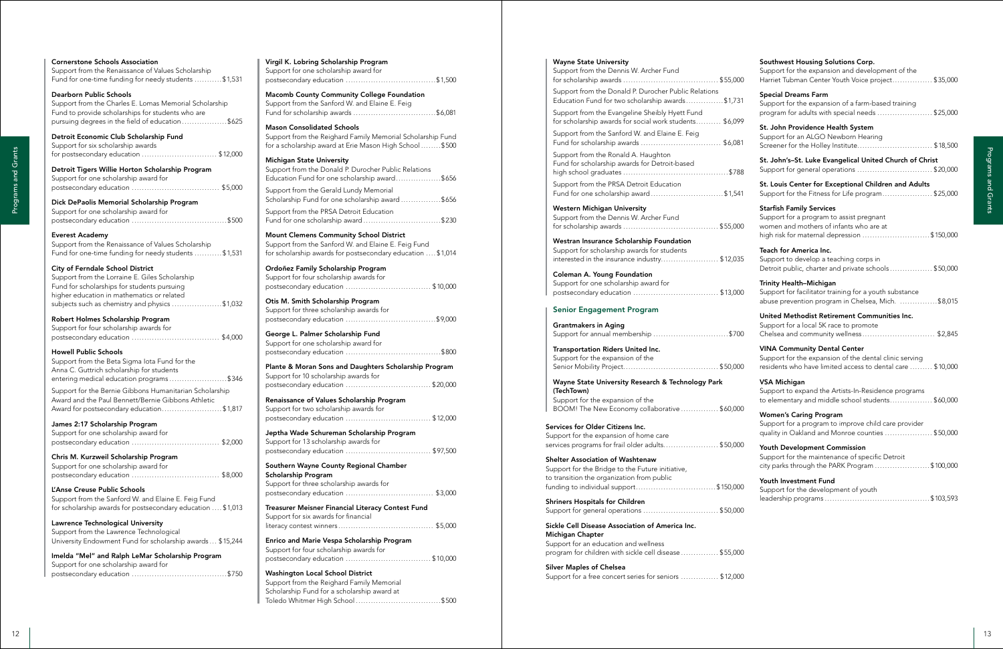| <b>Cornerstone Schools Association</b><br>Support from the Renaissance of Values Scholarship | Virgil K. Lobring Scholarship Program<br>Support for one scholarship award for                                       | <b>Wayne State University</b><br>Support from the Dennis W. Archer Fund                                  | Southwest Housing Solutions Corp.<br>Support for the expansion and development of the                   |
|----------------------------------------------------------------------------------------------|----------------------------------------------------------------------------------------------------------------------|----------------------------------------------------------------------------------------------------------|---------------------------------------------------------------------------------------------------------|
| Fund for one-time funding for needy students \$1,531                                         |                                                                                                                      |                                                                                                          | Harriet Tubman Center Youth Voice project\$35,000                                                       |
| <b>Dearborn Public Schools</b><br>Support from the Charles E. Lomas Memorial Scholarship     | <b>Macomb County Community College Foundation</b><br>Support from the Sanford W. and Elaine E. Feig                  | Support from the Donald P. Durocher Public Relations<br>Education Fund for two scholarship awards\$1,731 | <b>Special Dreams Farm</b><br>Support for the expansion of a farm-based training                        |
| Fund to provide scholarships for students who are                                            | Fund for scholarship awards \$6,081                                                                                  | Support from the Evangeline Sheibly Hyett Fund                                                           | program for adults with special needs \$25,000                                                          |
| pursuing degrees in the field of education \$625                                             | <b>Mason Consolidated Schools</b>                                                                                    | for scholarship awards for social work students \$6,099                                                  | St. John Providence Health System                                                                       |
| Detroit Economic Club Scholarship Fund<br>Support for six scholarship awards                 | Support from the Reighard Family Memorial Scholarship Fund<br>for a scholarship award at Erie Mason High School\$500 | Support from the Sanford W. and Elaine E. Feig                                                           | Support for an ALGO Newborn Hearing<br>Screener for the Holley Institute\$18,500                        |
| for postsecondary education \$12,000                                                         | <b>Michigan State University</b>                                                                                     | Support from the Ronald A. Haughton                                                                      | St. John's-St. Luke Evangelical United Church of Christ                                                 |
| Detroit Tigers Willie Horton Scholarship Program                                             | Support from the Donald P. Durocher Public Relations<br>Education Fund for one scholarship award\$656                | Fund for scholarship awards for Detroit-based                                                            | Support for general operations \$20,000                                                                 |
| Support for one scholarship award for                                                        | Support from the Gerald Lundy Memorial                                                                               | Support from the PRSA Detroit Education                                                                  | St. Louis Center for Exceptional Children and Adults                                                    |
| Dick DePaolis Memorial Scholarship Program                                                   | Scholarship Fund for one scholarship award\$656                                                                      | Fund for one scholarship award\$1,541                                                                    | Support for the Fitness for Life program\$25,000                                                        |
| Support for one scholarship award for                                                        | Support from the PRSA Detroit Education<br>Fund for one scholarship award\$230                                       | <b>Western Michigan University</b><br>Support from the Dennis W. Archer Fund                             | <b>Starfish Family Services</b><br>Support for a program to assist pregnant                             |
| <b>Everest Academy</b>                                                                       | <b>Mount Clemens Community School District</b>                                                                       |                                                                                                          | women and mothers of infants who are at<br>high risk for maternal depression \$150,000                  |
| Support from the Renaissance of Values Scholarship                                           | Support from the Sanford W. and Elaine E. Feig Fund                                                                  | Westran Insurance Scholarship Foundation<br>Support for scholarship awards for students                  | Teach for America Inc.                                                                                  |
| Fund for one-time funding for needy students \$1,531                                         | for scholarship awards for postsecondary education  \$1,014                                                          | interested in the insurance industry\$12,035                                                             | Support to develop a teaching corps in                                                                  |
| City of Ferndale School District<br>Support from the Lorraine E. Giles Scholarship           | Ordoñez Family Scholarship Program<br>Support for four scholarship awards for                                        | <b>Coleman A. Young Foundation</b>                                                                       | Detroit public, charter and private schools\$50,000                                                     |
| Fund for scholarships for students pursuing                                                  |                                                                                                                      | Support for one scholarship award for                                                                    | Trinity Health-Michigan<br>Support for facilitator training for a youth substance                       |
| higher education in mathematics or related<br>subjects such as chemistry and physics \$1,032 | Otis M. Smith Scholarship Program                                                                                    |                                                                                                          | abuse prevention program in Chelsea, Mich. \$8,015                                                      |
| Robert Holmes Scholarship Program                                                            | Support for three scholarship awards for                                                                             | <b>Senior Engagement Program</b>                                                                         | United Methodist Retirement Communities Inc.                                                            |
| Support for four scholarship awards for                                                      | George L. Palmer Scholarship Fund                                                                                    | <b>Grantmakers in Aging</b><br>Support for annual membership \$700                                       | Support for a local 5K race to promote<br>Chelsea and community wellness\$2,845                         |
|                                                                                              | Support for one scholarship award for                                                                                | Transportation Riders United Inc.                                                                        | <b>VINA Community Dental Center</b>                                                                     |
| <b>Howell Public Schools</b><br>Support from the Beta Sigma lota Fund for the                |                                                                                                                      | Support for the expansion of the                                                                         | Support for the expansion of the dental clinic serving                                                  |
| Anna C. Guttrich scholarship for students<br>entering medical education programs\$346        | Plante & Moran Sons and Daughters Scholarship Program<br>Support for 10 scholarship awards for                       |                                                                                                          | residents who have limited access to dental care  \$10,000                                              |
| Support for the Bernie Gibbons Humanitarian Scholarship                                      |                                                                                                                      | Wayne State University Research & Technology Park<br>(TechTown)                                          | <b>VSA Michigan</b><br>Support to expand the Artists-In-Residence programs                              |
| Award and the Paul Bennett/Bernie Gibbons Athletic                                           | Renaissance of Values Scholarship Program                                                                            | Support for the expansion of the                                                                         | to elementary and middle school students\$60,000                                                        |
| Award for postsecondary education\$1,817                                                     | Support for two scholarship awards for                                                                               | BOOM! The New Economy collaborative  \$60,000                                                            | <b>Women's Caring Program</b>                                                                           |
| James 2:17 Scholarship Program<br>Support for one scholarship award for                      | Jeptha Wade Schureman Scholarship Program                                                                            | Services for Older Citizens Inc.<br>Support for the expansion of home care                               | Support for a program to improve child care provider<br>quality in Oakland and Monroe counties \$50,000 |
|                                                                                              | Support for 13 scholarship awards for                                                                                | services programs for frail older adults\$50,000                                                         | Youth Development Commission                                                                            |
| Chris M. Kurzweil Scholarship Program                                                        |                                                                                                                      | Shelter Association of Washtenaw                                                                         | Support for the maintenance of specific Detroit                                                         |
| Support for one scholarship award for                                                        | Southern Wayne County Regional Chamber<br>Scholarship Program                                                        | Support for the Bridge to the Future initiative,<br>to transition the organization from public           | city parks through the PARK Program \$100,000                                                           |
| L'Anse Creuse Public Schools                                                                 | Support for three scholarship awards for                                                                             | funding to individual support\$150,000                                                                   | Youth Investment Fund<br>Support for the development of youth                                           |
| Support from the Sanford W. and Elaine E. Feig Fund                                          |                                                                                                                      | <b>Shriners Hospitals for Children</b>                                                                   |                                                                                                         |
| for scholarship awards for postsecondary education  \$1,013                                  | Treasurer Meisner Financial Literacy Contest Fund<br>Support for six awards for financial                            | Support for general operations \$50,000                                                                  |                                                                                                         |
| <b>Lawrence Technological University</b><br>Support from the Lawrence Technological          |                                                                                                                      | Sickle Cell Disease Association of America Inc.<br>Michigan Chapter                                      |                                                                                                         |
| University Endowment Fund for scholarship awards  \$15,244                                   | Enrico and Marie Vespa Scholarship Program<br>Support for four scholarship awards for                                | Support for an education and wellness                                                                    |                                                                                                         |
| Imelda "Mel" and Ralph LeMar Scholarship Program                                             |                                                                                                                      | program for children with sickle cell disease \$55,000                                                   |                                                                                                         |
| Support for one scholarship award for                                                        | Washington Local School District                                                                                     | <b>Silver Maples of Chelsea</b><br>Support for a free concert series for seniors  \$12,000               |                                                                                                         |
|                                                                                              | Support from the Reighard Family Memorial<br>Scholarship Fund for a scholarship award at                             |                                                                                                          |                                                                                                         |
|                                                                                              |                                                                                                                      |                                                                                                          |                                                                                                         |

| <b>Cornerstone Schools Association</b>                                                                                                        | Virgil K. Lobring Scholarship Program                                                                                                     |
|-----------------------------------------------------------------------------------------------------------------------------------------------|-------------------------------------------------------------------------------------------------------------------------------------------|
| Support from the Renaissance of Values Scholarship<br>Fund for one-time funding for needy students \$1,531                                    | Support for one scholarship award for                                                                                                     |
| <b>Dearborn Public Schools</b><br>Support from the Charles E. Lomas Memorial Scholarship<br>Fund to provide scholarships for students who are | <b>Macomb County Community College Foundation</b><br>Support from the Sanford W. and Elaine E. Feig                                       |
| pursuing degrees in the field of education \$625                                                                                              | <b>Mason Consolidated Schools</b>                                                                                                         |
| Detroit Economic Club Scholarship Fund<br>Support for six scholarship awards<br>for postsecondary education  \$12,000                         | Support from the Reighard Family Memorial Scholarship Fund<br>for a scholarship award at Erie Mason High School\$500                      |
| Detroit Tigers Willie Horton Scholarship Program<br>Support for one scholarship award for                                                     | <b>Michigan State University</b><br>Support from the Donald P. Durocher Public Relations<br>Education Fund for one scholarship award\$656 |
| Dick DePaolis Memorial Scholarship Program                                                                                                    | Support from the Gerald Lundy Memorial<br>Scholarship Fund for one scholarship award\$656                                                 |
| Support for one scholarship award for                                                                                                         | Support from the PRSA Detroit Education<br>Fund for one scholarship award\$230                                                            |
| <b>Everest Academy</b>                                                                                                                        | <b>Mount Clemens Community School District</b>                                                                                            |
| Support from the Renaissance of Values Scholarship<br>Fund for one-time funding for needy students \$1,531                                    | Support from the Sanford W. and Elaine E. Feig Fund<br>for scholarship awards for postsecondary education  \$1,014                        |
| City of Ferndale School District<br>Support from the Lorraine E. Giles Scholarship                                                            | Ordoñez Family Scholarship Program<br>Support for four scholarship awards for                                                             |
| Fund for scholarships for students pursuing                                                                                                   |                                                                                                                                           |
| higher education in mathematics or related<br>subjects such as chemistry and physics \$1,032                                                  | Otis M. Smith Scholarship Program                                                                                                         |
| Robert Holmes Scholarship Program                                                                                                             | Support for three scholarship awards for                                                                                                  |
| Support for four scholarship awards for                                                                                                       | George L. Palmer Scholarship Fund                                                                                                         |
| <b>Howell Public Schools</b>                                                                                                                  | Support for one scholarship award for                                                                                                     |
| Support from the Beta Sigma lota Fund for the<br>Anna C. Guttrich scholarship for students                                                    | Plante & Moran Sons and Daughters Scholarship Program<br>Support for 10 scholarship awards for                                            |
| entering medical education programs\$346<br>Support for the Bernie Gibbons Humanitarian Scholarship                                           |                                                                                                                                           |
| Award and the Paul Bennett/Bernie Gibbons Athletic<br>Award for postsecondary education\$1,817                                                | Renaissance of Values Scholarship Program<br>Support for two scholarship awards for                                                       |
| James 2:17 Scholarship Program                                                                                                                |                                                                                                                                           |
| Support for one scholarship award for                                                                                                         | Jeptha Wade Schureman Scholarship Program                                                                                                 |
|                                                                                                                                               | Support for 13 scholarship awards for                                                                                                     |
| Chris M. Kurzweil Scholarship Program<br>Support for one scholarship award for                                                                | Southern Wayne County Regional Chamber<br>Scholarship Program                                                                             |
|                                                                                                                                               | Support for three scholarship awards for                                                                                                  |
| L'Anse Creuse Public Schools<br>Support from the Sanford W. and Elaine E. Feig Fund                                                           |                                                                                                                                           |
| for scholarship awards for postsecondary education  \$1,013                                                                                   | Treasurer Meisner Financial Literacy Contest Fund<br>Support for six awards for financial                                                 |
| Lawrence Technological University<br>Support from the Lawrence Technological                                                                  |                                                                                                                                           |
| University Endowment Fund for scholarship awards \$15,244                                                                                     | Enrico and Marie Vespa Scholarship Program                                                                                                |
| Imelda "Mel" and Ralph LeMar Scholarship Program<br>Support for one scholarship award for                                                     | Support for four scholarship awards for<br>postsecondary education \$10,000                                                               |
|                                                                                                                                               | <b>Washington Local School District</b>                                                                                                   |
|                                                                                                                                               | Support from the Reighard Family Memorial                                                                                                 |
|                                                                                                                                               | Scholarship Fund for a scholarship award at                                                                                               |
|                                                                                                                                               |                                                                                                                                           |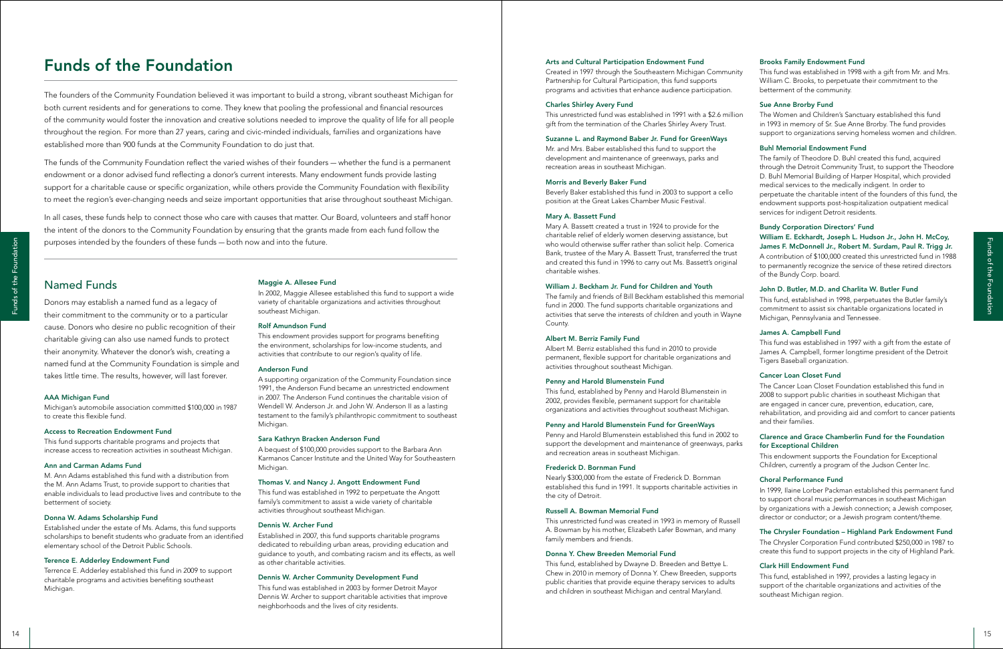### Named Funds

<sup>14</sup> <sup>15</sup> Funds of the FoundationFunds of the Foundation Donors may establish a named fund as a legacy of their commitment to the community or to a particular cause. Donors who desire no public recognition of their charitable giving can also use named funds to protect their anonymity. Whatever the donor's wish, creating a named fund at the Community Foundation is simple and takes little time. The results, however, will last forever.

### AAA Michigan Fund

Michigan's automobile association committed \$100,000 in 1987 to create this flexible fund.

### Access to Recreation Endowment Fund

This fund supports charitable programs and projects that increase access to recreation activities in southeast Michigan.

### Ann and Carman Adams Fund

M. Ann Adams established this fund with a distribution from the M. Ann Adams Trust, to provide support to charities that enable individuals to lead productive lives and contribute to the betterment of society.

### Donna W. Adams Scholarship Fund

Established under the estate of Ms. Adams, this fund supports scholarships to benefit students who graduate from an identified elementary school of the Detroit Public Schools.

### Terence E. Adderley Endowment Fund

Terrence E. Adderley established this fund in 2009 to support charitable programs and activities benefiting southeast Michigan.

### Maggie A. Allesee Fund

In 2002, Maggie Allesee established this fund to support a wide variety of charitable organizations and activities throughout southeast Michigan.

### Rolf Amundson Fund

This endowment provides support for programs benefiting the environment, scholarships for low-income students, and activities that contribute to our region's quality of life.

### Anderson Fund

A supporting organization of the Community Foundation since 1991, the Anderson Fund became an unrestricted endowment in 2007. The Anderson Fund continues the charitable vision of Wendell W. Anderson Jr. and John W. Anderson II as a lasting testament to the family's philanthropic commitment to southeast Michigan.

### Sara Kathryn Bracken Anderson Fund

A bequest of \$100,000 provides support to the Barbara Ann Karmanos Cancer Institute and the United Way for Southeastern Michigan.

### Thomas V. and Nancy J. Angott Endowment Fund

This fund was established in 1992 to perpetuate the Angott family's commitment to assist a wide variety of charitable activities throughout southeast Michigan.

### Dennis W. Archer Fund

Established in 2007, this fund supports charitable programs dedicated to rebuilding urban areas, providing education and guidance to youth, and combating racism and its effects, as well as other charitable activities.

### Dennis W. Archer Community Development Fund

This fund was established in 2003 by former Detroit Mayor Dennis W. Archer to support charitable activities that improve neighborhoods and the lives of city residents.

### Arts and Cultural Participation Endowment Fund

Created in 1997 through the Southeastern Michigan Community Partnership for Cultural Participation, this fund supports programs and activities that enhance audience participation.

### Charles Shirley Avery Fund

This unrestricted fund was established in 1991 with a \$2.6 million gift from the termination of the Charles Shirley Avery Trust.

### Suzanne L. and Raymond Baber Jr. Fund for GreenWays

Mr. and Mrs. Baber established this fund to support the development and maintenance of greenways, parks and recreation areas in southeast Michigan.

### Morris and Beverly Baker Fund

Beverly Baker established this fund in 2003 to support a cello position at the Great Lakes Chamber Music Festival.

### Mary A. Bassett Fund

Mary A. Bassett created a trust in 1924 to provide for the charitable relief of elderly women deserving assistance, but who would otherwise suffer rather than solicit help. Comerica Bank, trustee of the Mary A. Bassett Trust, transferred the trust and created this fund in 1996 to carry out Ms. Bassett's original charitable wishes.

### William J. Beckham Jr. Fund for Children and Youth

### Albert M. Berriz Family Fund

Albert M. Berriz established this fund in 2010 to provide permanent, flexible support for charitable organizations and activities throughout southeast Michigan.

### Penny and Harold Blumenstein Fund

This fund, established by Penny and Harold Blumenstein in 2002, provides flexible, permanent support for charitable organizations and activities throughout southeast Michigan.

### Penny and Harold Blumenstein Fund for GreenWays

Penny and Harold Blumenstein established this fund in 2002 to support the development and maintenance of greenways, parks and recreation areas in southeast Michigan.

### Frederick D. Bornman Fund

Nearly \$300,000 from the estate of Frederick D. Bornman established this fund in 1991. It supports charitable activities in the city of Detroit.

### Russell A. Bowman Memorial Fund

This unrestricted fund was created in 1993 in memory of Russell A. Bowman by his mother, Elizabeth Lafer Bowman, and many family members and friends.

### Donna Y. Chew Breeden Memorial Fund

This fund, established by Dwayne D. Breeden and Bettye L. Chew in 2010 in memory of Donna Y. Chew Breeden, supports public charities that provide equine therapy services to adults and children in southeast Michigan and central Maryland.

The family and friends of Bill Beckham established this memorial fund in 2000. The fund supports charitable organizations and activities that serve the interests of children and youth in Wayne County. This fund, established in 1998, perpetuates the Butler family's commitment to assist six charitable organizations located in Michigan, Pennsylvania and Tennessee.

### Brooks Family Endowment Fund

This fund was established in 1998 with a gift from Mr. and Mrs. William C. Brooks, to perpetuate their commitment to the betterment of the community.

### Sue Anne Brorby Fund

The Women and Children's Sanctuary established this fund in 1993 in memory of Sr. Sue Anne Brorby. The fund provides support to organizations serving homeless women and children.

### Buhl Memorial Endowment Fund

The family of Theodore D. Buhl created this fund, acquired through the Detroit Community Trust, to support the Theodore D. Buhl Memorial Building of Harper Hospital, which provided medical services to the medically indigent. In order to perpetuate the charitable intent of the founders of this fund, the endowment supports post-hospitalization outpatient medical services for indigent Detroit residents.

### Bundy Corporation Directors' Fund William E. Eckhardt, Joseph L. Hudson Jr., John H. McCoy, James F. McDonnell Jr., Robert M. Surdam, Paul R. Trigg Jr.

A contribution of \$100,000 created this unrestricted fund in 1988 to permanently recognize the service of these retired directors of the Bundy Corp. board.

### John D. Butler, M.D. and Charlita W. Butler Fund

### James A. Campbell Fund

This fund was established in 1997 with a gift from the estate of James A. Campbell, former longtime president of the Detroit Tigers Baseball organization.

### Cancer Loan Closet Fund

The Cancer Loan Closet Foundation established this fund in 2008 to support public charities in southeast Michigan that are engaged in cancer cure, prevention, education, care, rehabilitation, and providing aid and comfort to cancer patients and their families.

### Clarence and Grace Chamberlin Fund for the Foundation for Exceptional Children

This endowment supports the Foundation for Exceptional Children, currently a program of the Judson Center Inc.

### Choral Performance Fund

In 1999, Ilaine Lorber Packman established this permanent fund to support choral music performances in southeast Michigan by organizations with a Jewish connection; a Jewish composer, director or conductor; or a Jewish program content/theme.

### The Chrysler Foundation – Highland Park Endowment Fund

The Chrysler Corporation Fund contributed \$250,000 in 1987 to create this fund to support projects in the city of Highland Park.

### Clark Hill Endowment Fund

This fund, established in 1997, provides a lasting legacy in support of the charitable organizations and activities of the southeast Michigan region.

The founders of the Community Foundation believed it was important to build a strong, vibrant southeast Michigan for both current residents and for generations to come. They knew that pooling the professional and financial resources of the community would foster the innovation and creative solutions needed to improve the quality of life for all people throughout the region. For more than 27 years, caring and civic-minded individuals, families and organizations have established more than 900 funds at the Community Foundation to do just that.

The funds of the Community Foundation reflect the varied wishes of their founders — whether the fund is a permanent endowment or a donor advised fund reflecting a donor's current interests. Many endowment funds provide lasting support for a charitable cause or specific organization, while others provide the Community Foundation with flexibility to meet the region's ever-changing needs and seize important opportunities that arise throughout southeast Michigan.

In all cases, these funds help to connect those who care with causes that matter. Our Board, volunteers and staff honor the intent of the donors to the Community Foundation by ensuring that the grants made from each fund follow the purposes intended by the founders of these funds — both now and into the future.

# Funds of the Foundation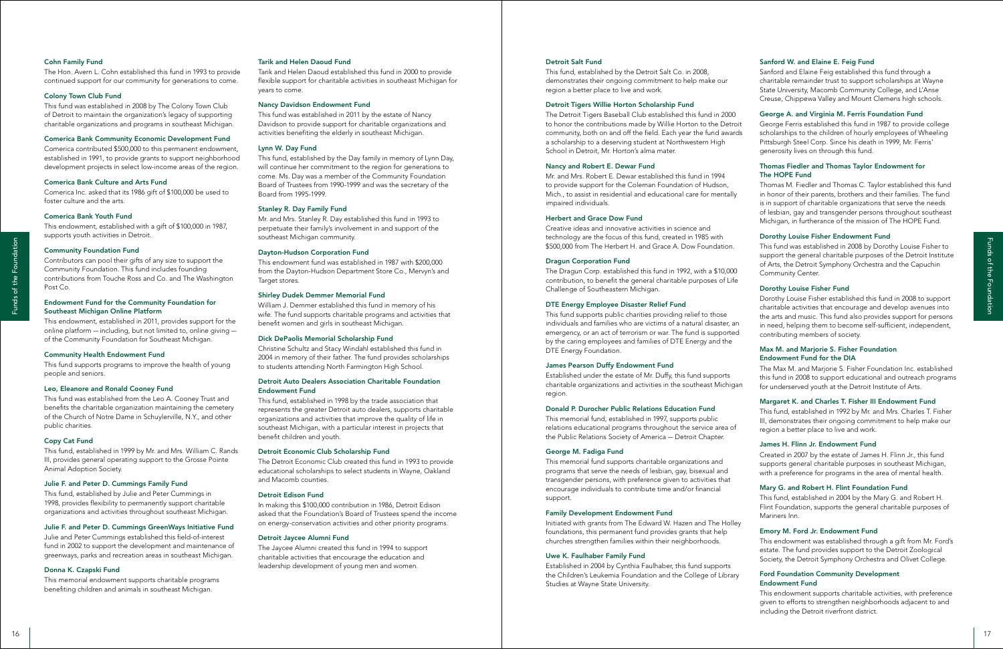### Sanford W. and Elaine E. Feig Fund

Sanford and Elaine Feig established this fund through a charitable remainder trust to support scholarships at Wayne State University, Macomb Community College, and L'Anse Creuse, Chippewa Valley and Mount Clemens high schools.

### George A. and Virginia M. Ferris Foundation Fund

George Ferris established this fund in 1987 to provide college scholarships to the children of hourly employees of Wheeling Pittsburgh Steel Corp. Since his death in 1999, Mr. Ferris' generosity lives on through this fund.

### Thomas Fiedler and Thomas Taylor Endowment for The HOPE Fund

Thomas M. Fiedler and Thomas C. Taylor established this fund in honor of their parents, brothers and their families. The fund is in support of charitable organizations that serve the needs of lesbian, gay and transgender persons throughout southeast Michigan, in furtherance of the mission of The HOPE Fund.

### Dorothy Louise Fisher Endowment Fund

This fund was established in 2008 by Dorothy Louise Fisher to support the general charitable purposes of the Detroit Institute of Arts, the Detroit Symphony Orchestra and the Capuchin Community Center.

### Dorothy Louise Fisher Fund

Dorothy Louise Fisher established this fund in 2008 to support charitable activities that encourage and develop avenues into the arts and music. This fund also provides support for persons in need, helping them to become self-sufficient, independent, contributing members of society.

### Max M. and Marjorie S. Fisher Foundation Endowment Fund for the DIA

The Max M. and Marjorie S. Fisher Foundation Inc. established this fund in 2008 to support educational and outreach programs for underserved youth at the Detroit Institute of Arts.

### Margaret K. and Charles T. Fisher III Endowment Fund

This fund, established in 1992 by Mr. and Mrs. Charles T. Fisher III, demonstrates their ongoing commitment to help make our region a better place to live and work.

### James H. Flinn Jr. Endowment Fund

Created in 2007 by the estate of James H. Flinn Jr., this fund supports general charitable purposes in southeast Michigan, with a preference for programs in the area of mental health.

### Mary G. and Robert H. Flint Foundation Fund

This fund, established in 2004 by the Mary G. and Robert H. Flint Foundation, supports the general charitable purposes of Mariners Inn.

### Emory M. Ford Jr. Endowment Fund

This endowment was established through a gift from Mr. Ford's estate. The fund provides support to the Detroit Zoological Society, the Detroit Symphony Orchestra and Olivet College.

### Ford Foundation Community Development Endowment Fund

This endowment supports charitable activities, with preference given to efforts to strengthen neighborhoods adjacent to and including the Detroit riverfront district.

### Detroit Salt Fund

This fund, established by the Detroit Salt Co. in 2008, demonstrates their ongoing commitment to help make our region a better place to live and work.

### Detroit Tigers Willie Horton Scholarship Fund

The Detroit Tigers Baseball Club established this fund in 2000 to honor the contributions made by Willie Horton to the Detroit community, both on and off the field. Each year the fund awards a scholarship to a deserving student at Northwestern High School in Detroit, Mr. Horton's alma mater.

### Nancy and Robert E. Dewar Fund

Mr. and Mrs. Robert E. Dewar established this fund in 1994 to provide support for the Coleman Foundation of Hudson, Mich., to assist in residential and educational care for mentally impaired individuals.

<sup>16</sup> <sup>17</sup> Funds of the FoundationFunds of the Foundation This fund, established in 1998 by the trade association that represents the greater Detroit auto dealers, supports charitable organizations and activities that improve the quality of life in southeast Michigan, with a particular interest in projects that benefit children and youth.

### Herbert and Grace Dow Fund

Creative ideas and innovative activities in science and technology are the focus of this fund, created in 1985 with \$500,000 from The Herbert H. and Grace A. Dow Foundation.

### Dragun Corporation Fund

The Dragun Corp. established this fund in 1992, with a \$10,000 contribution, to benefit the general charitable purposes of Life Challenge of Southeastern Michigan.

### DTE Energy Employee Disaster Relief Fund

This fund supports public charities providing relief to those individuals and families who are victims of a natural disaster, an emergency, or an act of terrorism or war. The fund is supported by the caring employees and families of DTE Energy and the DTE Energy Foundation.

### James Pearson Duffy Endowment Fund

Established under the estate of Mr. Duffy, this fund supports charitable organizations and activities in the southeast Michigan region.

### Donald P. Durocher Public Relations Education Fund

This memorial fund, established in 1997, supports public relations educational programs throughout the service area of the Public Relations Society of America — Detroit Chapter.

### George M. Fadiga Fund

This memorial fund supports charitable organizations and programs that serve the needs of lesbian, gay, bisexual and transgender persons, with preference given to activities that encourage individuals to contribute time and/or financial support.

### Family Development Endowment Fund

Initiated with grants from The Edward W. Hazen and The Holley foundations, this permanent fund provides grants that help churches strengthen families within their neighborhoods.

### Uwe K. Faulhaber Family Fund

Established in 2004 by Cynthia Faulhaber, this fund supports the Children's Leukemia Foundation and the College of Library Studies at Wayne State University.

### Tarik and Helen Daoud Fund

Tarik and Helen Daoud established this fund in 2000 to provide flexible support for charitable activities in southeast Michigan for years to come.

### Nancy Davidson Endowment Fund

This fund was established in 2011 by the estate of Nancy Davidson to provide support for charitable organizations and activities benefiting the elderly in southeast Michigan.

### Lynn W. Day Fund

This fund, established by the Day family in memory of Lynn Day, will continue her commitment to the region for generations to come. Ms. Day was a member of the Community Foundation Board of Trustees from 1990-1999 and was the secretary of the Board from 1995-1999.

### Stanley R. Day Family Fund

Mr. and Mrs. Stanley R. Day established this fund in 1993 to perpetuate their family's involvement in and support of the southeast Michigan community.

### Dayton-Hudson Corporation Fund

This endowment fund was established in 1987 with \$200,000 from the Dayton-Hudson Department Store Co., Mervyn's and Target stores.

### Shirley Dudek Demmer Memorial Fund

William J. Demmer established this fund in memory of his wife. The fund supports charitable programs and activities that benefit women and girls in southeast Michigan.

### Dick DePaolis Memorial Scholarship Fund

Christine Schultz and Stacy Windahl established this fund in 2004 in memory of their father. The fund provides scholarships to students attending North Farmington High School.

### Detroit Auto Dealers Association Charitable Foundation Endowment Fund

### Detroit Economic Club Scholarship Fund

The Detroit Economic Club created this fund in 1993 to provide educational scholarships to select students in Wayne, Oakland and Macomb counties.

### Detroit Edison Fund

In making this \$100,000 contribution in 1986, Detroit Edison asked that the Foundation's Board of Trustees spend the income on energy-conservation activities and other priority programs.

### Detroit Jaycee Alumni Fund

The Jaycee Alumni created this fund in 1994 to support charitable activities that encourage the education and leadership development of young men and women.

### Cohn Family Fund

The Hon. Avern L. Cohn established this fund in 1993 to provide continued support for our community for generations to come.

### Colony Town Club Fund

This fund was established in 2008 by The Colony Town Club of Detroit to maintain the organization's legacy of supporting charitable organizations and programs in southeast Michigan.

### Comerica Bank Community Economic Development Fund

Comerica contributed \$500,000 to this permanent endowment, established in 1991, to provide grants to support neighborhood development projects in select low-income areas of the region.

### Comerica Bank Culture and Arts Fund

Comerica Inc. asked that its 1986 gift of \$100,000 be used to foster culture and the arts.

### Comerica Bank Youth Fund

This endowment, established with a gift of \$100,000 in 1987, supports youth activities in Detroit.

### Community Foundation Fund

Contributors can pool their gifts of any size to support the Community Foundation. This fund includes founding contributions from Touche Ross and Co. and The Washington Post Co.

### Endowment Fund for the Community Foundation for Southeast Michigan Online Platform

This endowment, established in 2011, provides support for the online platform — including, but not limited to, online giving of the Community Foundation for Southeast Michigan.

### Community Health Endowment Fund

This fund supports programs to improve the health of young people and seniors.

### Leo, Eleanore and Ronald Cooney Fund

This fund was established from the Leo A. Cooney Trust and benefits the charitable organization maintaining the cemetery of the Church of Notre Dame in Schuylerville, N.Y., and other public charities.

### Copy Cat Fund

This fund, established in 1999 by Mr. and Mrs. William C. Rands III, provides general operating support to the Grosse Pointe Animal Adoption Society.

### Julie F. and Peter D. Cummings Family Fund

This fund, established by Julie and Peter Cummings in 1998, provides flexibility to permanently support charitable organizations and activities throughout southeast Michigan.

### Julie F. and Peter D. Cummings GreenWays Initiative Fund

Julie and Peter Cummings established this field-of-interest fund in 2002 to support the development and maintenance of greenways, parks and recreation areas in southeast Michigan.

### Donna K. Czapski Fund

This memorial endowment supports charitable programs benefiting children and animals in southeast Michigan.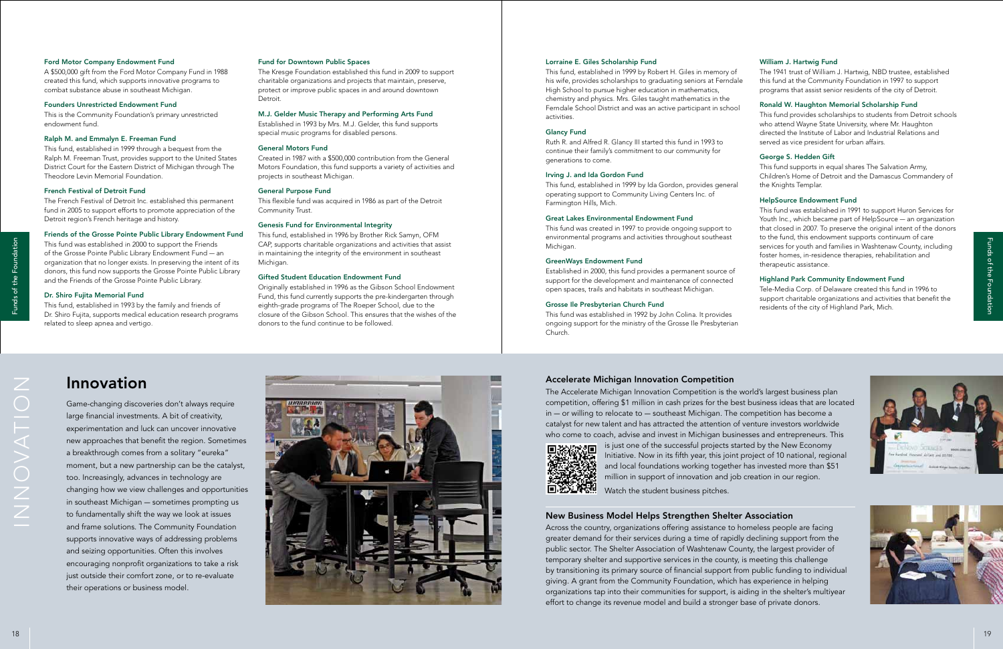# Innovation

Game-changing discoveries don't always require large financial investments. A bit of creativity, experimentation and luck can uncover innovative new approaches that benefit the region. Sometimes a breakthrough comes from a solitary "eureka" moment, but a new partnership can be the catalyst, too. Increasingly, advances in technology are changing how we view challenges and opportunities in southeast Michigan — sometimes prompting us to fundamentally shift the way we look at issues and frame solutions. The Community Foundation supports innovative ways of addressing problems and seizing opportunities. Often this involves encouraging nonprofit organizations to take a risk just outside their comfort zone, or to re-evaluate their operations or business model.

### Accelerate Michigan Innovation Competition

The Accelerate Michigan Innovation Competition is the world's largest business plan



competition, offering \$1 million in cash prizes for the best business ideas that are located in — or willing to relocate to — southeast Michigan. The competition has become a catalyst for new talent and has attracted the attention of venture investors worldwide who come to coach, advise and invest in Michigan businesses and entrepreneurs. This is just one of the successful projects started by the New Economy Initiative. Now in its fifth year, this joint project of 10 national, regional and local foundations working together has invested more than \$51 million in support of innovation and job creation in our region.

Watch the student business pitches.

### New Business Model Helps Strengthen Shelter Association

Across the country, organizations offering assistance to homeless people are facing greater demand for their services during a time of rapidly declining support from the public sector. The Shelter Association of Washtenaw County, the largest provider of temporary shelter and supportive services in the county, is meeting this challenge by transitioning its primary source of financial support from public funding to individual giving. A grant from the Community Foundation, which has experience in helping organizations tap into their communities for support, is aiding in the shelter's multiyear effort to change its revenue model and build a stronger base of private donors.

ZOILSADZZI



### William J. Hartwig Fund

The 1941 trust of William J. Hartwig, NBD trustee, established this fund at the Community Foundation in 1997 to support programs that assist senior residents of the city of Detroit.

### Ronald W. Haughton Memorial Scholarship Fund

This fund provides scholarships to students from Detroit schools who attend Wayne State University, where Mr. Haughton directed the Institute of Labor and Industrial Relations and served as vice president for urban affairs.

### George S. Hedden Gift

This fund supports in equal shares The Salvation Army, Children's Home of Detroit and the Damascus Commandery of the Knights Templar.

### HelpSource Endowment Fund

This fund was established in 1991 to support Huron Services for Youth Inc., which became part of HelpSource — an organization that closed in 2007. To preserve the original intent of the donors to the fund, this endowment supports continuum of care services for youth and families in Washtenaw County, including foster homes, in-residence therapies, rehabilitation and therapeutic assistance.

### Highland Park Community Endowment Fund

Tele-Media Corp. of Delaware created this fund in 1996 to support charitable organizations and activities that benefit the residents of the city of Highland Park, Mich.





### Lorraine E. Giles Scholarship Fund

This fund, established in 1999 by Robert H. Giles in memory of his wife, provides scholarships to graduating seniors at Ferndale High School to pursue higher education in mathematics, chemistry and physics. Mrs. Giles taught mathematics in the Ferndale School District and was an active participant in school activities.

### Glancy Fund

Ruth R. and Alfred R. Glancy III started this fund in 1993 to continue their family's commitment to our community for generations to come.

### Irving J. and Ida Gordon Fund

This fund, established in 1999 by Ida Gordon, provides general operating support to Community Living Centers Inc. of Farmington Hills, Mich.

### Great Lakes Environmental Endowment Fund

This fund was created in 1997 to provide ongoing support to environmental programs and activities throughout southeast Michigan.

### GreenWays Endowment Fund

Established in 2000, this fund provides a permanent source of support for the development and maintenance of connected open spaces, trails and habitats in southeast Michigan.

### Grosse Ile Presbyterian Church Fund

This fund was established in 1992 by John Colina. It provides ongoing support for the ministry of the Grosse Ile Presbyterian Church.

### Fund for Downtown Public Spaces

The Kresge Foundation established this fund in 2009 to support charitable organizations and projects that maintain, preserve, protect or improve public spaces in and around downtown Detroit.

### M.J. Gelder Music Therapy and Performing Arts Fund

Established in 1993 by Mrs. M.J. Gelder, this fund supports special music programs for disabled persons.

### General Motors Fund

Created in 1987 with a \$500,000 contribution from the General Motors Foundation, this fund supports a variety of activities and projects in southeast Michigan.

### General Purpose Fund

This flexible fund was acquired in 1986 as part of the Detroit Community Trust.

### Genesis Fund for Environmental Integrity

This fund, established in 1996 by Brother Rick Samyn, OFM CAP, supports charitable organizations and activities that assist in maintaining the integrity of the environment in southeast Michigan.

### Gifted Student Education Endowment Fund

Originally established in 1996 as the Gibson School Endowment Fund, this fund currently supports the pre-kindergarten through eighth-grade programs of The Roeper School, due to the closure of the Gibson School. This ensures that the wishes of the donors to the fund continue to be followed.

### Ford Motor Company Endowment Fund

A \$500,000 gift from the Ford Motor Company Fund in 1988 created this fund, which supports innovative programs to combat substance abuse in southeast Michigan.

### Founders Unrestricted Endowment Fund

This is the Community Foundation's primary unrestricted endowment fund.

### Ralph M. and Emmalyn E. Freeman Fund

This fund, established in 1999 through a bequest from the Ralph M. Freeman Trust, provides support to the United States District Court for the Eastern District of Michigan through The Theodore Levin Memorial Foundation.

### French Festival of Detroit Fund

The French Festival of Detroit Inc. established this permanent fund in 2005 to support efforts to promote appreciation of the Detroit region's French heritage and history.

### Friends of the Grosse Pointe Public Library Endowment Fund

This fund was established in 2000 to support the Friends of the Grosse Pointe Public Library Endowment Fund — an organization that no longer exists. In preserving the intent of its donors, this fund now supports the Grosse Pointe Public Library and the Friends of the Grosse Pointe Public Library.

### Dr. Shiro Fujita Memorial Fund

This fund, established in 1993 by the family and friends of Dr. Shiro Fujita, supports medical education research programs related to sleep apnea and vertigo.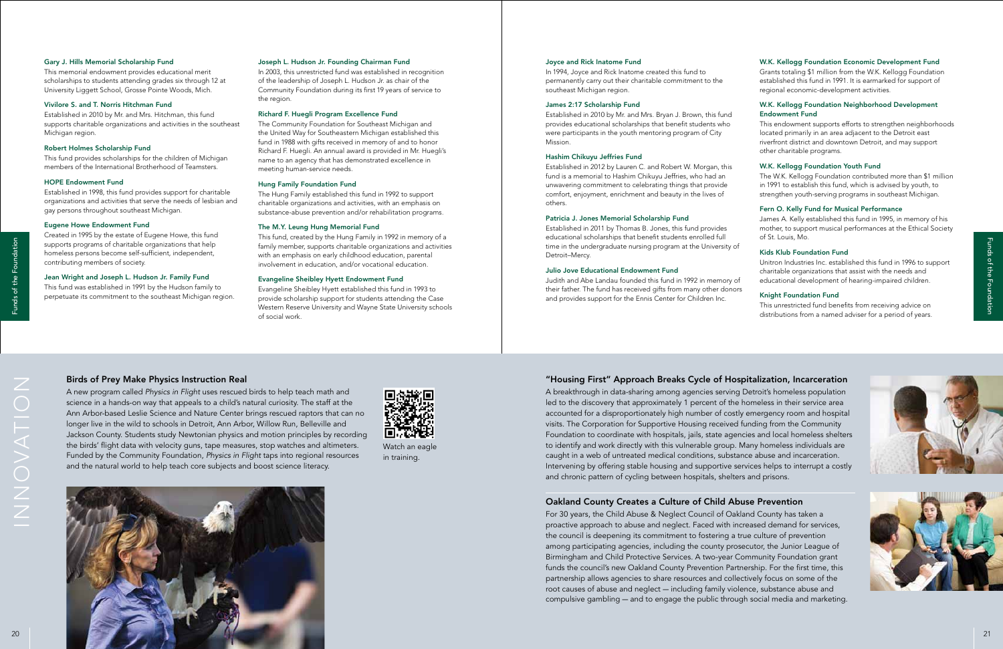### "Housing First" Approach Breaks Cycle of Hospitalization, Incarceration

A breakthrough in data-sharing among agencies serving Detroit's homeless population led to the discovery that approximately 1 percent of the homeless in their service area accounted for a disproportionately high number of costly emergency room and hospital visits. The Corporation for Supportive Housing received funding from the Community Foundation to coordinate with hospitals, jails, state agencies and local homeless shelters to identify and work directly with this vulnerable group. Many homeless individuals are caught in a web of untreated medical conditions, substance abuse and incarceration. Intervening by offering stable housing and supportive services helps to interrupt a costly and chronic pattern of cycling between hospitals, shelters and prisons.

### Oakland County Creates a Culture of Child Abuse Prevention

For 30 years, the Child Abuse & Neglect Council of Oakland County has taken a proactive approach to abuse and neglect. Faced with increased demand for services, the council is deepening its commitment to fostering a true culture of prevention among participating agencies, including the county prosecutor, the Junior League of Birmingham and Child Protective Services. A two-year Community Foundation grant funds the council's new Oakland County Prevention Partnership. For the first time, this partnership allows agencies to share resources and collectively focus on some of the root causes of abuse and neglect — including family violence, substance abuse and compulsive gambling — and to engage the public through social media and marketing.





### Birds of Prey Make Physics Instruction Real

A new program called *Physics in Flight* uses rescued birds to help teach math and science in a hands-on way that appeals to a child's natural curiosity. The staff at the Ann Arbor-based Leslie Science and Nature Center brings rescued raptors that can no longer live in the wild to schools in Detroit, Ann Arbor, Willow Run, Belleville and Jackson County. Students study Newtonian physics and motion principles by recording the birds' flight data with velocity guns, tape measures, stop watches and altimeters. Funded by the Community Foundation, *Physics in Flight* taps into regional resources and the natural world to help teach core subjects and boost science literacy.





### W.K. Kellogg Foundation Economic Development Fund

Grants totaling \$1 million from the W.K. Kellogg Foundation established this fund in 1991. It is earmarked for support of regional economic-development activities.

### W.K. Kellogg Foundation Neighborhood Development Endowment Fund

This endowment supports efforts to strengthen neighborhoods located primarily in an area adjacent to the Detroit east riverfront district and downtown Detroit, and may support other charitable programs.

### W.K. Kellogg Foundation Youth Fund

The W.K. Kellogg Foundation contributed more than \$1 million in 1991 to establish this fund, which is advised by youth, to strengthen youth-serving programs in southeast Michigan.

### Fern O. Kelly Fund for Musical Performance

James A. Kelly established this fund in 1995, in memory of his mother, to support musical performances at the Ethical Society of St. Louis, Mo.

### Kids Klub Foundation Fund

Unitron Industries Inc. established this fund in 1996 to support charitable organizations that assist with the needs and educational development of hearing-impaired children.

### Knight Foundation Fund

This unrestricted fund benefits from receiving advice on distributions from a named adviser for a period of years.

### Joyce and Rick Inatome Fund

In 1994, Joyce and Rick Inatome created this fund to permanently carry out their charitable commitment to the southeast Michigan region.

### James 2:17 Scholarship Fund

Established in 2010 by Mr. and Mrs. Bryan J. Brown, this fund provides educational scholarships that benefit students who were participants in the youth mentoring program of City Mission.

### Hashim Chikuyu Jeffries Fund

Established in 2012 by Lauren C. and Robert W. Morgan, this fund is a memorial to Hashim Chikuyu Jeffries, who had an unwavering commitment to celebrating things that provide comfort, enjoyment, enrichment and beauty in the lives of others.

### Patricia J. Jones Memorial Scholarship Fund

Established in 2011 by Thomas B. Jones, this fund provides educational scholarships that benefit students enrolled full time in the undergraduate nursing program at the University of Detroit–Mercy.

### Julio Jove Educational Endowment Fund

Judith and Abe Landau founded this fund in 1992 in memory of their father. The fund has received gifts from many other donors and provides support for the Ennis Center for Children Inc.

### Joseph L. Hudson Jr. Founding Chairman Fund

In 2003, this unrestricted fund was established in recognition of the leadership of Joseph L. Hudson Jr. as chair of the Community Foundation during its first 19 years of service to the region.

### Richard F. Huegli Program Excellence Fund

The Community Foundation for Southeast Michigan and the United Way for Southeastern Michigan established this fund in 1988 with gifts received in memory of and to honor Richard F. Huegli. An annual award is provided in Mr. Huegli's name to an agency that has demonstrated excellence in meeting human-service needs.

### Hung Family Foundation Fund

The Hung Family established this fund in 1992 to support charitable organizations and activities, with an emphasis on substance-abuse prevention and/or rehabilitation programs.

### The M.Y. Leung Hung Memorial Fund

This fund, created by the Hung Family in 1992 in memory of a family member, supports charitable organizations and activities with an emphasis on early childhood education, parental involvement in education, and/or vocational education.

### Evangeline Sheibley Hyett Endowment Fund

Evangeline Sheibley Hyett established this fund in 1993 to provide scholarship support for students attending the Case Western Reserve University and Wayne State University schools of social work.

### Gary J. Hills Memorial Scholarship Fund

This memorial endowment provides educational merit scholarships to students attending grades six through 12 at University Liggett School, Grosse Pointe Woods, Mich.

### Vivilore S. and T. Norris Hitchman Fund

Established in 2010 by Mr. and Mrs. Hitchman, this fund supports charitable organizations and activities in the southeast Michigan region.

### Robert Holmes Scholarship Fund

This fund provides scholarships for the children of Michigan members of the International Brotherhood of Teamsters.

### HOPE Endowment Fund

Established in 1998, this fund provides support for charitable organizations and activities that serve the needs of lesbian and gay persons throughout southeast Michigan.

### Eugene Howe Endowment Fund

Created in 1995 by the estate of Eugene Howe, this fund supports programs of charitable organizations that help homeless persons become self-sufficient, independent, contributing members of society.

### Jean Wright and Joseph L. Hudson Jr. Family Fund

This fund was established in 1991 by the Hudson family to perpetuate its commitment to the southeast Michigan region.

> Watch an eagle in training.

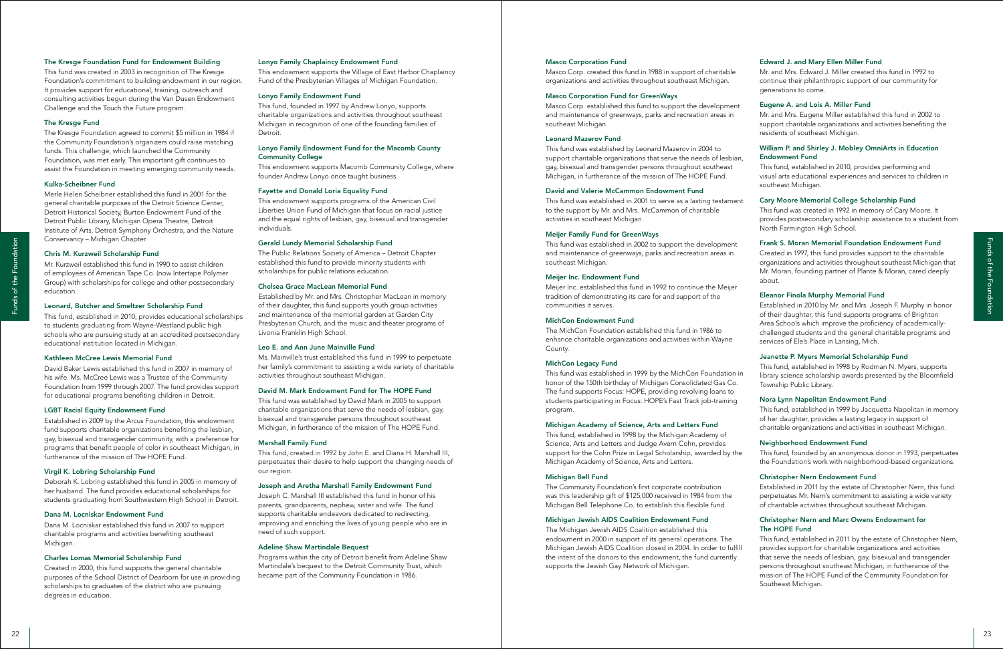### Edward J. and Mary Ellen Miller Fund

Mr. and Mrs. Edward J. Miller created this fund in 1992 to continue their philanthropic support of our community for generations to come.

### Eugene A. and Lois A. Miller Fund

Mr. and Mrs. Eugene Miller established this fund in 2002 to support charitable organizations and activities benefiting the residents of southeast Michigan.

### William P. and Shirley J. Mobley OmniArts in Education Endowment Fund

This fund, established in 2010, provides performing and visual arts educational experiences and services to children in southeast Michigan.

### Cary Moore Memorial College Scholarship Fund

This fund was created in 1992 in memory of Cary Moore. It provides postsecondary scholarship assistance to a student from North Farmington High School.

### Frank S. Moran Memorial Foundation Endowment Fund

Created in 1997, this fund provides support to the charitable organizations and activities throughout southeast Michigan that Mr. Moran, founding partner of Plante & Moran, cared deeply about.

### Eleanor Finola Murphy Memorial Fund

Established in 2010 by Mr. and Mrs. Joseph F. Murphy in honor of their daughter, this fund supports programs of Brighton Area Schools which improve the proficiency of academicallychallenged students and the general charitable programs and services of Ele's Place in Lansing, Mich.

Masco Corp. established this fund to support the development and maintenance of greenways, parks and recreation areas in southeast Michigan.

### Jeanette P. Myers Memorial Scholarship Fund

This fund, established in 1998 by Rodman N. Myers, supports library science scholarship awards presented by the Bloomfield Township Public Library.

### Nora Lynn Napolitan Endowment Fund

This fund, established in 1999 by Jacquetta Napolitan in memory of her daughter, provides a lasting legacy in support of charitable organizations and activities in southeast Michigan.

### Neighborhood Endowment Fund

This fund, founded by an anonymous donor in 1993, perpetuates the Foundation's work with neighborhood-based organizations.

### Christopher Nern Endowment Fund

Established in 2011 by the estate of Christopher Nern, this fund perpetuates Mr. Nern's commitment to assisting a wide variety of charitable activities throughout southeast Michigan.

### Christopher Nern and Marc Owens Endowment for The HOPE Fund

22  $2$   $\frac{1}{2}$   $\frac{1}{2}$   $\frac{1}{2}$   $\frac{1}{2}$   $\frac{1}{2}$   $\frac{1}{2}$   $\frac{1}{2}$   $\frac{1}{2}$   $\frac{1}{2}$   $\frac{1}{2}$   $\frac{1}{2}$   $\frac{1}{2}$   $\frac{1}{2}$   $\frac{1}{2}$   $\frac{1}{2}$   $\frac{1}{2}$   $\frac{1}{2}$   $\frac{1}{2}$   $\frac{1}{2}$   $\frac{1}{2}$   $\frac{1}{2}$   $\frac{$ This fund, established in 2011 by the estate of Christopher Nern, provides support for charitable organizations and activities that serve the needs of lesbian, gay, bisexual and transgender persons throughout southeast Michigan, in furtherance of the mission of The HOPE Fund of the Community Foundation for Southeast Michigan. The Michigan Jewish AIDS Coalition established this endowment in 2000 in support of its general operations. The Michigan Jewish AIDS Coalition closed in 2004. In order to fulfill the intent of the donors to this endowment, the fund currently supports the Jewish Gay Network of Michigan.

### Masco Corporation Fund

Masco Corp. created this fund in 1988 in support of charitable organizations and activities throughout southeast Michigan.

### Masco Corporation Fund for GreenWays

### Leonard Mazerov Fund

This fund was established by Leonard Mazerov in 2004 to support charitable organizations that serve the needs of lesbian, gay, bisexual and transgender persons throughout southeast Michigan, in furtherance of the mission of The HOPE Fund.

### David and Valerie McCammon Endowment Fund

This fund was established in 2001 to serve as a lasting testament to the support by Mr. and Mrs. McCammon of charitable activities in southeast Michigan.

### Meijer Family Fund for GreenWays

This fund was established in 2002 to support the development and maintenance of greenways, parks and recreation areas in southeast Michigan.

### Meijer Inc. Endowment Fund

Meijer Inc. established this fund in 1992 to continue the Meijer tradition of demonstrating its care for and support of the communities it serves.

### MichCon Endowment Fund

The MichCon Foundation established this fund in 1986 to enhance charitable organizations and activities within Wayne County.

### MichCon Legacy Fund

This fund was established in 1999 by the MichCon Foundation in honor of the 150th birthday of Michigan Consolidated Gas Co. The fund supports Focus: HOPE, providing revolving loans to students participating in Focus: HOPE's Fast Track job-training program.

### Michigan Academy of Science, Arts and Letters Fund

This fund, established in 1998 by the Michigan Academy of Science, Arts and Letters and Judge Avern Cohn, provides support for the Cohn Prize in Legal Scholarship, awarded by the Michigan Academy of Science, Arts and Letters.

### Michigan Bell Fund

The Community Foundation's first corporate contribution was this leadership gift of \$125,000 received in 1984 from the Michigan Bell Telephone Co. to establish this flexible fund.

### Michigan Jewish AIDS Coalition Endowment Fund

Dana M. Locniskar established this fund in 2007 to support charitable programs and activities benefiting southeast Michigan.

### Lonyo Family Chaplaincy Endowment Fund

This endowment supports the Village of East Harbor Chaplaincy Fund of the Presbyterian Villages of Michigan Foundation.

### Lonyo Family Endowment Fund

This fund, founded in 1997 by Andrew Lonyo, supports charitable organizations and activities throughout southeast Michigan in recognition of one of the founding families of Detroit.

### Lonyo Family Endowment Fund for the Macomb County Community College

This endowment supports Macomb Community College, where founder Andrew Lonyo once taught business.

### Fayette and Donald Loria Equality Fund

This endowment supports programs of the American Civil Liberties Union Fund of Michigan that focus on racial justice and the equal rights of lesbian, gay, bisexual and transgender individuals.

### Gerald Lundy Memorial Scholarship Fund

The Public Relations Society of America – Detroit Chapter established this fund to provide minority students with scholarships for public relations education.

### Chelsea Grace MacLean Memorial Fund

Established by Mr. and Mrs. Christopher MacLean in memory of their daughter, this fund supports youth group activities and maintenance of the memorial garden at Garden City Presbyterian Church, and the music and theater programs of Livonia Franklin High School.

### Leo E. and Ann June Mainville Fund

Ms. Mainville's trust established this fund in 1999 to perpetuate her family's commitment to assisting a wide variety of charitable activities throughout southeast Michigan.

### David M. Mark Endowment Fund for The HOPE Fund

This fund was established by David Mark in 2005 to support charitable organizations that serve the needs of lesbian, gay, bisexual and transgender persons throughout southeast Michigan, in furtherance of the mission of The HOPE Fund.

### Marshall Family Fund

This fund, created in 1992 by John E. and Diana H. Marshall III, perpetuates their desire to help support the changing needs of our region.

### Joseph and Aretha Marshall Family Endowment Fund

Joseph C. Marshall III established this fund in honor of his parents, grandparents, nephew, sister and wife. The fund supports charitable endeavors dedicated to redirecting, improving and enriching the lives of young people who are in need of such support.

### Adeline Shaw Martindale Bequest

Programs within the city of Detroit benefit from Adeline Shaw Martindale's bequest to the Detroit Community Trust, which became part of the Community Foundation in 1986.

### The Kresge Foundation Fund for Endowment Building

This fund was created in 2003 in recognition of The Kresge Foundation's commitment to building endowment in our region. It provides support for educational, training, outreach and consulting activities begun during the Van Dusen Endowment Challenge and the Touch the Future program.

### The Kresge Fund

The Kresge Foundation agreed to commit \$5 million in 1984 if the Community Foundation's organizers could raise matching funds. This challenge, which launched the Community Foundation, was met early. This important gift continues to assist the Foundation in meeting emerging community needs.

### Kulka-Scheibner Fund

Merle Helen Scheibner established this fund in 2001 for the general charitable purposes of the Detroit Science Center, Detroit Historical Society, Burton Endowment Fund of the Detroit Public Library, Michigan Opera Theatre, Detroit Institute of Arts, Detroit Symphony Orchestra, and the Nature Conservancy – Michigan Chapter.

### Chris M. Kurzweil Scholarship Fund

Mr. Kurzweil established this fund in 1990 to assist children of employees of American Tape Co. (now Intertape Polymer Group) with scholarships for college and other postsecondary education.

### Leonard, Butcher and Smeltzer Scholarship Fund

This fund, established in 2010, provides educational scholarships to students graduating from Wayne-Westland public high schools who are pursuing study at an accredited postsecondary educational institution located in Michigan.

### Kathleen McCree Lewis Memorial Fund

David Baker Lewis established this fund in 2007 in memory of his wife. Ms. McCree Lewis was a Trustee of the Community Foundation from 1999 through 2007. The fund provides support for educational programs benefiting children in Detroit.

### LGBT Racial Equity Endowment Fund

Established in 2009 by the Arcus Foundation, this endowment fund supports charitable organizations benefiting the lesbian, gay, bisexual and transgender community, with a preference for programs that benefit people of color in southeast Michigan, in furtherance of the mission of The HOPE Fund.

### Virgil K. Lobring Scholarship Fund

Deborah K. Lobring established this fund in 2005 in memory of her husband. The fund provides educational scholarships for students graduating from Southwestern High School in Detroit.

### Dana M. Locniskar Endowment Fund

### Charles Lomas Memorial Scholarship Fund

Created in 2000, this fund supports the general charitable purposes of the School District of Dearborn for use in providing scholarships to graduates of the district who are pursuing degrees in education.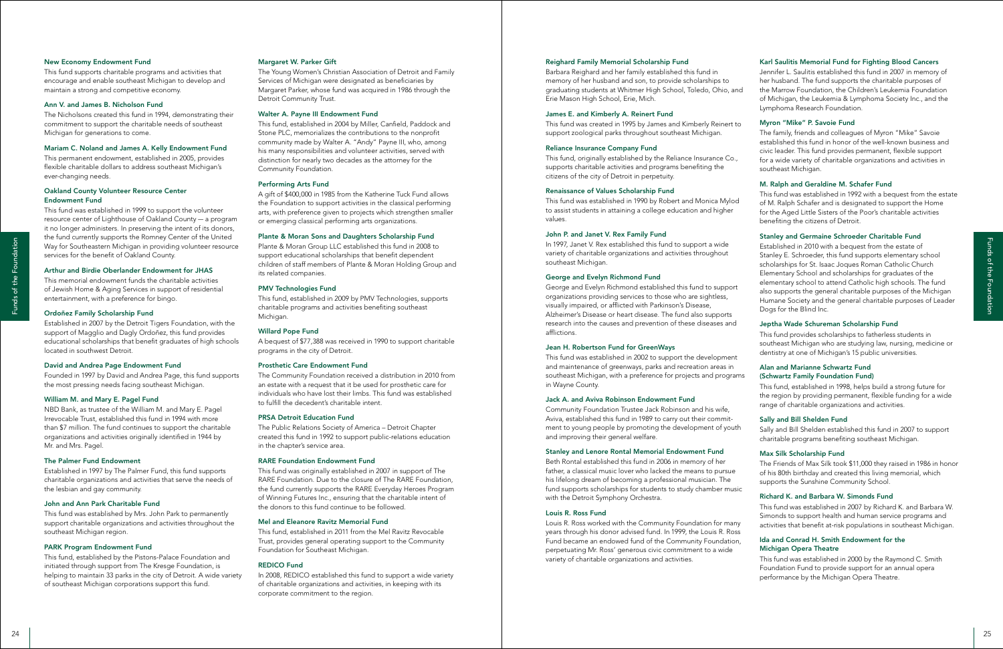### Karl Saulitis Memorial Fund for Fighting Blood Cancers

The family, friends and colleagues of Myron "Mike" Savoie established this fund in honor of the well-known business and civic leader. This fund provides permanent, flexible support for a wide variety of charitable organizations and activities in southeast Michigan.

Jennifer L. Saulitis established this fund in 2007 in memory of her husband. The fund supports the charitable purposes of the Marrow Foundation, the Children's Leukemia Foundation of Michigan, the Leukemia & Lymphoma Society Inc., and the Lymphoma Research Foundation.

### Myron "Mike" P. Savoie Fund

### M. Ralph and Geraldine M. Schafer Fund

<sup>24</sup> <sup>25</sup> Funds of the FoundationFunds of the Foundation Established in 2010 with a bequest from the estate of Stanley E. Schroeder, this fund supports elementary school scholarships for St. Isaac Joques Roman Catholic Church Elementary School and scholarships for graduates of the elementary school to attend Catholic high schools. The fund also supports the general charitable purposes of the Michigan Humane Society and the general charitable purposes of Leader Dogs for the Blind Inc.

### Stanley and Germaine Schroeder Charitable Fund

### Jeptha Wade Schureman Scholarship Fund

This fund provides scholarships to fatherless students in southeast Michigan who are studying law, nursing, medicine or dentistry at one of Michigan's 15 public universities.

This fund, originally established by the Reliance Insurance Co., supports charitable activities and programs benefiting the citizens of the city of Detroit in perpetuity.

### Alan and Marianne Schwartz Fund

### (Schwartz Family Foundation Fund)

This fund, established in 1998, helps build a strong future for the region by providing permanent, flexible funding for a wide range of charitable organizations and activities.

### Sally and Bill Shelden Fund

Sally and Bill Shelden established this fund in 2007 to support charitable programs benefiting southeast Michigan.

### Max Silk Scholarship Fund

This fund was established in 1992 with a bequest from the estate of M. Ralph Schafer and is designated to support the Home for the Aged Little Sisters of the Poor's charitable activities benefiting the citizens of Detroit. This fund was established in 1990 by Robert and Monica Mylod to assist students in attaining a college education and higher values.

> The Friends of Max Silk took \$11,000 they raised in 1986 in honor of his 80th birthday and created this living memorial, which supports the Sunshine Community School.

### Richard K. and Barbara W. Simonds Fund

This fund was established in 2007 by Richard K. and Barbara W. Simonds to support health and human service programs and activities that benefit at-risk populations in southeast Michigan.

### Ida and Conrad H. Smith Endowment for the Michigan Opera Theatre

This fund was established in 2000 by the Raymond C. Smith Foundation Fund to provide support for an annual opera performance by the Michigan Opera Theatre.

### Reighard Family Memorial Scholarship Fund

Barbara Reighard and her family established this fund in memory of her husband and son, to provide scholarships to graduating students at Whitmer High School, Toledo, Ohio, and Erie Mason High School, Erie, Mich.

### James E. and Kimberly A. Reinert Fund

This fund was created in 1995 by James and Kimberly Reinert to support zoological parks throughout southeast Michigan.

### Reliance Insurance Company Fund

### Renaissance of Values Scholarship Fund

### John P. and Janet V. Rex Family Fund

In 1997, Janet V. Rex established this fund to support a wide variety of charitable organizations and activities throughout southeast Michigan.

### George and Evelyn Richmond Fund

George and Evelyn Richmond established this fund to support organizations providing services to those who are sightless, visually impaired, or afflicted with Parkinson's Disease, Alzheimer's Disease or heart disease. The fund also supports research into the causes and prevention of these diseases and afflictions.

### Jean H. Robertson Fund for GreenWays

This fund was established in 2002 to support the development and maintenance of greenways, parks and recreation areas in southeast Michigan, with a preference for projects and programs in Wayne County.

### Jack A. and Aviva Robinson Endowment Fund

Community Foundation Trustee Jack Robinson and his wife, Aviva, established this fund in 1989 to carry out their commitment to young people by promoting the development of youth and improving their general welfare.

### Stanley and Lenore Rontal Memorial Endowment Fund

Beth Rontal established this fund in 2006 in memory of her father, a classical music lover who lacked the means to pursue his lifelong dream of becoming a professional musician. The fund supports scholarships for students to study chamber music with the Detroit Symphony Orchestra.

### Louis R. Ross Fund

Louis R. Ross worked with the Community Foundation for many years through his donor advised fund. In 1999, the Louis R. Ross Fund became an endowed fund of the Community Foundation, perpetuating Mr. Ross' generous civic commitment to a wide variety of charitable organizations and activities.

### Margaret W. Parker Gift

The Young Women's Christian Association of Detroit and Family Services of Michigan were designated as beneficiaries by Margaret Parker, whose fund was acquired in 1986 through the Detroit Community Trust.

### Walter A. Payne III Endowment Fund

This fund, established in 2004 by Miller, Canfield, Paddock and Stone PLC, memorializes the contributions to the nonprofit community made by Walter A. "Andy" Payne III, who, among his many responsibilities and volunteer activities, served with distinction for nearly two decades as the attorney for the Community Foundation.

### Performing Arts Fund

A gift of \$400,000 in 1985 from the Katherine Tuck Fund allows the Foundation to support activities in the classical performing arts, with preference given to projects which strengthen smaller or emerging classical performing arts organizations.

### Plante & Moran Sons and Daughters Scholarship Fund

Plante & Moran Group LLC established this fund in 2008 to support educational scholarships that benefit dependent children of staff members of Plante & Moran Holding Group and its related companies.

### PMV Technologies Fund

This fund, established in 2009 by PMV Technologies, supports charitable programs and activities benefiting southeast Michigan.

### Willard Pope Fund

A bequest of \$77,388 was received in 1990 to support charitable programs in the city of Detroit.

### Prosthetic Care Endowment Fund

The Community Foundation received a distribution in 2010 from an estate with a request that it be used for prosthetic care for individuals who have lost their limbs. This fund was established to fulfill the decedent's charitable intent.

### PRSA Detroit Education Fund

The Public Relations Society of America – Detroit Chapter created this fund in 1992 to support public-relations education in the chapter's service area.

### RARE Foundation Endowment Fund

This fund was originally established in 2007 in support of The RARE Foundation. Due to the closure of The RARE Foundation, the fund currently supports the RARE Everyday Heroes Program of Winning Futures Inc., ensuring that the charitable intent of the donors to this fund continue to be followed.

### Mel and Eleanore Ravitz Memorial Fund

This fund, established in 2011 from the Mel Ravitz Revocable Trust, provides general operating support to the Community Foundation for Southeast Michigan.

### REDICO Fund

In 2008, REDICO established this fund to support a wide variety of charitable organizations and activities, in keeping with its corporate commitment to the region.

### New Economy Endowment Fund

This fund supports charitable programs and activities that encourage and enable southeast Michigan to develop and maintain a strong and competitive economy.

### Ann V. and James B. Nicholson Fund

The Nicholsons created this fund in 1994, demonstrating their commitment to support the charitable needs of southeast Michigan for generations to come.

### Mariam C. Noland and James A. Kelly Endowment Fund

This permanent endowment, established in 2005, provides flexible charitable dollars to address southeast Michigan's ever-changing needs.

### Oakland County Volunteer Resource Center Endowment Fund

This fund was established in 1999 to support the volunteer resource center of Lighthouse of Oakland County — a program it no longer administers. In preserving the intent of its donors, the fund currently supports the Romney Center of the United Way for Southeastern Michigan in providing volunteer resource services for the benefit of Oakland County.

### Arthur and Birdie Oberlander Endowment for JHAS

This memorial endowment funds the charitable activities of Jewish Home & Aging Services in support of residential entertainment, with a preference for bingo.

### Ordoñez Family Scholarship Fund

Established in 2007 by the Detroit Tigers Foundation, with the support of Magglio and Dagly Ordoñez, this fund provides educational scholarships that benefit graduates of high schools located in southwest Detroit.

### David and Andrea Page Endowment Fund

Founded in 1997 by David and Andrea Page, this fund supports the most pressing needs facing southeast Michigan.

### William M. and Mary E. Pagel Fund

NBD Bank, as trustee of the William M. and Mary E. Pagel Irrevocable Trust, established this fund in 1994 with more than \$7 million. The fund continues to support the charitable organizations and activities originally identified in 1944 by Mr. and Mrs. Pagel.

### The Palmer Fund Endowment

Established in 1997 by The Palmer Fund, this fund supports charitable organizations and activities that serve the needs of the lesbian and gay community.

### John and Ann Park Charitable Fund

This fund was established by Mrs. John Park to permanently support charitable organizations and activities throughout the southeast Michigan region.

### PARK Program Endowment Fund

This fund, established by the Pistons-Palace Foundation and initiated through support from The Kresge Foundation, is helping to maintain 33 parks in the city of Detroit. A wide variety of southeast Michigan corporations support this fund.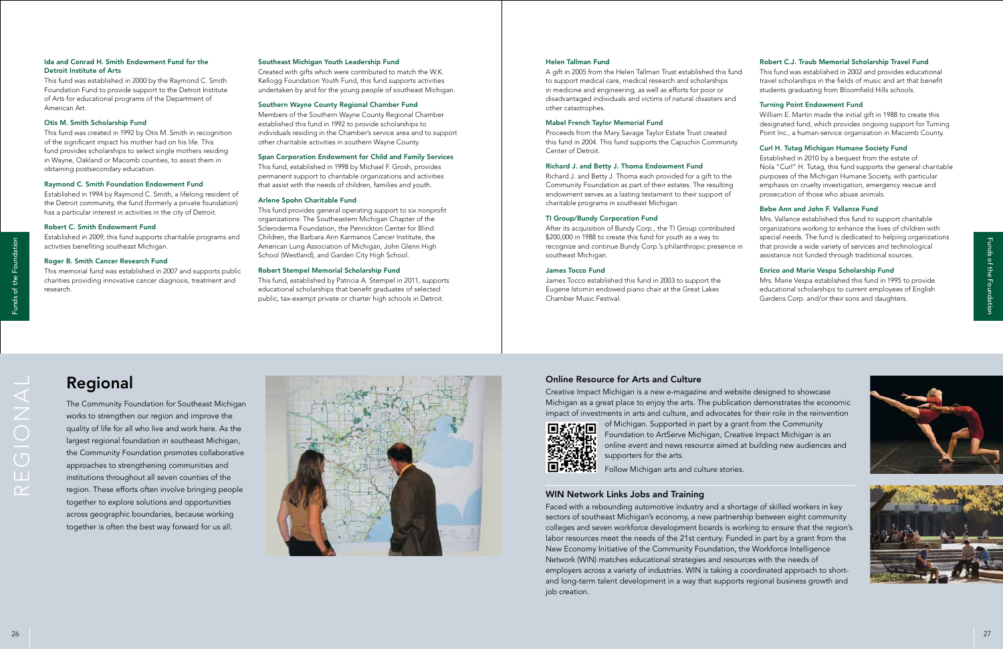# Regional

The Community Foundation for Southeast Michigan works to strengthen our region and improve the quality of life for all who live and work here. As the largest regional foundation in southeast Michigan, the Community Foundation promotes collaborative approaches to strengthening communities and institutions throughout all seven counties of the region. These efforts often involve bringing people together to explore solutions and opportunities across geographic boundaries, because working together is often the best way forward for us all.

### Online Resource for Arts and Culture

Creative Impact Michigan is a new e-magazine and website designed to showcase Michigan as a great place to enjoy the arts. The publication demonstrates the economic impact of investments in arts and culture, and advocates for their role in the reinvention of Michigan. Supported in part by a grant from the Community Foundation to ArtServe Michigan, Creative Impact Michigan is an online event and news resource aimed at building new audiences and



supporters for the arts.

Follow Michigan arts and culture stories.

### WIN Network Links Jobs and Training

Faced with a rebounding automotive industry and a shortage of skilled workers in key sectors of southeast Michigan's economy, a new partnership between eight community colleges and seven workforce development boards is working to ensure that the region's labor resources meet the needs of the 21st century. Funded in part by a grant from the New Economy Initiative of the Community Foundation, the Workforce Intelligence Network (WIN) matches educational strategies and resources with the needs of employers across a variety of industries. WIN is taking a coordinated approach to shortand long-term talent development in a way that supports regional business growth and job creation.

regional



### Robert C.J. Traub Memorial Scholarship Travel Fund

This fund was established in 2002 and provides educational travel scholarships in the fields of music and art that benefit students graduating from Bloomfield Hills schools.

### Turning Point Endowment Fund

William E. Martin made the initial gift in 1988 to create this designated fund, which provides ongoing support for Turning Point Inc., a human-service organization in Macomb County.

### Curl H. Tutag Michigan Humane Society Fund

Established in 2010 by a bequest from the estate of Nola "Curl" H. Tutag, this fund supports the general charitable purposes of the Michigan Humane Society, with particular emphasis on cruelty investigation, emergency rescue and prosecution of those who abuse animals.

### Bebe Ann and John F. Vallance Fund

Mrs. Vallance established this fund to support charitable organizations working to enhance the lives of children with special needs. The fund is dedicated to helping organizations that provide a wide variety of services and technological assistance not funded through traditional sources.

### Enrico and Marie Vespa Scholarship Fund

Mrs. Marie Vespa established this fund in 1995 to provide educational scholarships to current employees of English Gardens Corp. and/or their sons and daughters.





### Helen Tallman Fund

A gift in 2005 from the Helen Tallman Trust established this fund to support medical care, medical research and scholarships in medicine and engineering, as well as efforts for poor or disadvantaged individuals and victims of natural disasters and other catastrophes.

### Mabel French Taylor Memorial Fund

Proceeds from the Mary Savage Taylor Estate Trust created this fund in 2004. This fund supports the Capuchin Community Center of Detroit.

### Richard J. and Betty J. Thoma Endowment Fund

Richard J. and Betty J. Thoma each provided for a gift to the Community Foundation as part of their estates. The resulting endowment serves as a lasting testament to their support of charitable programs in southeast Michigan.

### TI Group/Bundy Corporation Fund

After its acquisition of Bundy Corp., the TI Group contributed \$200,000 in 1988 to create this fund for youth as a way to recognize and continue Bundy Corp.'s philanthropic presence in southeast Michigan.

### James Tocco Fund

James Tocco established this fund in 2003 to support the Eugene Istomin endowed piano chair at the Great Lakes Chamber Music Festival.

### Southeast Michigan Youth Leadership Fund

Created with gifts which were contributed to match the W.K. Kellogg Foundation Youth Fund, this fund supports activities undertaken by and for the young people of southeast Michigan.

### Southern Wayne County Regional Chamber Fund

Members of the Southern Wayne County Regional Chamber established this fund in 1992 to provide scholarships to individuals residing in the Chamber's service area and to support other charitable activities in southern Wayne County.

### Span Corporation Endowment for Child and Family Services

This fund, established in 1998 by Michael F. Grosh, provides permanent support to charitable organizations and activities that assist with the needs of children, families and youth.

### Arlene Spohn Charitable Fund

This fund provides general operating support to six nonprofit organizations: The Southeastern Michigan Chapter of the Scleroderma Foundation, the Penrickton Center for Blind Children, the Barbara Ann Karmanos Cancer Institute, the American Lung Association of Michigan, John Glenn High School (Westland), and Garden City High School.

### Robert Stempel Memorial Scholarship Fund

This fund, established by Patricia A. Stempel in 2011, supports educational scholarships that benefit graduates of selected public, tax-exempt private or charter high schools in Detroit.

### Ida and Conrad H. Smith Endowment Fund for the Detroit Institute of Arts

This fund was established in 2000 by the Raymond C. Smith Foundation Fund to provide support to the Detroit Institute of Arts for educational programs of the Department of American Art.

### Otis M. Smith Scholarship Fund

This fund was created in 1992 by Otis M. Smith in recognition of the significant impact his mother had on his life. This fund provides scholarships to select single mothers residing in Wayne, Oakland or Macomb counties, to assist them in obtaining postsecondary education.

### Raymond C. Smith Foundation Endowment Fund

Established in 1994 by Raymond C. Smith, a lifelong resident of the Detroit community, the fund (formerly a private foundation) has a particular interest in activities in the city of Detroit.

### Robert C. Smith Endowment Fund

Established in 2009, this fund supports charitable programs and activities benefiting southeast Michigan.

### Roger B. Smith Cancer Research Fund

This memorial fund was established in 2007 and supports public charities providing innovative cancer diagnosis, treatment and research.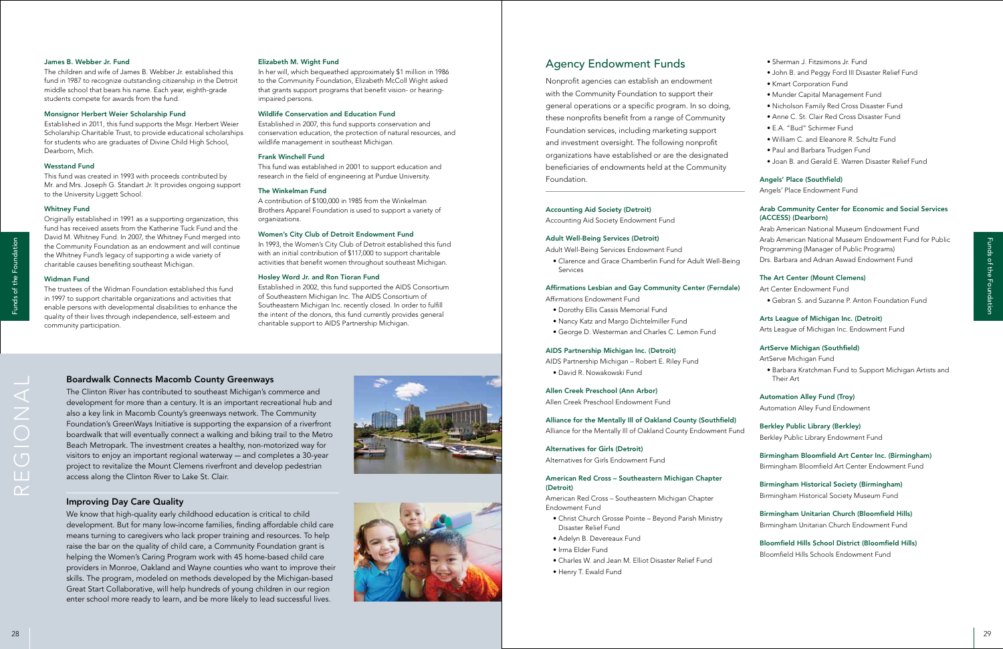### Boardwalk Connects Macomb County Greenways

The Clinton River has contributed to southeast Michigan's commerce and development for more than a century. It is an important recreational hub and also a key link in Macomb County's greenways network. The Community Foundation's GreenWays Initiative is supporting the expansion of a riverfront boardwalk that will eventually connect a walking and biking trail to the Metro Beach Metropark. The investment creates a healthy, non-motorized way for visitors to enjoy an important regional waterway — and completes a 30-year project to revitalize the Mount Clemens riverfront and develop pedestrian access along the Clinton River to Lake St. Clair.



### Improving Day Care Quality

We know that high-quality early childhood education is critical to child development. But for many low-income families, finding affordable child care means turning to caregivers who lack proper training and resources. To help raise the bar on the quality of child care, a Community Foundation grant is helping the Women's Caring Program work with 45 home-based child care providers in Monroe, Oakland and Wayne counties who want to improve their skills. The program, modeled on methods developed by the Michigan-based Great Start Collaborative, will help hundreds of young children in our region enter school more ready to learn, and be more likely to lead successful lives. <sup>28</sup> <sup>29</sup> Funds of the FoundationFunds of the Foundation



regional

- Sherman J. Fitzsimons Jr. Fund
- John B. and Peggy Ford III Disaster Relief Fund
- Kmart Corporation Fund
- Munder Capital Management Fund
- Nicholson Family Red Cross Disaster Fund
- Anne C. St. Clair Red Cross Disaster Fund
- E.A. "Bud" Schirmer Fund
- William C. and Eleanore R. Schultz Fund
- Paul and Barbara Trudgen Fund
- Joan B. and Gerald E. Warren Disaster Relief Fund

### Angels' Place (Southfield)

Angels' Place Endowment Fund

### Arab Community Center for Economic and Social Services (ACCESS) (Dearborn)

Arab American National Museum Endowment Fund Arab American National Museum Endowment Fund for Public Programming (Manager of Public Programs) Drs. Barbara and Adnan Aswad Endowment Fund

### The Art Center (Mount Clemens)

Art Center Endowment Fund • Gebran S. and Suzanne P. Anton Foundation Fund

### Arts League of Michigan Inc. (Detroit)

Arts League of Michigan Inc. Endowment Fund

### ArtServe Michigan (Southfield)

ArtServe Michigan Fund

• Barbara Kratchman Fund to Support Michigan Artists and Their Art

### Automation Alley Fund (Troy)

Automation Alley Fund Endowment

### Berkley Public Library (Berkley)

Berkley Public Library Endowment Fund

### Birmingham Bloomfield Art Center Inc. (Birmingham) Birmingham Bloomfield Art Center Endowment Fund

Birmingham Historical Society (Birmingham) Birmingham Historical Society Museum Fund

Birmingham Unitarian Church (Bloomfield Hills) Birmingham Unitarian Church Endowment Fund

Bloomfield Hills School District (Bloomfield Hills) Bloomfield Hills Schools Endowment Fund

# Agency Endowment Funds

Nonprofit agencies can establish an endowment with the Community Foundation to support their general operations or a specific program. In so doing, these nonprofits benefit from a range of Community Foundation services, including marketing support and investment oversight. The following nonprofit organizations have established or are the designated beneficiaries of endowments held at the Community Foundation.

### Accounting Aid Society (Detroit)

Accounting Aid Society Endowment Fund

### Adult Well-Being Services (Detroit)

Adult Well-Being Services Endowment Fund

• Clarence and Grace Chamberlin Fund for Adult Well-Being Services

### Affirmations Lesbian and Gay Community Center (Ferndale)

Affirmations Endowment Fund

- Dorothy Ellis Cassis Memorial Fund
- Nancy Katz and Margo Dichtelmiller Fund
- George D. Westerman and Charles C. Lemon Fund

### AIDS Partnership Michigan Inc. (Detroit)

AIDS Partnership Michigan – Robert E. Riley Fund • David R. Nowakowski Fund

### Allen Creek Preschool (Ann Arbor)

Allen Creek Preschool Endowment Fund

# Alliance for the Mentally Ill of Oakland County (Southfield)

Alliance for the Mentally Ill of Oakland County Endowment Fund

### Alternatives for Girls (Detroit)

Alternatives for Girls Endowment Fund

### American Red Cross – Southeastern Michigan Chapter (Detroit)

American Red Cross – Southeastern Michigan Chapter Endowment Fund

- Christ Church Grosse Pointe Beyond Parish Ministry Disaster Relief Fund
- Adelyn B. Devereaux Fund
- Irma Elder Fund
- Charles W. and Jean M. Elliot Disaster Relief Fund
- Henry T. Ewald Fund

### Elizabeth M. Wight Fund

In her will, which bequeathed approximately \$1 million in 1986 to the Community Foundation, Elizabeth McColl Wight asked that grants support programs that benefit vision- or hearingimpaired persons.

### Wildlife Conservation and Education Fund

Established in 2007, this fund supports conservation and conservation education, the protection of natural resources, and wildlife management in southeast Michigan.

### Frank Winchell Fund

This fund was established in 2001 to support education and research in the field of engineering at Purdue University.

### The Winkelman Fund

A contribution of \$100,000 in 1985 from the Winkelman Brothers Apparel Foundation is used to support a variety of organizations.

### Women's City Club of Detroit Endowment Fund

In 1993, the Women's City Club of Detroit established this fund with an initial contribution of \$117,000 to support charitable activities that benefit women throughout southeast Michigan.

### Hosley Word Jr. and Ron Tioran Fund

Established in 2002, this fund supported the AIDS Consortium of Southeastern Michigan Inc. The AIDS Consortium of Southeastern Michigan Inc. recently closed. In order to fulfill the intent of the donors, this fund currently provides general charitable support to AIDS Partnership Michigan.

### James B. Webber Jr. Fund

The children and wife of James B. Webber Jr. established this fund in 1987 to recognize outstanding citizenship in the Detroit middle school that bears his name. Each year, eighth-grade students compete for awards from the fund.

### Monsignor Herbert Weier Scholarship Fund

Established in 2011, this fund supports the Msgr. Herbert Weier Scholarship Charitable Trust, to provide educational scholarships for students who are graduates of Divine Child High School, Dearborn, Mich.

### Wesstand Fund

This fund was created in 1993 with proceeds contributed by Mr. and Mrs. Joseph G. Standart Jr. It provides ongoing support to the University Liggett School.

### Whitney Fund

Originally established in 1991 as a supporting organization, this fund has received assets from the Katherine Tuck Fund and the David M. Whitney Fund. In 2007, the Whitney Fund merged into the Community Foundation as an endowment and will continue the Whitney Fund's legacy of supporting a wide variety of charitable causes benefiting southeast Michigan.

### Widman Fund

The trustees of the Widman Foundation established this fund in 1997 to support charitable organizations and activities that enable persons with developmental disabilities to enhance the quality of their lives through independence, self-esteem and community participation.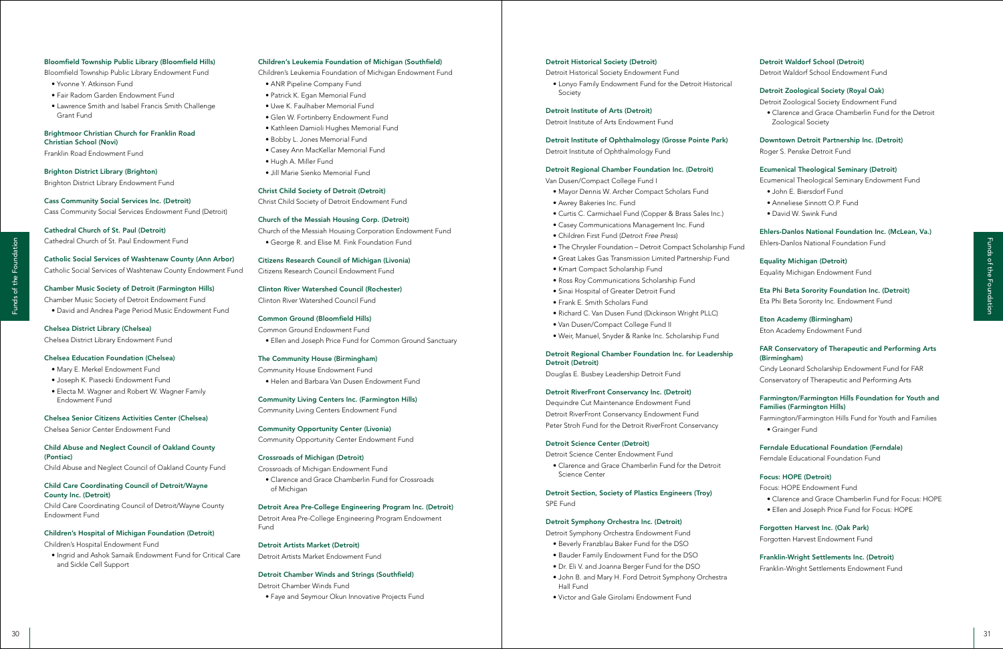### Detroit Waldorf School (Detroit)

Detroit Waldorf School Endowment Fund

### Detroit Zoological Society (Royal Oak)

Detroit Zoological Society Endowment Fund

• Clarence and Grace Chamberlin Fund for the Detroit Zoological Society

### Downtown Detroit Partnership Inc. (Detroit)

Roger S. Penske Detroit Fund

### Ecumenical Theological Seminary (Detroit)

Ecumenical Theological Seminary Endowment Fund

- John E. Biersdorf Fund
- Anneliese Sinnott O.P. Fund
- David W. Swink Fund

### Ehlers-Danlos National Foundation Inc. (McLean, Va.)

Ehlers-Danlos National Foundation Fund

Equality Michigan (Detroit) Equality Michigan Endowment Fund

Eta Phi Beta Sorority Foundation Inc. (Detroit) Eta Phi Beta Sorority Inc. Endowment Fund

Eton Academy (Birmingham) Eton Academy Endowment Fund

### FAR Conservatory of Therapeutic and Performing Arts (Birmingham)

Cindy Leonard Scholarship Endowment Fund for FAR Conservatory of Therapeutic and Performing Arts

### Farmington/Farmington Hills Foundation for Youth and Families (Farmington Hills)

Farmington/Farmington Hills Fund for Youth and Families • Grainger Fund

Ferndale Educational Foundation (Ferndale) Ferndale Educational Foundation Fund

### Focus: HOPE (Detroit)

Focus: HOPE Endowment Fund

- Clarence and Grace Chamberlin Fund for Focus: HOPE
- Ellen and Joseph Price Fund for Focus: HOPE

Forgotten Harvest Inc. (Oak Park) Forgotten Harvest Endowment Fund

<sup>30</sup> <sup>31</sup> Funds of the FoundationFunds of the Foundation Dequindre Cut Maintenance Endowment Fund Detroit RiverFront Conservancy Endowment Fund Peter Stroh Fund for the Detroit RiverFront Conservancy

Franklin-Wright Settlements Inc. (Detroit) Franklin-Wright Settlements Endowment Fund

### Detroit Historical Society (Detroit)

Detroit Historical Society Endowment Fund

• Lonyo Family Endowment Fund for the Detroit Historical Society

Detroit Institute of Arts (Detroit)

Detroit Institute of Arts Endowment Fund

Detroit Institute of Ophthalmology (Grosse Pointe Park) Detroit Institute of Ophthalmology Fund

### Detroit Regional Chamber Foundation Inc. (Detroit)

Van Dusen/Compact College Fund I

- Mayor Dennis W. Archer Compact Scholars Fund
- Awrey Bakeries Inc. Fund
- Curtis C. Carmichael Fund (Copper & Brass Sales Inc.)
- Casey Communications Management Inc. Fund
- Children First Fund (*Detroit Free Press*)
- The Chrysler Foundation Detroit Compact Scholarship Fund
- Great Lakes Gas Transmission Limited Partnership Fund
- Kmart Compact Scholarship Fund
- Ross Roy Communications Scholarship Fund
- Sinai Hospital of Greater Detroit Fund
- Frank E. Smith Scholars Fund
- Richard C. Van Dusen Fund (Dickinson Wright PLLC)
- Van Dusen/Compact College Fund II
- Weir, Manuel, Snyder & Ranke Inc. Scholarship Fund

### Detroit Regional Chamber Foundation Inc. for Leadership Detroit (Detroit)

Douglas E. Busbey Leadership Detroit Fund

### Detroit RiverFront Conservancy Inc. (Detroit)

### Detroit Science Center (Detroit)

Detroit Science Center Endowment Fund

• Clarence and Grace Chamberlin Fund for the Detroit Science Center

Detroit Section, Society of Plastics Engineers (Troy) SPE Fund

### Detroit Symphony Orchestra Inc. (Detroit)

Detroit Symphony Orchestra Endowment Fund

- Beverly Franzblau Baker Fund for the DSO
- Bauder Family Endowment Fund for the DSO
- Dr. Eli V. and Joanna Berger Fund for the DSO
- John B. and Mary H. Ford Detroit Symphony Orchestra Hall Fund
- Victor and Gale Girolami Endowment Fund

### Children's Leukemia Foundation of Michigan (Southfield)

Children's Leukemia Foundation of Michigan Endowment Fund

- ANR Pipeline Company Fund
- Patrick K. Egan Memorial Fund
- Uwe K. Faulhaber Memorial Fund
- Glen W. Fortinberry Endowment Fund
- Kathleen Damioli Hughes Memorial Fund
- Bobby L. Jones Memorial Fund
- Casey Ann MacKellar Memorial Fund
- Hugh A. Miller Fund
- Jill Marie Sienko Memorial Fund

### Christ Child Society of Detroit (Detroit)

Christ Child Society of Detroit Endowment Fund

### Church of the Messiah Housing Corp. (Detroit)

Church of the Messiah Housing Corporation Endowment Fund • George R. and Elise M. Fink Foundation Fund

Citizens Research Council of Michigan (Livonia)

Citizens Research Council Endowment Fund

Clinton River Watershed Council (Rochester) Clinton River Watershed Council Fund

Common Ground (Bloomfield Hills) Common Ground Endowment Fund

• Ellen and Joseph Price Fund for Common Ground Sanctuary

### The Community House (Birmingham)

Community House Endowment Fund • Helen and Barbara Van Dusen Endowment Fund

Community Living Centers Inc. (Farmington Hills) Community Living Centers Endowment Fund

Community Opportunity Center (Livonia) Community Opportunity Center Endowment Fund

### Crossroads of Michigan (Detroit)

Crossroads of Michigan Endowment Fund

• Clarence and Grace Chamberlin Fund for Crossroads of Michigan

Detroit Area Pre-College Engineering Program Inc. (Detroit) Detroit Area Pre-College Engineering Program Endowment Fund

Detroit Artists Market (Detroit) Detroit Artists Market Endowment Fund

Detroit Chamber Winds and Strings (Southfield)

Detroit Chamber Winds Fund

• Faye and Seymour Okun Innovative Projects Fund

### Bloomfield Township Public Library (Bloomfield Hills)

Bloomfield Township Public Library Endowment Fund

- Yvonne Y. Atkinson Fund
- Fair Radom Garden Endowment Fund
- Lawrence Smith and Isabel Francis Smith Challenge Grant Fund

### Brightmoor Christian Church for Franklin Road Christian School (Novi)

Franklin Road Endowment Fund

Brighton District Library (Brighton)

Brighton District Library Endowment Fund

Cass Community Social Services Inc. (Detroit) Cass Community Social Services Endowment Fund (Detroit)

Cathedral Church of St. Paul (Detroit) Cathedral Church of St. Paul Endowment Fund

Catholic Social Services of Washtenaw County (Ann Arbor) Catholic Social Services of Washtenaw County Endowment Fund

Chamber Music Society of Detroit (Farmington Hills) Chamber Music Society of Detroit Endowment Fund • David and Andrea Page Period Music Endowment Fund

Chelsea District Library (Chelsea) Chelsea District Library Endowment Fund

### Chelsea Education Foundation (Chelsea)

- Mary E. Merkel Endowment Fund
- Joseph K. Piasecki Endowment Fund
- Electa M. Wagner and Robert W. Wagner Family Endowment Fund

### Chelsea Senior Citizens Activities Center (Chelsea)

Chelsea Senior Center Endowment Fund

Child Abuse and Neglect Council of Oakland County (Pontiac)

Child Abuse and Neglect Council of Oakland County Fund

Child Care Coordinating Council of Detroit/Wayne County Inc. (Detroit)

Child Care Coordinating Council of Detroit/Wayne County Endowment Fund

### Children's Hospital of Michigan Foundation (Detroit)

Children's Hospital Endowment Fund

• Ingrid and Ashok Sarnaik Endowment Fund for Critical Care and Sickle Cell Support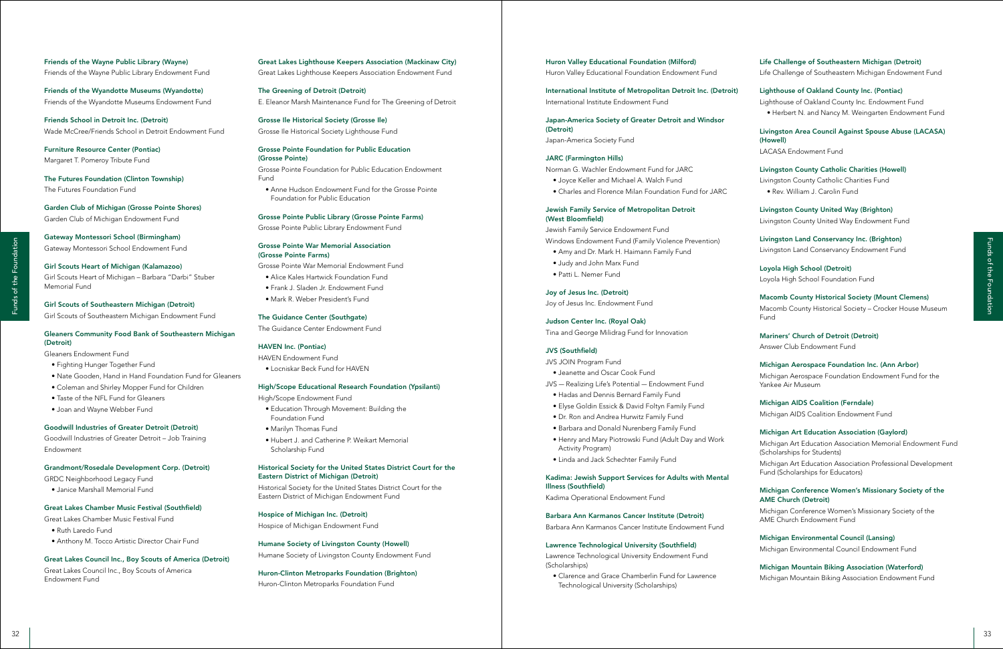### Life Challenge of Southeastern Michigan (Detroit) Life Challenge of Southeastern Michigan Endowment Fund

Lighthouse of Oakland County Inc. (Pontiac) Lighthouse of Oakland County Inc. Endowment Fund • Herbert N. and Nancy M. Weingarten Endowment Fund

Livingston Area Council Against Spouse Abuse (LACASA) (Howell) LACASA Endowment Fund

### Livingston County Catholic Charities (Howell)

Livingston County Catholic Charities Fund

• Rev. William J. Carolin Fund

Livingston County United Way (Brighton) Livingston County United Way Endowment Fund

Livingston Land Conservancy Inc. (Brighton) Livingston Land Conservancy Endowment Fund

<sup>32</sup> <sup>33</sup> Funds of the FoundationFunds of the Foundation Michigan Art Education Association Memorial Endowment Fund (Scholarships for Students) Michigan Art Education Association Professional Development Fund (Scholarships for Educators)

Loyola High School (Detroit) Loyola High School Foundation Fund

### Macomb County Historical Society (Mount Clemens)

Macomb County Historical Society – Crocker House Museum Fund

### Mariners' Church of Detroit (Detroit)

Answer Club Endowment Fund

### Michigan Aerospace Foundation Inc. (Ann Arbor)

Michigan Aerospace Foundation Endowment Fund for the Yankee Air Museum

Michigan AIDS Coalition (Ferndale) Michigan AIDS Coalition Endowment Fund

### Michigan Art Education Association (Gaylord)

### Michigan Conference Women's Missionary Society of the AME Church (Detroit)

Michigan Conference Women's Missionary Society of the AME Church Endowment Fund

Michigan Environmental Council (Lansing) Michigan Environmental Council Endowment Fund

Michigan Mountain Biking Association (Waterford) Michigan Mountain Biking Association Endowment Fund

### Huron Valley Educational Foundation (Milford) Huron Valley Educational Foundation Endowment Fund

International Institute of Metropolitan Detroit Inc. (Detroit) International Institute Endowment Fund

Japan-America Society of Greater Detroit and Windsor (Detroit) Japan-America Society Fund

### JARC (Farmington Hills)

Norman G. Wachler Endowment Fund for JARC

- Joyce Keller and Michael A. Walch Fund
- Charles and Florence Milan Foundation Fund for JARC

### Jewish Family Service of Metropolitan Detroit (West Bloomfield)

Jewish Family Service Endowment Fund Windows Endowment Fund (Family Violence Prevention)

- Amy and Dr. Mark H. Haimann Family Fund
- Judy and John Marx Fund
- Patti L. Nemer Fund

### Joy of Jesus Inc. (Detroit)

Joy of Jesus Inc. Endowment Fund

### Judson Center Inc. (Royal Oak)

Tina and George Milidrag Fund for Innovation

### JVS (Southfield)

- JVS JOIN Program Fund
- Jeanette and Oscar Cook Fund
- JVS Realizing Life's Potential Endowment Fund
- Hadas and Dennis Bernard Family Fund
- Elyse Goldin Essick & David Foltyn Family Fund
- Dr. Ron and Andrea Hurwitz Family Fund
- Barbara and Donald Nurenberg Family Fund
- Henry and Mary Piotrowski Fund (Adult Day and Work Activity Program)
- Linda and Jack Schechter Family Fund

### Kadima: Jewish Support Services for Adults with Mental Illness (Southfield)

Kadima Operational Endowment Fund

### Barbara Ann Karmanos Cancer Institute (Detroit)

Barbara Ann Karmanos Cancer Institute Endowment Fund

### Lawrence Technological University (Southfield)

Lawrence Technological University Endowment Fund (Scholarships)

• Clarence and Grace Chamberlin Fund for Lawrence Technological University (Scholarships)

### Great Lakes Lighthouse Keepers Association (Mackinaw City)

Great Lakes Lighthouse Keepers Association Endowment Fund

The Greening of Detroit (Detroit) E. Eleanor Marsh Maintenance Fund for The Greening of Detroit

Grosse Ile Historical Society (Grosse Ile) Grosse Ile Historical Society Lighthouse Fund

### Grosse Pointe Foundation for Public Education (Grosse Pointe)

Grosse Pointe Foundation for Public Education Endowment Fund

• Anne Hudson Endowment Fund for the Grosse Pointe Foundation for Public Education

### Grosse Pointe Public Library (Grosse Pointe Farms)

Grosse Pointe Public Library Endowment Fund

### Grosse Pointe War Memorial Association (Grosse Pointe Farms)

Grosse Pointe War Memorial Endowment Fund

- Alice Kales Hartwick Foundation Fund
- Frank J. Sladen Jr. Endowment Fund
- Mark R. Weber President's Fund

### The Guidance Center (Southgate)

The Guidance Center Endowment Fund

### HAVEN Inc. (Pontiac)

HAVEN Endowment Fund

• Locniskar Beck Fund for HAVEN

### High/Scope Educational Research Foundation (Ypsilanti)

High/Scope Endowment Fund

- Education Through Movement: Building the Foundation Fund
- Marilyn Thomas Fund
- Hubert J. and Catherine P. Weikart Memorial Scholarship Fund

### Historical Society for the United States District Court for the Eastern District of Michigan (Detroit)

Historical Society for the United States District Court for the Eastern District of Michigan Endowment Fund

### Hospice of Michigan Inc. (Detroit)

Hospice of Michigan Endowment Fund

### Humane Society of Livingston County (Howell)

Humane Society of Livingston County Endowment Fund

### Huron-Clinton Metroparks Foundation (Brighton)

Huron-Clinton Metroparks Foundation Fund

### Friends of the Wayne Public Library (Wayne) Friends of the Wayne Public Library Endowment Fund

Friends of the Wyandotte Museums (Wyandotte) Friends of the Wyandotte Museums Endowment Fund

Friends School in Detroit Inc. (Detroit) Wade McCree/Friends School in Detroit Endowment Fund

Furniture Resource Center (Pontiac) Margaret T. Pomeroy Tribute Fund

The Futures Foundation (Clinton Township) The Futures Foundation Fund

Garden Club of Michigan (Grosse Pointe Shores) Garden Club of Michigan Endowment Fund

Gateway Montessori School (Birmingham) Gateway Montessori School Endowment Fund

Girl Scouts Heart of Michigan (Kalamazoo) Girl Scouts Heart of Michigan – Barbara "Darbi" Stuber Memorial Fund

Girl Scouts of Southeastern Michigan (Detroit) Girl Scouts of Southeastern Michigan Endowment Fund

### Gleaners Community Food Bank of Southeastern Michigan (Detroit)

Gleaners Endowment Fund

- Fighting Hunger Together Fund
- Nate Gooden, Hand in Hand Foundation Fund for Gleaners
- Coleman and Shirley Mopper Fund for Children
- Taste of the NFL Fund for Gleaners
- Joan and Wayne Webber Fund

### Goodwill Industries of Greater Detroit (Detroit)

Goodwill Industries of Greater Detroit – Job Training Endowment

### Grandmont/Rosedale Development Corp. (Detroit)

GRDC Neighborhood Legacy Fund

• Janice Marshall Memorial Fund

### Great Lakes Chamber Music Festival (Southfield)

Great Lakes Chamber Music Festival Fund

- Ruth Laredo Fund
- Anthony M. Tocco Artistic Director Chair Fund

### Great Lakes Council Inc., Boy Scouts of America (Detroit)

Great Lakes Council Inc., Boy Scouts of America Endowment Fund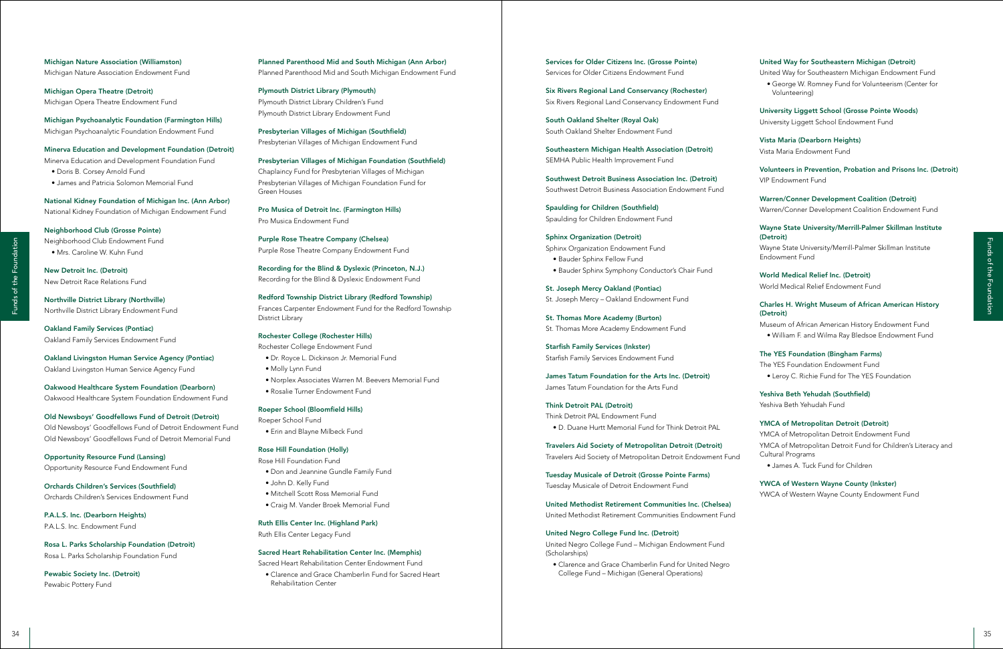### United Way for Southeastern Michigan (Detroit)

United Way for Southeastern Michigan Endowment Fund

• George W. Romney Fund for Volunteerism (Center for Volunteering)

University Liggett School (Grosse Pointe Woods) University Liggett School Endowment Fund

Vista Maria (Dearborn Heights) Vista Maria Endowment Fund

Volunteers in Prevention, Probation and Prisons Inc. (Detroit) VIP Endowment Fund

Warren/Conner Development Coalition (Detroit) Warren/Conner Development Coalition Endowment Fund

### Wayne State University/Merrill-Palmer Skillman Institute (Detroit)

<sup>34</sup> <sup>35</sup> Funds of the FoundationFunds of the Foundation YMCA of Metropolitan Detroit Endowment Fund YMCA of Metropolitan Detroit Fund for Children's Literacy and Cultural Programs

Wayne State University/Merrill-Palmer Skillman Institute Endowment Fund

World Medical Relief Inc. (Detroit) World Medical Relief Endowment Fund

### Charles H. Wright Museum of African American History (Detroit)

Museum of African American History Endowment Fund • William F. and Wilma Ray Bledsoe Endowment Fund

### The YES Foundation (Bingham Farms)

The YES Foundation Endowment Fund • Leroy C. Richie Fund for The YES Foundation

Yeshiva Beth Yehudah (Southfield)

Yeshiva Beth Yehudah Fund

### YMCA of Metropolitan Detroit (Detroit)

• James A. Tuck Fund for Children

### YWCA of Western Wayne County (Inkster)

YWCA of Western Wayne County Endowment Fund

Services for Older Citizens Inc. (Grosse Pointe) Services for Older Citizens Endowment Fund

Six Rivers Regional Land Conservancy (Rochester) Six Rivers Regional Land Conservancy Endowment Fund

South Oakland Shelter (Royal Oak) South Oakland Shelter Endowment Fund

Southeastern Michigan Health Association (Detroit) SEMHA Public Health Improvement Fund

Southwest Detroit Business Association Inc. (Detroit) Southwest Detroit Business Association Endowment Fund

Spaulding for Children (Southfield) Spaulding for Children Endowment Fund

Sphinx Organization (Detroit) Sphinx Organization Endowment Fund • Bauder Sphinx Fellow Fund • Bauder Sphinx Symphony Conductor's Chair Fund

St. Joseph Mercy Oakland (Pontiac) St. Joseph Mercy – Oakland Endowment Fund

St. Thomas More Academy (Burton) St. Thomas More Academy Endowment Fund

Starfish Family Services (Inkster) Starfish Family Services Endowment Fund

James Tatum Foundation for the Arts Inc. (Detroit) James Tatum Foundation for the Arts Fund

### Think Detroit PAL (Detroit)

Think Detroit PAL Endowment Fund • D. Duane Hurtt Memorial Fund for Think Detroit PAL

Travelers Aid Society of Metropolitan Detroit (Detroit) Travelers Aid Society of Metropolitan Detroit Endowment Fund

Tuesday Musicale of Detroit (Grosse Pointe Farms) Tuesday Musicale of Detroit Endowment Fund

United Methodist Retirement Communities Inc. (Chelsea) United Methodist Retirement Communities Endowment Fund

### United Negro College Fund Inc. (Detroit)

United Negro College Fund – Michigan Endowment Fund (Scholarships)

• Clarence and Grace Chamberlin Fund for United Negro College Fund – Michigan (General Operations)

Planned Parenthood Mid and South Michigan (Ann Arbor) Planned Parenthood Mid and South Michigan Endowment Fund

Plymouth District Library (Plymouth) Plymouth District Library Children's Fund Plymouth District Library Endowment Fund

Presbyterian Villages of Michigan (Southfield) Presbyterian Villages of Michigan Endowment Fund

Presbyterian Villages of Michigan Foundation (Southfield)

Chaplaincy Fund for Presbyterian Villages of Michigan Presbyterian Villages of Michigan Foundation Fund for Green Houses

Pro Musica of Detroit Inc. (Farmington Hills) Pro Musica Endowment Fund

Purple Rose Theatre Company (Chelsea) Purple Rose Theatre Company Endowment Fund

Recording for the Blind & Dyslexic (Princeton, N.J.) Recording for the Blind & Dyslexic Endowment Fund

Redford Township District Library (Redford Township) Frances Carpenter Endowment Fund for the Redford Township District Library

### Rochester College (Rochester Hills)

Rochester College Endowment Fund

- Dr. Royce L. Dickinson Jr. Memorial Fund
- Molly Lynn Fund
- Norplex Associates Warren M. Beevers Memorial Fund
- Rosalie Turner Endowment Fund

### Roeper School (Bloomfield Hills)

Roeper School Fund • Erin and Blayne Milbeck Fund

### Rose Hill Foundation (Holly)

Rose Hill Foundation Fund

- Don and Jeannine Gundle Family Fund
- John D. Kelly Fund
- Mitchell Scott Ross Memorial Fund
- Craig M. Vander Broek Memorial Fund

### Ruth Ellis Center Inc. (Highland Park)

Ruth Ellis Center Legacy Fund

### Sacred Heart Rehabilitation Center Inc. (Memphis)

Sacred Heart Rehabilitation Center Endowment Fund

• Clarence and Grace Chamberlin Fund for Sacred Heart Rehabilitation Center

Michigan Nature Association (Williamston) Michigan Nature Association Endowment Fund

Michigan Opera Theatre (Detroit) Michigan Opera Theatre Endowment Fund

Michigan Psychoanalytic Foundation (Farmington Hills) Michigan Psychoanalytic Foundation Endowment Fund

### Minerva Education and Development Foundation (Detroit)

Minerva Education and Development Foundation Fund

- Doris B. Corsey Arnold Fund
- James and Patricia Solomon Memorial Fund

National Kidney Foundation of Michigan Inc. (Ann Arbor) National Kidney Foundation of Michigan Endowment Fund

Neighborhood Club (Grosse Pointe) Neighborhood Club Endowment Fund • Mrs. Caroline W. Kuhn Fund

New Detroit Inc. (Detroit) New Detroit Race Relations Fund

Northville District Library (Northville) Northville District Library Endowment Fund

Oakland Family Services (Pontiac) Oakland Family Services Endowment Fund

Oakland Livingston Human Service Agency (Pontiac) Oakland Livingston Human Service Agency Fund

Oakwood Healthcare System Foundation (Dearborn) Oakwood Healthcare System Foundation Endowment Fund

Old Newsboys' Goodfellows Fund of Detroit (Detroit) Old Newsboys' Goodfellows Fund of Detroit Endowment Fund Old Newsboys' Goodfellows Fund of Detroit Memorial Fund

Opportunity Resource Fund (Lansing) Opportunity Resource Fund Endowment Fund

Orchards Children's Services (Southfield) Orchards Children's Services Endowment Fund

P.A.L.S. Inc. (Dearborn Heights) P.A.L.S. Inc. Endowment Fund

Rosa L. Parks Scholarship Foundation (Detroit) Rosa L. Parks Scholarship Foundation Fund

Pewabic Society Inc. (Detroit) Pewabic Pottery Fund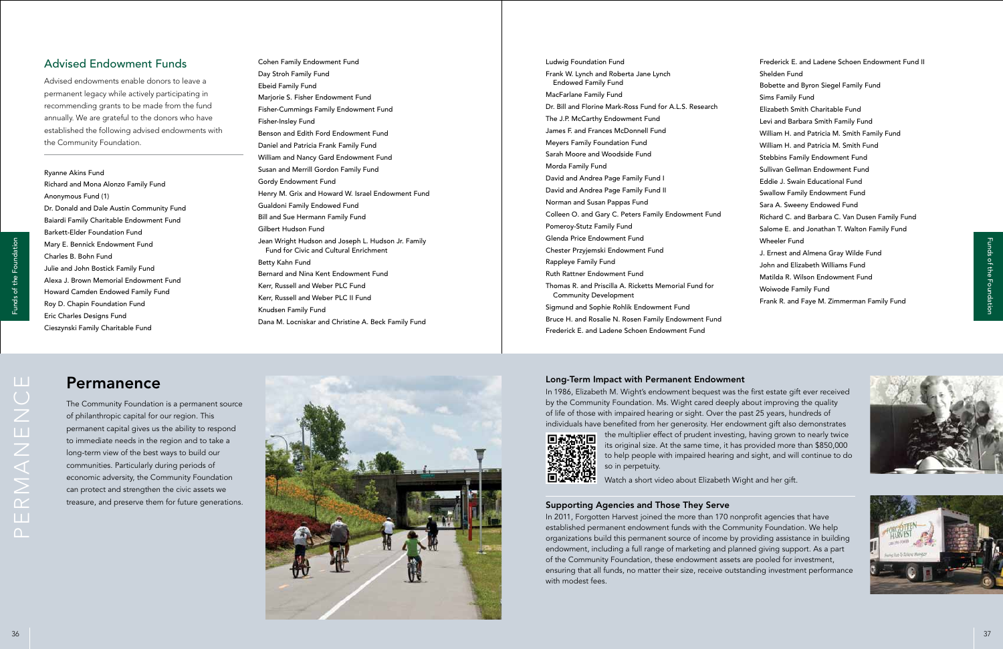

Frederick E. and Ladene Schoen Endowment Fund II Shelden Fund Bobette and Byron Siegel Family Fund Sims Family Fund Elizabeth Smith Charitable Fund Levi and Barbara Smith Family Fund William H. and Patricia M. Smith Family Fund William H. and Patricia M. Smith Fund Stebbins Family Endowment Fund Sullivan Gellman Endowment Fund Eddie J. Swain Educational Fund Swallow Family Endowment Fund Sara A. Sweeny Endowed Fund Richard C. and Barbara C. Van Dusen Family Fund Salome E. and Jonathan T. Walton Family Fund Wheeler Fund J. Ernest and Almena Gray Wilde Fund John and Elizabeth Williams Fund Matilda R. Wilson Endowment Fund Woiwode Family Fund Frank R. and Faye M. Zimmerman Family Fund

Ludwig Foundation Fund Frank W. Lynch and Roberta Jane Lynch Endowed Family Fund MacFarlane Family Fund Dr. Bill and Florine Mark-Ross Fund for A.L.S. Research The J.P. McCarthy Endowment Fund James F. and Frances McDonnell Fund Meyers Family Foundation Fund Sarah Moore and Woodside Fund Morda Family Fund David and Andrea Page Family Fund I David and Andrea Page Family Fund II Norman and Susan Pappas Fund Colleen O. and Gary C. Peters Family Endowment Fund Pomeroy-Stutz Family Fund Glenda Price Endowment Fund Chester Przyjemski Endowment Fund Rappleye Family Fund Ruth Rattner Endowment Fund Thomas R. and Priscilla A. Ricketts Memorial Fund for Community Development Sigmund and Sophie Rohlik Endowment Fund Bruce H. and Rosalie N. Rosen Family Endowment Fund Frederick E. and Ladene Schoen Endowment Fund

Cohen Family Endowment Fund Day Stroh Family Fund Ebeid Family Fund Marjorie S. Fisher Endowment Fund Fisher-Cummings Family Endowment Fund Fisher-Insley Fund Benson and Edith Ford Endowment Fund Daniel and Patricia Frank Family Fund William and Nancy Gard Endowment Fund Susan and Merrill Gordon Family Fund Gordy Endowment Fund Henry M. Grix and Howard W. Israel Endowment Fund Gualdoni Family Endowed Fund Bill and Sue Hermann Family Fund Gilbert Hudson Fund Jean Wright Hudson and Joseph L. Hudson Jr. Family Fund for Civic and Cultural Enrichment Betty Kahn Fund Bernard and Nina Kent Endowment Fund Kerr, Russell and Weber PLC Fund Kerr, Russell and Weber PLC II Fund Knudsen Family Fund Dana M. Locniskar and Christine A. Beck Family Fund

# Advised Endowment Funds

Advised endowments enable donors to leave a permanent legacy while actively participating in recommending grants to be made from the fund annually. We are grateful to the donors who have established the following advised endowments with the Community Foundation.

Ryanne Akins Fund Richard and Mona Alonzo Family Fund Anonymous Fund (1) Dr. Donald and Dale Austin Community Fund Baiardi Family Charitable Endowment Fund Barkett-Elder Foundation Fund Mary E. Bennick Endowment Fund Charles B. Bohn Fund Julie and John Bostick Family Fund Alexa J. Brown Memorial Endowment Fund Howard Camden Endowed Family Fund Roy D. Chapin Foundation Fund Eric Charles Designs Fund Cieszynski Family Charitable Fund

# Permanence

The Community Foundation is a permanent source of philanthropic capital for our region. This permanent capital gives us the ability to respond to immediate needs in the region and to take a long-term view of the best ways to build our communities. Particularly during periods of economic adversity, the Community Foundation can protect and strengthen the civic assets we treasure, and preserve them for future generations.

### Long-Term Impact with Permanent Endowment

In 1986, Elizabeth M. Wight's endowment bequest was the first estate gift ever received by the Community Foundation. Ms. Wight cared deeply about improving the quality of life of those with impaired hearing or sight. Over the past 25 years, hundreds of individuals have benefited from her generosity. Her endowment gift also demonstrates



the multiplier effect of prudent investing, having grown to nearly twice





its original size. At the same time, it has provided more than \$850,000 to help people with impaired hearing and sight, and will continue to do so in perpetuity.

Watch a short video about Elizabeth Wight and her gift.

### Supporting Agencies and Those They Serve

In 2011, Forgotten Harvest joined the more than 170 nonprofit agencies that have established permanent endowment funds with the Community Foundation. We help organizations build this permanent source of income by providing assistance in building endowment, including a full range of marketing and planned giving support. As a part of the Community Foundation, these endowment assets are pooled for investment, ensuring that all funds, no matter their size, receive outstanding investment performance with modest fees.

permanence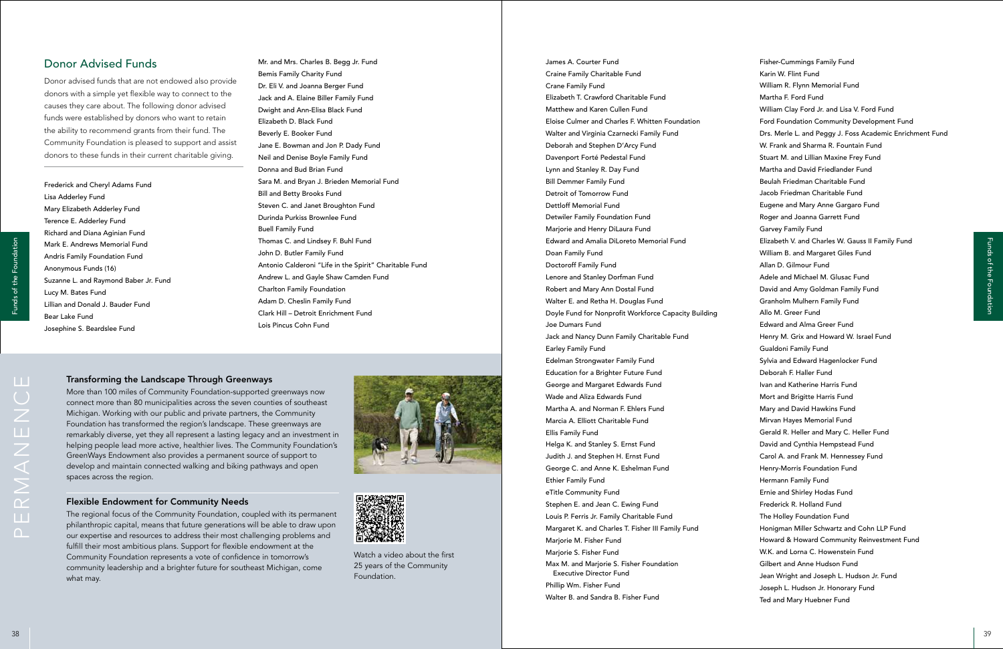### Transforming the Landscape Through Greenways

More than 100 miles of Community Foundation-supported greenways now connect more than 80 municipalities across the seven counties of southeast Michigan. Working with our public and private partners, the Community Foundation has transformed the region's landscape. These greenways are remarkably diverse, yet they all represent a lasting legacy and an investment in helping people lead more active, healthier lives. The Community Foundation's GreenWays Endowment also provides a permanent source of support to develop and maintain connected walking and biking pathways and open spaces across the region.

### Flexible Endowment for Community Needs

The regional focus of the Community Foundation, coupled with its permanent philanthropic capital, means that future generations will be able to draw upon our expertise and resources to address their most challenging problems and fulfill their most ambitious plans. Support for flexible endowment at the Community Foundation represents a vote of confidence in tomorrow's community leadership and a brighter future for southeast Michigan, come what may.





<sup>38</sup> <sup>39</sup> Funds of the FoundationFunds of the Foundation Fisher-Cummings Family Fund Karin W. Flint Fund William R. Flynn Memorial Fund Martha F. Ford Fund William Clay Ford Jr. and Lisa V. Ford Fund Ford Foundation Community Development Fund Drs. Merle L. and Peggy J. Foss Academic Enrichment Fund W. Frank and Sharma R. Fountain Fund Stuart M. and Lillian Maxine Frey Fund Martha and David Friedlander Fund Beulah Friedman Charitable Fund Jacob Friedman Charitable Fund Eugene and Mary Anne Gargaro Fund Roger and Joanna Garrett Fund Garvey Family Fund Elizabeth V. and Charles W. Gauss II Family Fund William B. and Margaret Giles Fund Allan D. Gilmour Fund Adele and Michael M. Glusac Fund David and Amy Goldman Family Fund Granholm Mulhern Family Fund Allo M. Greer Fund Edward and Alma Greer Fund Henry M. Grix and Howard W. Israel Fund Gualdoni Family Fund Sylvia and Edward Hagenlocker Fund Deborah F. Haller Fund Ivan and Katherine Harris Fund Mort and Brigitte Harris Fund Mary and David Hawkins Fund Mirvan Hayes Memorial Fund Gerald R. Heller and Mary C. Heller Fund David and Cynthia Hempstead Fund Carol A. and Frank M. Hennessey Fund Henry-Morris Foundation Fund Hermann Family Fund Ernie and Shirley Hodas Fund Frederick R. Holland Fund The Holley Foundation Fund Honigman Miller Schwartz and Cohn LLP Fund Howard & Howard Community Reinvestment Fund W.K. and Lorna C. Howenstein Fund Gilbert and Anne Hudson Fund Jean Wright and Joseph L. Hudson Jr. Fund Joseph L. Hudson Jr. Honorary Fund Ted and Mary Huebner Fund

James A. Courter Fund Craine Family Charitable Fund Crane Family Fund Elizabeth T. Crawford Charitable Fund Matthew and Karen Cullen Fund Eloise Culmer and Charles F. Whitten Foundation Walter and Virginia Czarnecki Family Fund Deborah and Stephen D'Arcy Fund Davenport Forté Pedestal Fund Lynn and Stanley R. Day Fund Bill Demmer Family Fund Detroit of Tomorrow Fund Dettloff Memorial Fund Detwiler Family Foundation Fund Marjorie and Henry DiLaura Fund Edward and Amalia DiLoreto Memorial Fund Doan Family Fund Doctoroff Family Fund Lenore and Stanley Dorfman Fund Robert and Mary Ann Dostal Fund Walter E. and Retha H. Douglas Fund Doyle Fund for Nonprofit Workforce Capacity Building Joe Dumars Fund Jack and Nancy Dunn Family Charitable Fund Earley Family Fund Edelman Strongwater Family Fund Education for a Brighter Future Fund George and Margaret Edwards Fund Wade and Aliza Edwards Fund Martha A. and Norman F. Ehlers Fund Marcia A. Elliott Charitable Fund Ellis Family Fund Helga K. and Stanley S. Ernst Fund Judith J. and Stephen H. Ernst Fund George C. and Anne K. Eshelman Fund Ethier Family Fund eTitle Community Fund Stephen E. and Jean C. Ewing Fund Louis P. Ferris Jr. Family Charitable Fund Margaret K. and Charles T. Fisher III Family Fund Marjorie M. Fisher Fund Marjorie S. Fisher Fund Max M. and Marjorie S. Fisher Foundation Executive Director Fund Phillip Wm. Fisher Fund Walter B. and Sandra B. Fisher Fund

Mr. and Mrs. Charles B. Begg Jr. Fund Bemis Family Charity Fund Dr. Eli V. and Joanna Berger Fund Jack and A. Elaine Biller Family Fund Dwight and Ann-Elisa Black Fund Elizabeth D. Black Fund Beverly E. Booker Fund Jane E. Bowman and Jon P. Dady Fund Neil and Denise Boyle Family Fund Donna and Bud Brian Fund Sara M. and Bryan J. Brieden Memorial Fund Bill and Betty Brooks Fund Steven C. and Janet Broughton Fund Durinda Purkiss Brownlee Fund Buell Family Fund Thomas C. and Lindsey F. Buhl Fund John D. Butler Family Fund Antonio Calderoni "Life in the Spirit" Charitable Fund Andrew L. and Gayle Shaw Camden Fund Charlton Family Foundation Adam D. Cheslin Family Fund Clark Hill – Detroit Enrichment Fund Lois Pincus Cohn Fund

# Donor Advised Funds

Donor advised funds that are not endowed also provide donors with a simple yet flexible way to connect to the causes they care about. The following donor advised funds were established by donors who want to retain the ability to recommend grants from their fund. The Community Foundation is pleased to support and assist donors to these funds in their current charitable giving.

Frederick and Cheryl Adams Fund Lisa Adderley Fund Mary Elizabeth Adderley Fund Terence E. Adderley Fund Richard and Diana Aginian Fund Mark E. Andrews Memorial Fund Andris Family Foundation Fund Anonymous Funds (16) Suzanne L. and Raymond Baber Jr. Fund Lucy M. Bates Fund Lillian and Donald J. Bauder Fund Bear Lake Fund Josephine S. Beardslee Fund

> Watch a video about the first 25 years of the Community Foundation.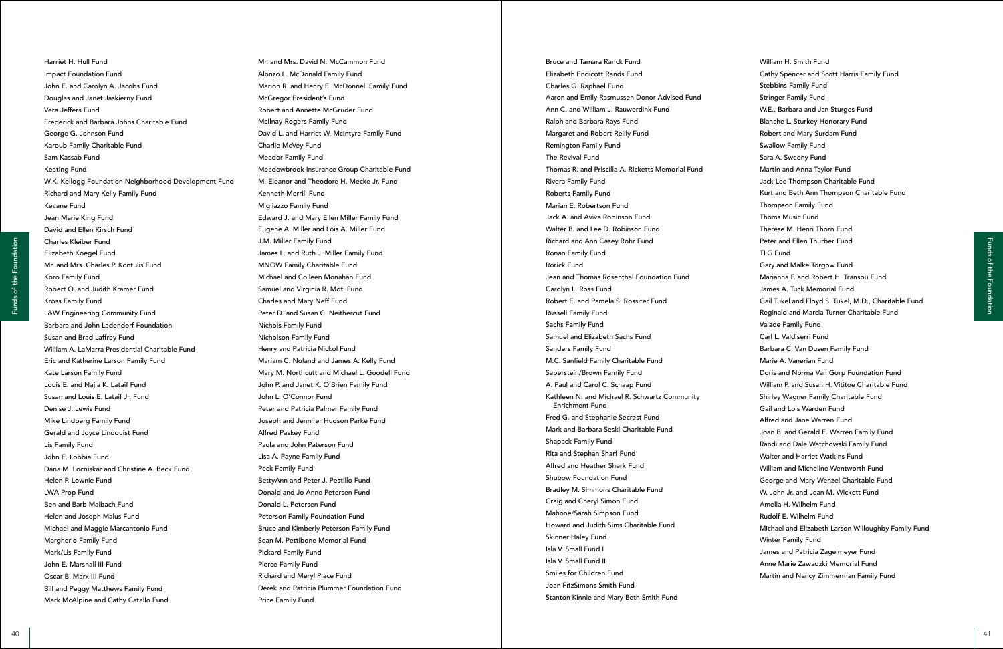William H. Smith Fund Cathy Spencer and Scott Harris Family Fund Stebbins Family Fund Stringer Family Fund W.E., Barbara and Jan Sturges Fund Blanche L. Sturkey Honorary Fund Robert and Mary Surdam Fund Swallow Family Fund Sara A. Sweeny Fund Martin and Anna Taylor Fund Jack Lee Thompson Charitable Fund Kurt and Beth Ann Thompson Charitable Fund Thompson Family Fund Thoms Music Fund Therese M. Henri Thorn Fund Peter and Ellen Thurber Fund TLG Fund Gary and Malke Torgow Fund Marianna F. and Robert H. Transou Fund James A. Tuck Memorial Fund Gail Tukel and Floyd S. Tukel, M.D., Charitable Fund Reginald and Marcia Turner Charitable Fund Valade Family Fund Carl L. Valdiserri Fund Barbara C. Van Dusen Family Fund Marie A. Vanerian Fund Doris and Norma Van Gorp Foundation Fund William P. and Susan H. Vititoe Charitable Fund Shirley Wagner Family Charitable Fund Gail and Lois Warden Fund Alfred and Jane Warren Fund Joan B. and Gerald E. Warren Family Fund Randi and Dale Watchowski Family Fund Walter and Harriet Watkins Fund William and Micheline Wentworth Fund George and Mary Wenzel Charitable Fund W. John Jr. and Jean M. Wickett Fund Amelia H. Wilhelm Fund Rudolf E. Wilhelm Fund Michael and Elizabeth Larson Willoughby Family Fund Winter Family Fund James and Patricia Zagelmeyer Fund Anne Marie Zawadzki Memorial Fund Martin and Nancy Zimmerman Family Fund

Bruce and Tamara Ranck Fund Elizabeth Endicott Rands Fund Charles G. Raphael Fund Aaron and Emily Rasmussen Donor Advised Fund Ann C. and William J. Rauwerdink Fund Ralph and Barbara Rays Fund Margaret and Robert Reilly Fund Remington Family Fund The Revival Fund Thomas R. and Priscilla A. Ricketts Memorial Fund Rivera Family Fund Roberts Family Fund Marian E. Robertson Fund Jack A. and Aviva Robinson Fund Walter B. and Lee D. Robinson Fund Richard and Ann Casey Rohr Fund Ronan Family Fund Rorick Fund Jean and Thomas Rosenthal Foundation Fund Carolyn L. Ross Fund Robert E. and Pamela S. Rossiter Fund Russell Family Fund Sachs Family Fund Samuel and Elizabeth Sachs Fund Sanders Family Fund M.C. Sanfield Family Charitable Fund Saperstein/Brown Family Fund A. Paul and Carol C. Schaap Fund Kathleen N. and Michael R. Schwartz Community Enrichment Fund Fred G. and Stephanie Secrest Fund Mark and Barbara Seski Charitable Fund Shapack Family Fund Rita and Stephan Sharf Fund Alfred and Heather Sherk Fund Shubow Foundation Fund Bradley M. Simmons Charitable Fund Craig and Cheryl Simon Fund Mahone/Sarah Simpson Fund Howard and Judith Sims Charitable Fund Skinner Haley Fund Isla V. Small Fund I Isla V. Small Fund II Smiles for Children Fund Joan FitzSimons Smith Fund Stanton Kinnie and Mary Beth Smith Fund

<sup>40</sup> <sup>41</sup> Funds of the FoundationFunds of the Foundation Mr. and Mrs. David N. McCammon Fund Alonzo L. McDonald Family Fund Marion R. and Henry E. McDonnell Family Fund McGregor President's Fund Robert and Annette McGruder Fund McIlnay-Rogers Family Fund David L. and Harriet W. McIntyre Family Fund Charlie McVey Fund Meador Family Fund Meadowbrook Insurance Group Charitable Fund M. Eleanor and Theodore H. Mecke Jr. Fund Kenneth Merrill Fund Migliazzo Family Fund Edward J. and Mary Ellen Miller Family Fund Eugene A. Miller and Lois A. Miller Fund J.M. Miller Family Fund James L. and Ruth J. Miller Family Fund MNOW Family Charitable Fund Michael and Colleen Monahan Fund Samuel and Virginia R. Moti Fund Charles and Mary Neff Fund Peter D. and Susan C. Neithercut Fund Nichols Family Fund Nicholson Family Fund Henry and Patricia Nickol Fund Mariam C. Noland and James A. Kelly Fund Mary M. Northcutt and Michael L. Goodell Fund John P. and Janet K. O'Brien Family Fund John L. O'Connor Fund Peter and Patricia Palmer Family Fund Joseph and Jennifer Hudson Parke Fund Alfred Paskey Fund Paula and John Paterson Fund Lisa A. Payne Family Fund Peck Family Fund BettyAnn and Peter J. Pestillo Fund Donald and Jo Anne Petersen Fund Donald L. Petersen Fund Peterson Family Foundation Fund Bruce and Kimberly Peterson Family Fund Sean M. Pettibone Memorial Fund Pickard Family Fund Pierce Family Fund Richard and Meryl Place Fund Derek and Patricia Plummer Foundation Fund Price Family Fund

Harriet H. Hull Fund Impact Foundation Fund John E. and Carolyn A. Jacobs Fund Douglas and Janet Jaskierny Fund Vera Jeffers Fund Frederick and Barbara Johns Charitable Fund George G. Johnson Fund Karoub Family Charitable Fund Sam Kassab Fund Keating Fund W.K. Kellogg Foundation Neighborhood Development Fund Richard and Mary Kelly Family Fund Kevane Fund Jean Marie King Fund David and Ellen Kirsch Fund Charles Kleiber Fund Elizabeth Koegel Fund Mr. and Mrs. Charles P. Kontulis Fund Koro Family Fund Robert O. and Judith Kramer Fund Kross Family Fund L&W Engineering Community Fund Barbara and John Ladendorf Foundation Susan and Brad Laffrey Fund William A. LaMarra Presidential Charitable Fund Eric and Katherine Larson Family Fund Kate Larson Family Fund Louis E. and Najla K. Lataif Fund Susan and Louis E. Lataif Jr. Fund Denise J. Lewis Fund Mike Lindberg Family Fund Gerald and Joyce Lindquist Fund Lis Family Fund John E. Lobbia Fund Dana M. Locniskar and Christine A. Beck Fund Helen P. Lownie Fund LWA Prop Fund Ben and Barb Maibach Fund Helen and Joseph Malus Fund Michael and Maggie Marcantonio Fund Margherio Family Fund Mark/Lis Family Fund John E. Marshall III Fund Oscar B. Marx III Fund Bill and Peggy Matthews Family Fund Mark McAlpine and Cathy Catallo Fund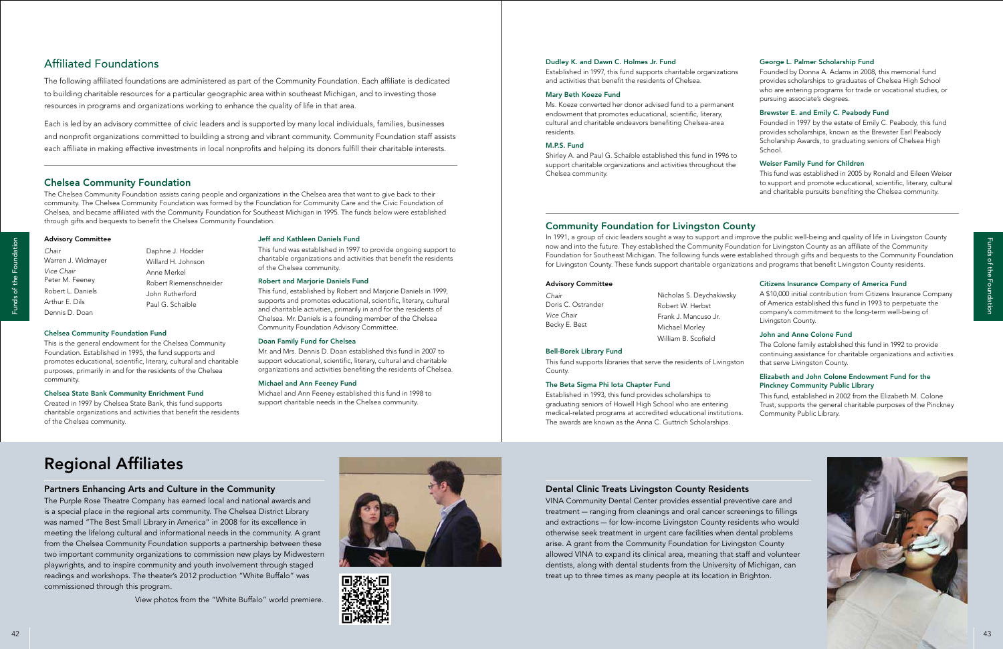### Advisory Committee

*Chair*

*Vice Chair* Peter M. Feeney Robert L. Daniels Arthur E. Dils Dennis D. Doan

### Chelsea Community Foundation Fund

This is the general endowment for the Chelsea Community Foundation. Established in 1995, the fund supports and promotes educational, scientific, literary, cultural and charitable purposes, primarily in and for the residents of the Chelsea community.

### Chelsea State Bank Community Enrichment Fund

Created in 1997 by Chelsea State Bank, this fund supports charitable organizations and activities that benefit the residents of the Chelsea community.

# Regional Affiliates

### Partners Enhancing Arts and Culture in the Community

The Purple Rose Theatre Company has earned local and national awards and is a special place in the regional arts community. The Chelsea District Library was named "The Best Small Library in America" in 2008 for its excellence in meeting the lifelong cultural and informational needs in the community. A grant from the Chelsea Community Foundation supports a partnership between these two important community organizations to commission new plays by Midwestern playwrights, and to inspire community and youth involvement through staged readings and workshops. The theater's 2012 production "White Buffalo" was commissioned through this program.

View photos from the "White Buffalo" world premiere.





### Dental Clinic Treats Livingston County Residents

VINA Community Dental Center provides essential preventive care and treatment — ranging from cleanings and oral cancer screenings to fillings and extractions — for low-income Livingston County residents who would otherwise seek treatment in urgent care facilities when dental problems arise. A grant from the Community Foundation for Livingston County allowed VINA to expand its clinical area, meaning that staff and volunteer dentists, along with dental students from the University of Michigan, can treat up to three times as many people at its location in Brighton.

Warren J. Widmayer Daphne J. Hodder Willard H. Johnson Anne Merkel Robert Riemenschneider John Rutherford Paul G. Schaible



# Affiliated Foundations

The following affiliated foundations are administered as part of the Community Foundation. Each affiliate is dedicated to building charitable resources for a particular geographic area within southeast Michigan, and to investing those resources in programs and organizations working to enhance the quality of life in that area.

The Chelsea Community Foundation assists caring people and organizations in the Chelsea area that want to give back to their community. The Chelsea Community Foundation was formed by the Foundation for Community Care and the Civic Foundation of Chelsea, and became affiliated with the Community Foundation for Southeast Michigan in 1995. The funds below were established through gifts and bequests to benefit the Chelsea Community Foundation.<br> **Community Foundation for Livingston County** 

Each is led by an advisory committee of civic leaders and is supported by many local individuals, families, businesses and nonprofit organizations committed to building a strong and vibrant community. Community Foundation staff assists each affiliate in making effective investments in local nonprofits and helping its donors fulfill their charitable interests.

### Jeff and Kathleen Daniels Fund

This fund was established in 1997 to provide ongoing support to charitable organizations and activities that benefit the residents of the Chelsea community.

### Robert and Marjorie Daniels Fund

This fund, established by Robert and Marjorie Daniels in 1999, supports and promotes educational, scientific, literary, cultural and charitable activities, primarily in and for the residents of Chelsea. Mr. Daniels is a founding member of the Chelsea Community Foundation Advisory Committee.

### Doan Family Fund for Chelsea

Mr. and Mrs. Dennis D. Doan established this fund in 2007 to support educational, scientific, literary, cultural and charitable organizations and activities benefiting the residents of Chelsea.

### Michael and Ann Feeney Fund

Michael and Ann Feeney established this fund in 1998 to support charitable needs in the Chelsea community.

### Dudley K. and Dawn C. Holmes Jr. Fund

Established in 1997, this fund supports charitable organizations and activities that benefit the residents of Chelsea.

### Mary Beth Koeze Fund

Ms. Koeze converted her donor advised fund to a permanent endowment that promotes educational, scientific, literary, cultural and charitable endeavors benefiting Chelsea-area residents.

### M.P.S. Fund

Shirley A. and Paul G. Schaible established this fund in 1996 to support charitable organizations and activities throughout the Chelsea community.

### George L. Palmer Scholarship Fund

Founded by Donna A. Adams in 2008, this memorial fund provides scholarships to graduates of Chelsea High School who are entering programs for trade or vocational studies, or pursuing associate's degrees.

### Brewster E. and Emily C. Peabody Fund

Founded in 1997 by the estate of Emily C. Peabody, this fund provides scholarships, known as the Brewster Earl Peabody Scholarship Awards, to graduating seniors of Chelsea High School.

### Weiser Family Fund for Children

This fund was established in 2005 by Ronald and Eileen Weiser to support and promote educational, scientific, literary, cultural and charitable pursuits benefiting the Chelsea community.

### Chelsea Community Foundation

In 1991, a group of civic leaders sought a way to support and improve the public well-being and quality of life in Livingston County now and into the future. They established the Community Foundation for Livingston County as an affiliate of the Community Foundation for Southeast Michigan. The following funds were established through gifts and bequests to the Community Foundation for Livingston County. These funds support charitable organizations and programs that benefit Livingston County residents.

### Advisory Committee

*Chair* Doris C. Ostrander *Vice Chair* Becky E. Best

### The Beta Sigma Phi Iota Chapter Fund

Established in 1993, this fund provides scholarships to graduating seniors of Howell High School who are entering medical-related programs at accredited educational institutions. The awards are known as the Anna C. Guttrich Scholarships.

Bell-Borek Library Fund This fund supports libraries that serve the residents of Livingston County. The Colone family established this fund in 1992 to provide continuing assistance for charitable organizations and activities that serve Livingston County.

### Citizens Insurance Company of America Fund

A \$10,000 initial contribution from Citizens Insurance Company of America established this fund in 1993 to perpetuate the company's commitment to the long-term well-being of Livingston County.

### John and Anne Colone Fund

### Elizabeth and John Colone Endowment Fund for the Pinckney Community Public Library

This fund, established in 2002 from the Elizabeth M. Colone Trust, supports the general charitable purposes of the Pinckney Community Public Library.

Nicholas S. Deychakiwsky Robert W. Herbst Frank J. Mancuso Jr. Michael Morley William B. Scofield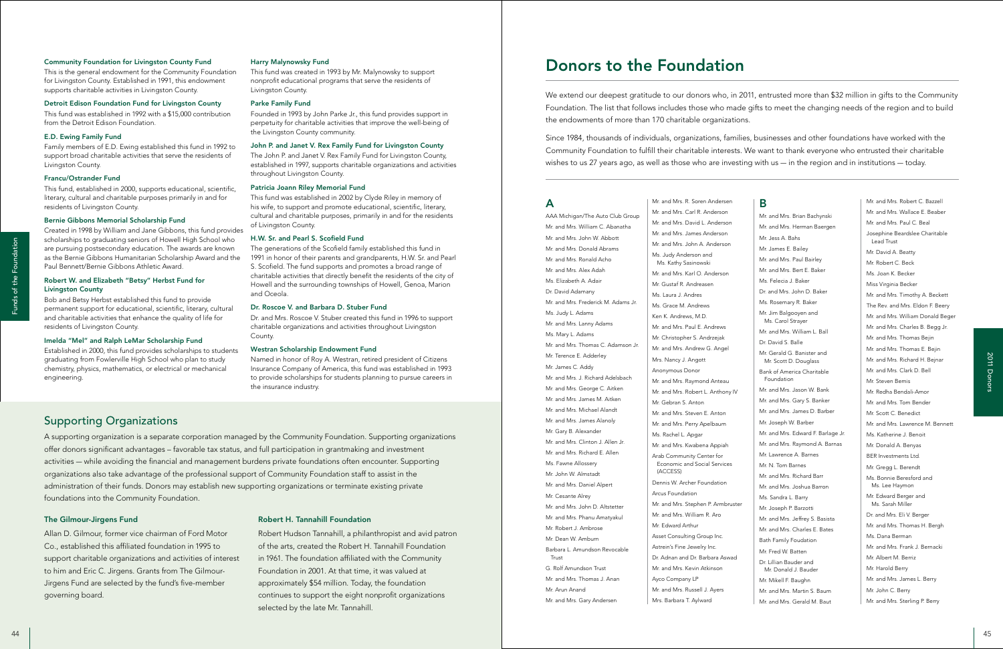### The Gilmour-Jirgens Fund

Allan D. Gilmour, former vice chairman of Ford Motor Co., established this affiliated foundation in 1995 to support charitable organizations and activities of interest to him and Eric C. Jirgens. Grants from The Gilmour-Jirgens Fund are selected by the fund's five-member governing board.

### Robert H. Tannahill Foundation

Robert Hudson Tannahill, a philanthropist and avid patron of the arts, created the Robert H. Tannahill Foundation in 1961. The foundation affiliated with the Community Foundation in 2001. At that time, it was valued at approximately \$54 million. Today, the foundation continues to support the eight nonprofit organizations selected by the late Mr. Tannahill.

### Community Foundation for Livingston County Fund

This is the general endowment for the Community Foundation for Livingston County. Established in 1991, this endowment supports charitable activities in Livingston County.

### Detroit Edison Foundation Fund for Livingston County

This fund was established in 1992 with a \$15,000 contribution from the Detroit Edison Foundation.

### E.D. Ewing Family Fund

Family members of E.D. Ewing established this fund in 1992 to support broad charitable activities that serve the residents of Livingston County.

### Francu/Ostrander Fund

This fund, established in 2000, supports educational, scientific, literary, cultural and charitable purposes primarily in and for residents of Livingston County.

### Bernie Gibbons Memorial Scholarship Fund

Created in 1998 by William and Jane Gibbons, this fund provides scholarships to graduating seniors of Howell High School who are pursuing postsecondary education. The awards are known as the Bernie Gibbons Humanitarian Scholarship Award and the Paul Bennett/Bernie Gibbons Athletic Award.

### Robert W. and Elizabeth "Betsy" Herbst Fund for Livingston County

Bob and Betsy Herbst established this fund to provide permanent support for educational, scientific, literary, cultural and charitable activities that enhance the quality of life for residents of Livingston County.

### Imelda "Mel" and Ralph LeMar Scholarship Fund

Established in 2000, this fund provides scholarships to students graduating from Fowlerville High School who plan to study chemistry, physics, mathematics, or electrical or mechanical engineering.

### Harry Malynowsky Fund

This fund was created in 1993 by Mr. Malynowsky to support nonprofit educational programs that serve the residents of Livingston County.

### Parke Family Fund

Founded in 1993 by John Parke Jr., this fund provides support in perpetuity for charitable activities that improve the well-being of the Livingston County community.

### John P. and Janet V. Rex Family Fund for Livingston County

The John P. and Janet V. Rex Family Fund for Livingston County, established in 1997, supports charitable organizations and activities throughout Livingston County.

### Patricia Joann Riley Memorial Fund

This fund was established in 2002 by Clyde Riley in memory of his wife, to support and promote educational, scientific, literary, cultural and charitable purposes, primarily in and for the residents of Livingston County.

### H.W. Sr. and Pearl S. Scofield Fund

<sup>44</sup> <sup>45</sup> Funds of the Foundation 2011 Donors AAA Michigan/The Auto Club Group Mr. and Mrs. William C. Abanatha Mr. and Mrs. John W. Abbott Mr. and Mrs. Donald Abrams Mr. and Mrs. Ronald Acho Mr. and Mrs. Alex Adah Ms. Elizabeth A. Adair Dr. David Adamany Mr. and Mrs. Frederick M. Adams Jr. Ms. Judy L. Adams Mr. and Mrs. Lanny Adams Ms. Mary L. Adams Mr. and Mrs. Thomas C. Adamson Jr. Mr. Terence E. Adderley Mr. James C. Addy Mr. and Mrs. J. Richard Adelsbach Mr. and Mrs. George C. Aitken Mr. and Mrs. James M. Aitken Mr. and Mrs. Michael Alandt Mr. and Mrs. James Alanoly Mr. Gary B. Alexander Mr. and Mrs. Clinton J. Allen Jr. Mr. and Mrs. Richard E. Allen Ms. Fawne Allossery Mr. John W. Almstadt Mr. and Mrs. Daniel Alpert Mr. Cesante Alrey Mr. and Mrs. John D. Altstetter Mr. and Mrs. Phanu Amatyakul Mr. Robert J. Ambrose Mr. Dean W. Amburn Barbara L. Amundson Revocable Trust G. Rolf Amundson Trust Mr. and Mrs. Thomas J. Anan Mr. Arun Anand Mr. and Mrs. Gary Andersen

The generations of the Scofield family established this fund in 1991 in honor of their parents and grandparents, H.W. Sr. and Pearl S. Scofield. The fund supports and promotes a broad range of charitable activities that directly benefit the residents of the city of Howell and the surrounding townships of Howell, Genoa, Marion and Oceola.

### Dr. Roscoe V. and Barbara D. Stuber Fund

Dr. and Mrs. Roscoe V. Stuber created this fund in 1996 to support charitable organizations and activities throughout Livingston County.

### Westran Scholarship Endowment Fund

Named in honor of Roy A. Westran, retired president of Citizens Insurance Company of America, this fund was established in 1993 to provide scholarships for students planning to pursue careers in the insurance industry.

### Supporting Organizations

A supporting organization is a separate corporation managed by the Community Foundation. Supporting organizations offer donors significant advantages – favorable tax status, and full participation in grantmaking and investment activities — while avoiding the financial and management burdens private foundations often encounter. Supporting organizations also take advantage of the professional support of Community Foundation staff to assist in the administration of their funds. Donors may establish new supporting organizations or terminate existing private foundations into the Community Foundation.

Mr. and Mrs. R. Soren Andersen Mr. and Mrs. Carl R. Anderson Mr. and Mrs. David L. Anderson Mr. and Mrs. James Anderson Mr. and Mrs. John A. Anderson Ms. Judy Anderson and Ms. Kathy Sasinowski Mr. and Mrs. Karl O. Anderson Mr. Gustaf R. Andreasen Ms. Laura J. Andres Ms. Grace M. Andrews Ken K. Andrews, M.D. Mr. and Mrs. Paul E. Andrews Mr. Christopher S. Andrzejak Mr. and Mrs. Andrew G. Angel Mrs. Nancy J. Angott Anonymous Donor Mr. and Mrs. Raymond Anteau Mr. and Mrs. Robert L. Anthony IV Mr. Gebran S. Anton Mr. and Mrs. Steven E. Anton Mr. and Mrs. Perry Apelbaum Ms. Rachel L. Apgar Mr. and Mrs. Kwabena Appiah Arab Community Center for Economic and Social Services (ACCESS) Dennis W. Archer Foundation Arcus Foundation Mr. and Mrs. Stephen P. Armbruster Mr. and Mrs. William R. Aro Mr. Edward Arthur Asset Consulting Group Inc. Astrein's Fine Jewelry Inc. Dr. Adnan and Dr. Barbara Aswad Mr. and Mrs. Kevin Atkinson Ayco Company LP Mr. and Mrs. Russell J. Ayers Mrs. Barbara T. Aylward

### A

### B

Mr. and Mrs. Brian Bachynski Mr. and Mrs. Herman Baergen Mr. Jess A. Bahs Mr. James E. Bailey Mr. and Mrs. Paul Bairley Mr. and Mrs. Bert E. Baker Ms. Felecia J. Baker Dr. and Mrs. John D. Baker Ms. Rosemary R. Baker Mr. Jim Balgooyen and Ms. Carol Strayer Mr. and Mrs. William L. Ball Dr. David S. Balle Mr. Gerald G. Banister and Mr. Scott D. Douglass Bank of America Charitable Foundation Mr. and Mrs. Jason W. Bank Mr. and Mrs. Gary S. Banker Mr. and Mrs. James D. Barber Mr. Joseph W. Barber Mr. and Mrs. Edward F. Barlage Jr. Mr. and Mrs. Raymond A. Barnas Mr. Lawrence A. Barnes Mr. N. Tom Barnes Mr. and Mrs. Richard Barr Mr. and Mrs. Joshua Barron Ms. Sandra L. Barry Mr. Joseph P. Barzotti Mr. and Mrs. Jeffrey S. Basista Mr. and Mrs. Charles E. Bates Bath Family Foudation Mr. Fred W. Batten Dr. Lillian Bauder and Mr. Donald J. Bauder Mr. Mikell F. Baughn Mr. and Mrs. Martin S. Baum Mr. and Mrs. Gerald M. Baut

Mr. and Mrs. Robert C. Bazzell Mr. and Mrs. Wallace E. Beaber Mr. and Mrs. Paul C. Beal Josephine Beardslee Charitable Lead Trust Mr. David A. Beatty Mr. Robert C. Beck Ms. Joan K. Becker Miss Virginia Becker Mr. and Mrs. Timothy A. Beckett The Rev. and Mrs. Eldon F. Beery Mr. and Mrs. William Donald Beger Mr. and Mrs. Charles B. Begg Jr. Mr. and Mrs. Thomas Bejin Mr. and Mrs. Thomas E. Bejin Mr. and Mrs. Richard H. Bejnar Mr. and Mrs. Clark D. Bell Mr. Steven Bemis Mr. Redha Bendali-Amor Mr. and Mrs. Tom Bender Mr. Scott C. Benedict Mr. and Mrs. Lawrence M. Bennett Ms. Katherine J. Benoit Mr. Donald A. Benyas BER Investments Ltd. Mr. Gregg L. Berendt Ms. Bonnie Beresford and Ms. Lee Haymon Mr. Edward Berger and Ms. Sarah Miller Dr. and Mrs. Eli V. Berger Mr. and Mrs. Thomas H. Bergh Ms. Dana Berman Mr. and Mrs. Frank J. Bernacki Mr. Albert M. Berriz Mr. Harold Berry Mr. and Mrs. James L. Berry Mr. John C. Berry Mr. and Mrs. Sterling P. Berry

We extend our deepest gratitude to our donors who, in 2011, entrusted more than \$32 million in gifts to the Community Foundation. The list that follows includes those who made gifts to meet the changing needs of the region and to build the endowments of more than 170 charitable organizations.

Since 1984, thousands of individuals, organizations, families, businesses and other foundations have worked with the Community Foundation to fulfill their charitable interests. We want to thank everyone who entrusted their charitable wishes to us 27 years ago, as well as those who are investing with us — in the region and in institutions — today.

# Donors to the Foundation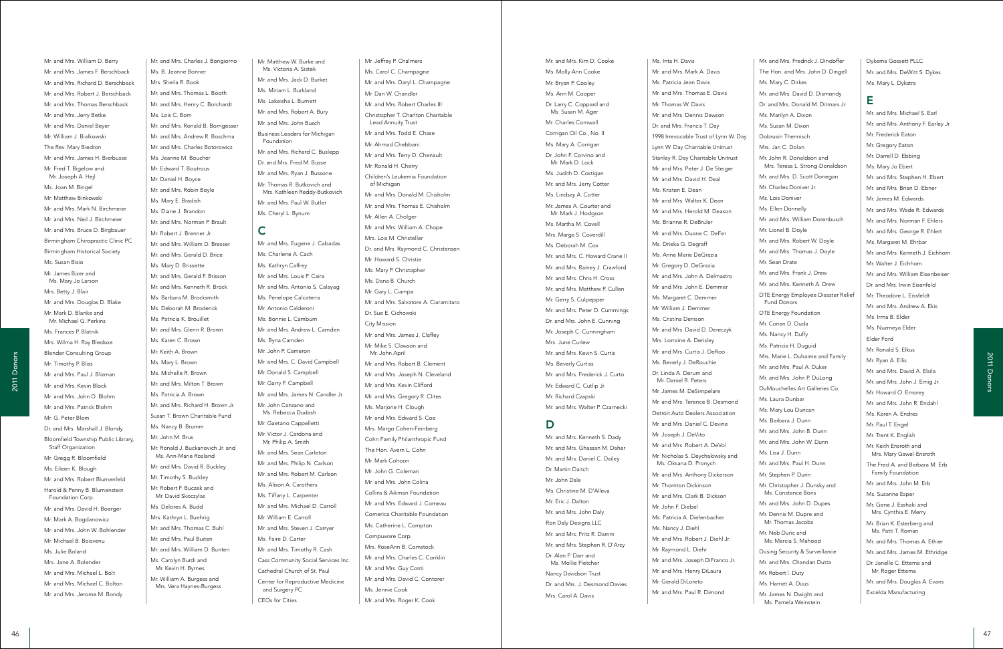Mr. and Mrs. Charles J. Bongiorno Ms. B. Jeanne Bonner Mrs. Sheila R. Book Mr. and Mrs. Thomas L. Booth Mr. and Mrs. Henry C. Borchardt Ms. Lois C. Born Mr. and Mrs. Ronald B. Borngesser Mr. and Mrs. Andrew R. Boschma Mr. and Mrs. Charles Botorowicz Ms. Jeanne M. Boucher Mr. Edward T. Boutrous Mr. Daniel H. Boyce Mr. and Mrs. Robin Boyle Ms. Mary E. Bradish Ms. Diane J. Brandon Mr. and Mrs. Norman P. Brault Mr. Robert J. Brenner Jr. Mr. and Mrs. William D. Bresser Mr. and Mrs. Gerald D. Brice Ms. Mary D. Brissette Mr. and Mrs. Gerald F. Brisson Mr. and Mrs. Kenneth R. Brock Ms. Barbara M. Brocksmith Ms. Deborah M. Broderick Ms. Patricia K. Brouillet Mr. and Mrs. Glenn R. Brown Ms. Karen C. Brown Mr. Keith A. Brown Ms. Mary L. Brown Ms. Michelle R. Brown Mr. and Mrs. Milton T. Brown Ms. Patricia A. Brown Mr. and Mrs. Richard H. Brown Jr. Susan T. Brown Charitable Fund Ms. Nancy B. Brumm Mr. John M. Brus Mr. Ronald J. Buckanovich Jr. and Ms. Ann-Marie Rosland Mr. and Mrs. David R. Buckley Mr. Timothy S. Buckley Mr. Robert F. Buczek and Mr. David Skoczylas Ms. Delores A. Budd Mrs. Kathryn L. Buehrig Mr. and Mrs. Thomas C. Buhl Mr. and Mrs. Paul Buiten Mr. and Mrs. William D. Bunten Ms. Carolyn Burdi and Mr. Kevin H. Byrnes Mr. William A. Burgess and Mrs. Vera Haynes-Burgess

 $\begin{minipage}[t]{.}\hline \\[-0.0cm]\hline \\[-0.0cm]\hline \\[-0.0cm]\hline \\[-0.0cm]\hline \\[-0.0cm]\hline \\[-0.0cm]\hline \\[-0.0cm]\hline \\[-0.0cm]\hline \\[-0.0cm]\hline \\[-0.0cm]\hline \\[-0.0cm]\hline \\[-0.0cm]\hline \\[-0.0cm]\hline \\[-0.0cm]\hline \\[-0.0cm]\hline \\[-0.0cm]\hline \\[-0.0cm]\hline \\[-0.0cm]\hline \\[-0.0cm]\hline \\[-0.0cm]\hline \\[-0.0cm]\hline \\[-0.0cm]\hline \\[-0.0cm]\hline$ Mr. and Mrs. William D. Berry Mr. and Mrs. James F. Berschback Mr. and Mrs. Richard D. Berschback Mr. and Mrs. Robert J. Berschback Mr. and Mrs. Thomas Berschback Mr. and Mrs. Jerry Betke Mr. and Mrs. Daniel Beyer Mr. William J. Bialkowski The Rev. Mary Biedron Mr. and Mrs. James H. Bierbusse Mr. Fred T. Bigelow and Mr. Joseph A. Hejl Ms. Joan M. Bingel Mr. Matthew Binkowski Mr. and Mrs. Mark N. Birchmeier Mr. and Mrs. Neil J. Birchmeier Mr. and Mrs. Bruce D. Birgbauer Birmingham Chiropractic Clinic PC Birmingham Historical Society Ms. Susan Bisio Mr. James Bizer and Ms. Mary Jo Larson Mrs. Betty J. Blair Mr. and Mrs. Douglas D. Blake Mr. Mark D. Blanke and Mr. Michael G. Perkins Ms. Frances P. Blatnik Mrs. Wilma H. Ray Bledsoe Blender Consulting Group Mr. Timothy P. Bliss Mr. and Mrs. Paul J. Blizman Mr. and Mrs. Kevin Block Mr. and Mrs. John D. Blohm Mr. and Mrs. Patrick Blohm Mr. G. Peter Blom Dr. and Mrs. Marshall J. Blondy Bloomfield Township Public Library, Staff Organization Mr. Gregg R. Bloomfield Ms. Eileen K. Blough Mr. and Mrs. Robert Blumenfeld Harold & Penny B. Blumenstein Foundation Corp. Mr. and Mrs. David H. Boerger Mr. Mark A. Bogdanowicz Mr. and Mrs. John W. Bohlender Mr. Michael B. Boisvenu Ms. Julie Boland Mrs. Jane A. Bolender Mr. and Mrs. Michael L. Bolt Mr. and Mrs. Michael C. Bolton Mr. and Mrs. Jerome M. Bondy

Mr. Matthew W. Burke and Ms. Victoria A. Sistek Mr. and Mrs. Jack D. Burket Ms. Miriam L. Burkland Ms. Lakeisha L. Burnett Mr. and Mrs. Robert A. Bury Mr. and Mrs. John Busch Business Leaders for Michigan Foundation Mr. and Mrs. Richard C. Buslepp Dr. and Mrs. Fred M. Busse Mr. and Mrs. Ryan J. Bussone Mr. Thomas R. Butkovich and Mrs. Kathleen Reddy-Butkovich Mr. and Mrs. Paul W. Butler Ms. Cheryl L. Bynum

# C

Mr. and Mrs. Eugene J. Cabadas Ms. Charlene A. Cach Ms. Kathryn Caffrey Mr. and Mrs. Louis P. Caira Mr. and Mrs. Antonio S. Calayag Ms. Penelope Calcaterra Mr. Antonio Calderoni Ms. Bonnie L. Camburn Mr. and Mrs. Andrew L. Camden Ms. Byna Camden Mr. John P. Cameron Mr. and Mrs. C. David Campbell Mr. Donald S. Campbell Mr. Garry F. Campbell Mr. and Mrs. James N. Candler Jr. Mr. John Canzano and Ms. Rebecca Dudash Mr. Gaetano Cappelletti Mr. Victor J. Cardona and Mr. Philip A. Smith Mr. and Mrs. Sean Carleton Mr. and Mrs. Philip N. Carlson Mr. and Mrs. Robert M. Carlson Ms. Alison A. Carothers Ms. Tiffany L. Carpenter Mr. and Mrs. Michael D. Carroll Mr. William E. Carroll Mr. and Mrs. Steven J. Carryer Ms. Faire D. Carter Mr. and Mrs. Timothy R. Cash Cass Community Social Services Inc. Cathedral Church of St. Paul Center for Reproductive Medicine

and Surgery PC CEOs for Cities

Mr. Jeffrey P. Chalmers

Ms. Carol C. Champagne Mr. and Mrs. Daryl L. Champagne Mr. Dan W. Chandler Mr. and Mrs. Robert Charles III Christopher T. Charlton Charitable Lead Annuity Trust Mr. and Mrs. Todd E. Chase Mr. Ahmad Chebbani Mr. and Mrs. Terry D. Chenault Mr. Ronald H. Cherry Children's Leukemia Foundation of Michigan Mr. and Mrs. Donald M. Chisholm Mr. and Mrs. Thomas E. Chisholm Mr. Allen A. Cholger Mr. and Mrs. William A. Chope Mrs. Lois M. Christeller Dr. and Mrs. Raymond C. Christensen Mr. Howard S. Christie Ms. Mary P. Christopher Ms. Dana B. Church Mr. Gary L. Ciampa Mr. and Mrs. Salvatore A. Ciaramitaro Dr. Sue E. Cichowski City Mission Mr. and Mrs. James J. Claffey Mr. Mike S. Clawson and Mr. John April Mr. and Mrs. Robert B. Clement Mr. and Mrs. Joseph N. Cleveland Mr. and Mrs. Kevin Clifford Mr. and Mrs. Gregory R. Clites Ms. Marjorie H. Clough Mr. and Mrs. Edward S. Coe Mrs. Margo Cohen-Feinberg Cohn Family Philanthropic Fund The Hon. Avern L. Cohn Mr. Mark Cohoon Mr. John G. Coleman Mr. and Mrs. John Colina Collins & Aikman Foundation Mr. and Mrs. Edward J. Comeau Comerica Charitable Foundation Ms. Catherine L. Compton Compuware Corp. Mrs. RoseAnn B. Comstock Mr. and Mrs. Charles C. Conklin Mr. and Mrs. Guy Conti Mr. and Mrs. David C. Contorer Ms. Jennie Cook Mr. and Mrs. Roger K. Cook

Ms. Inta H. Davis

Mr. and Mrs. Mark A. Davis

Ms. Patricia Jean Davis Mr. and Mrs. Thomas E. Davis Mr. Thomas W. Davis Mr. and Mrs. Dennis Dawson Dr. and Mrs. Francis T. Day 1998 Irrevocable Trust of Lynn W. Day Lynn W. Day Charitable Unitrust Stanley R. Day Charitable Unitrust Mr. and Mrs. Peter J. De Steiger Mr. and Mrs. David H. Deal Ms. Kristen E. Dean Mr. and Mrs. Walter K. Dean Mr. and Mrs. Herold M. Deason Ms. Brianne R. DeBruler Mr. and Mrs. Duane C. DeFer Ms. Drieka G. Degraff Ms. Anne Marie DeGrazia Mr. Gregory D. DeGrazia Mr. and Mrs. John A. Delmastro Mr. and Mrs. John E. Demmer Ms. Margaret C. Demmer Mr. William J. Demmer Ms. Cristina Denison Mr. and Mrs. David D. Dereczyk Mrs. Lorraine A. Derisley Mr. and Mrs. Curtis J. DeRoo Ms. Beverly J. DeRouchie Dr. Linda A. Derum and Mr. Daniel R. Peters Mr. James M. DeSimpelare Mr. and Mrs. Terence B. Desmond Detroit Auto Dealers Association Mr. and Mrs. Daniel C. Devine Mr. Joseph J. DeVito Mr. and Mrs. Robert A. DeVol Mr. Nicholas S. Deychakiwsky and Ms. Oksana D. Pronych Mr. and Mrs. Anthony Dickerson Mr. Thornton Dickinson Mr. and Mrs. Clark B. Dickson Mr. John F. Diebel Ms. Patricia A. Diefenbacher Ms. Nancy J. Diehl Mr. and Mrs. Robert J. Diehl Jr. Mr. Raymond L. Diehr Mr. and Mrs. Joseph DiFranco Jr. Mr. and Mrs. Henry DiLaura Mr. Gerald DiLoreto Mr. and Mrs. Paul R. Dimond

Mr. and Mrs. Kim D. Cooke Ms. Molly Ann Cooke Mr. Bryan P. Cooley Ms. Ann M. Cooper Dr. Larry C. Coppard and Ms. Susan M. Ager Mr. Charles Cornwall Corrigan Oil Co., No. II Ms. Mary A. Corrigan Dr. John F. Corvino and Mr. Mark D. Lock Ms. Judith D. Costigan Mr. and Mrs. Jerry Cotter Ms. Lindsay A. Cotter Mr. James A. Courter and Mr. Mark J. Hodgson Ms. Martha M. Covell Mrs. Marga S. Coverdill Ms. Deborah M. Cox Mr. and Mrs. C. Howard Crane II Mr. and Mrs. Rainey J. Crawford Mr. and Mrs. Chris H. Cross Mr. and Mrs. Matthew P. Cullen Mr. Gerry S. Culpepper Mr. and Mrs. Peter D. Cummings Dr. and Mrs. John E. Cunning Mr. Joseph C. Cunningham Mrs. June Curlew Mr. and Mrs. Kevin S. Curtis Ms. Beverly Curtiss Mr. and Mrs. Frederick J. Curto Mr. Edward C. Cutlip Jr. Mr. Richard Czapski Mr. and Mrs. Walter P. Czarnecki D Mr. and Mrs. Kenneth S. Dady Mr. and Mrs. Ghassan M. Daher Mr. and Mrs. Daniel C. Dailey Dr. Martin Daitch Mr. John Dale

> Ms. Christine M. D'Alleva Mr. Eric J. Dalton Mr. and Mrs. John Daly Ron Daly Designs LLC Mr. and Mrs. Fritz R. Damm Mr. and Mrs. Stephen R. D'Arcy

Dr. Alan P. Darr and Ms. Mollie Fletcher Nancy Davidson Trust

Dr. and Mrs. J. Desmond Davies

Mrs. Carol A. Davis

Mr. and Mrs. Fredrick J. Dindoffer The Hon. and Mrs. John D. Dingell Ms. Mary C. Dirkes Mr. and Mrs. David D. Dismondy Dr. and Mrs. Donald M. Ditmars Jr. Ms. Marilyn A. Dixon Ms. Susan M. Dixon Dobrusin Thennisch Mrs. Jan C. Dolan Mr. John R. Donaldson and Mrs. Teresa L. Strong-Donaldson Mr. and Mrs. D. Scott Donegan Mr. Charles Doniver Jr. Ms. Lois Doniver Ms. Ellen Donnelly Mr. and Mrs. William Dorenbusch Mr. Lionel B. Doyle Mr. and Mrs. Robert W. Doyle Mr. and Mrs. Thomas J. Doyle Mr. Sean Drate Mr. and Mrs. Frank J. Drew Mr. and Mrs. Kenneth A. Drew DTE Energy Employee Disaster Relief Fund Donors DTE Energy Foundation Mr. Conan D. Duda Ms. Nancy H. Duffy Ms. Patricia H. Duguid Mrs. Marie L. Duhaime and Family Mr. and Mrs. Paul A. Duker Mr. and Mrs. John P. DuLong DuMouchelles Art Galleries Co. Ms. Laura Dunbar Ms. Mary Lou Duncan Ms. Barbara J. Dunn Mr. and Mrs. John B. Dunn Mr. and Mrs. John W. Dunn Ms. Lisa J. Dunn Mr. and Mrs. Paul H. Dunn Mr. Stephen P. Dunn Mr. Christopher J. Dunsky and Ms. Constance Boris Mr. and Mrs. John D. Dupes Mr. Dennis M. Dupre and Mr. Thomas Jacobs Mr. Neb Duric and Ms. Marcia S. Mahood Dusing Security & Surveillance Mr. and Mrs. Chandan Dutta Mr. Robert l. Duty Ms. Harriet A. Duus Mr. James N. Dwight and Ms. Pamela Weinstein

Dykema Gossett PLLC Mr. and Mrs. DeWitt S. Dykes Ms. Mary L. Dykstra

### E

Mr. and Mrs. Michael S. Earl Mr. and Mrs. Anthony F. Earley Jr. Mr. Frederick Eaton Mr. Gregory Eaton Mr. Darrell D. Ebbing Ms. Mary Jo Ebert Mr. and Mrs. Stephen H. Ebert Mr. and Mrs. Brian D. Ebner Mr. James M. Edwards Mr. and Mrs. Wade R. Edwards Mr. and Mrs. Norman F. Ehlers Mr. and Mrs. George R. Ehlert Ms. Margaret M. Ehrbar Mr. and Mrs. Kenneth J. Eichhorn Mr. Walter J. Eichhorn Mr. and Mrs. William Eisenbeiser Dr. and Mrs. Irwin Eisenfeld Mr. Theodore L. Eissfeldt Mr. and Mrs. Andrew A. Ekis Ms. Irma B. Elder Ms. Nuzmeya Elder Elder Ford Mr. Ronald S. Elkus Mr. Ryan A. Ellis Mr. and Mrs. David A. Elsila Mr. and Mrs. John J. Emig Jr. Mr. Howard O. Emorey Mr. and Mrs. John R. Endahl Ms. Karen A. Endres Mr. Paul T. Engel Mr. Trent K. English Mr. Keith Ensroth and Mrs. Mary Gawel-Ensroth The Fred A. and Barbara M. Erb Family Foundation Mr. and Mrs. John M. Erb Ms. Suzanne Esper Mr. Gene J. Esshaki and Mrs. Cynthia E. Merry Mr. Brian K. Esterberg and Ms. Patti T. Roman Mr. and Mrs. Thomas A. Ethier Mr. and Mrs. James M. Ethridge Dr. Janelle C. Ettema and Mr. Roger Ettema Mr. and Mrs. Douglas A. Evans Excelda Manufacturing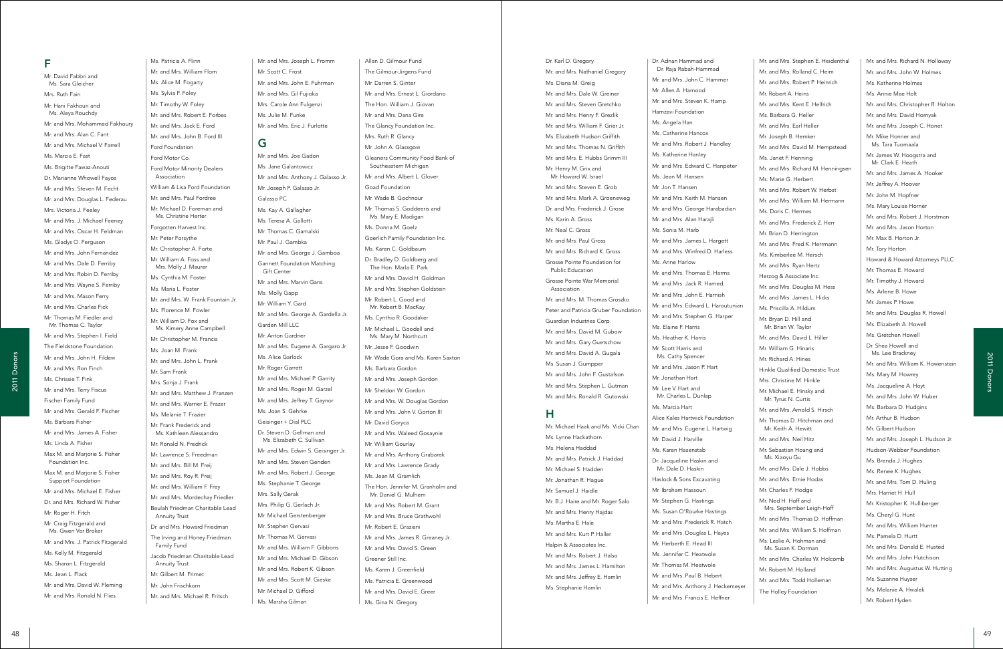Ms. Patricia A. Flinn Mr. and Mrs. William Flom Ms. Alice M. Fogarty Ms. Sylvia F. Foley Mr. Timothy W. Foley Mr. and Mrs. Robert E. Forbes Mr. and Mrs. Jack E. Ford Mr. and Mrs. John B. Ford III Ford Foundation Ford Motor Co. Ford Motor Minority Dealers Association William & Lisa Ford Foundation Mr. and Mrs. Paul Fordree Mr. Michael D. Foreman and Ms. Christine Herter Forgotten Harvest Inc. Mr. Peter Forsythe Mr. Christopher A. Forte Mr. William A. Foss and Mrs. Molly J. Maurer Ms. Cynthia M. Foster Ms. Maria L. Foster Mr. and Mrs. W. Frank Fountain Jr. Ms. Florence M. Fowler Mr. William D. Fox and Ms. Kimery Anne Campbell Mr. Christopher M. Francis Ms. Joan M. Frank Mr. and Mrs. John L. Frank Mr. Sam Frank Mrs. Sonja J. Frank Mr. and Mrs. Matthew J. Franzen Mr. and Mrs. Warner E. Frazer Ms. Melanie T. Frazier Mr. Frank Frederick and Ms. Kathleen Alessandro Mr. Ronald N. Fredrick Mr. Lawrence S. Freedman Mr. and Mrs. Bill M. Freij Mr. and Mrs. Roy R. Freij Mr. and Mrs. William F. Frey Mr. and Mrs. Mordechay Friedler Beulah Friedman Charitable Lead Annuity Trust Dr. and Mrs. Howard Friedman The Irving and Honey Friedman Family Fund Jacob Friedman Charitable Lead Annuity Trust Mr. Gilbert M. Frimet Mr. John Frischkorn Mr. and Mrs. Michael R. Fritsch

# F

Mr. David Fabbri and Ms. Sara Gleicher Mrs. Ruth Fain Mr. Hani Fakhouri and Ms. Aleya Rouchdy Mr. and Mrs. Mohammed Fakhoury Mr. and Mrs. Alan C. Fant Mr. and Mrs. Michael V. Farrell Ms. Marcia E. Fast Ms. Brigitte Fawaz-Anouti Dr. Marianne Whowell Fayos Mr. and Mrs. Steven M. Fecht Mr. and Mrs. Douglas L. Federau Mrs. Victoria J. Feeley Mr. and Mrs. J. Michael Feeney Mr. and Mrs. Oscar H. Feldman Ms. Gladys O. Ferguson Mr. and Mrs. John Fernandez Mr. and Mrs. Dale D. Ferriby Mr. and Mrs. Robin D. Ferriby Mr. and Mrs. Wayne S. Ferriby Mr. and Mrs. Mason Ferry Mr. and Mrs. Charles Fick Mr. Thomas M. Fiedler and Mr. Thomas C. Taylor Mr. and Mrs. Stephen I. Field The Fieldstone Foundation Mr. and Mrs. John H. Fildew Mr. and Mrs. Ron Finch Ms. Chrissie T. Fink Mr. and Mrs. Terry Fiscus Fischer Family Fund Mr. and Mrs. Gerald F. Fischer Ms. Barbara Fisher Mr. and Mrs. James A. Fisher Ms. Linda A. Fisher Max M. and Marjorie S. Fisher Foundation Inc. Max M. and Marjorie S. Fisher Support Foundation Mr. and Mrs. Michael E. Fisher Dr. and Mrs. Richard W. Fisher Mr. Roger H. Fitch Mr. Craig Fitzgerald and Ms. Gwen Vor Broker Mr. and Mrs. J. Patrick Fitzgerald Ms. Kelly M. Fitzgerald Ms. Sharon L. Fitzgerald Ms. Jean L. Flack Mr. and Mrs. David W. Fleming

Mr. and Mrs. Ronald N. Flies

Mr. and Mrs. Joseph L. Fromm Mr. Scott C. Frost Mr. and Mrs. John E. Fuhrman Mr. and Mrs. Gil Fujioka Mrs. Carole Ann Fulgenzi Ms. Julie M. Funke Mr. and Mrs. Eric J. Furlotte

# G

Mr. and Mrs. Joe Gadon Ms. Jane Galantowicz Mr. and Mrs. Anthony J. Galasso Jr. Mr. Joseph P. Galasso Jr. Galasso PC Ms. Kay A. Gallagher Ms. Teresa A. Gallotti Mr. Thomas C. Gamalski Mr. Paul J. Gambka Mr. and Mrs. George J. Gamboa Gannett Foundation Matching Gift Center Mr. and Mrs. Marvin Gans Ms. Molly Gapp Mr. William Y. Gard Mr. and Mrs. George A. Gardella Jr. Garden Mill LLC Mr. Anton Gardner Mr. and Mrs. Eugene A. Gargaro Jr. Ms. Alice Garlock Mr. Roger Garrett Mr. and Mrs. Michael P. Garrity Mr. and Mrs. Roger M. Garzel Mr. and Mrs. Jeffrey T. Gaynor Ms. Joan S. Gehrke Geisinger + Dial PLC Dr. Steven D. Gellman and Ms. Elizabeth C. Sullivan Mr. and Mrs. Edwin S. Geisinger Jr. Mr. and Mrs. Steven Genden Mr. and Mrs. Robert J. George Ms. Stephanie T. George Mrs. Sally Gerak Mrs. Philip G. Gerlach Jr. Mr. Michael Gerstenberger Mr. Stephen Gervasi Mr. Thomas M. Gervasi Mr. and Mrs. William F. Gibbons Mr. and Mrs. Michael D. Gibson Mr. and Mrs. Robert K. Gibson Mr. and Mrs. Scott M. Gieske Mr. Michael D. Gifford

Ms. Marsha Gilman

Allan D. Gilmour Fund

The Gilmour-Jirgens Fund Mr. Darren S. Ginter Mr. and Mrs. Ernest L. Giordano The Hon. William J. Giovan Mr. and Mrs. Dana Gire The Glancy Foundation Inc. Mrs. Ruth R. Glancy Mr. John A. Glassgow Gleaners Community Food Bank of Southeastern Michigan Mr. and Mrs. Albert L. Glover Goad Foundation Mr. Wade B. Gochnour Mr. Thomas S. Goddeeris and Ms. Mary E. Madigan Ms. Donna M. Goelz Goerlich Family Foundation Inc. Ms. Karen C. Goldbaum Dr. Bradley D. Goldberg and The Hon. Marla E. Park Mr. and Mrs. David H. Goldman Mr. and Mrs. Stephen Goldstein Mr. Robert L. Good and Mr. Robert B. MacKay Ms. Cynthia R. Goodaker Mr. Michael L. Goodell and Ms. Mary M. Northcutt Mr. Jesse F. Goodwin Mr. Wade Gora and Ms. Karen Saxton Ms. Barbara Gordon Mr. and Mrs. Joseph Gordon Mr. Sheldon W. Gordon Mr. and Mrs. W. Douglas Gordon Mr. and Mrs. John V. Gorton III Mr. David Goryca Mr. and Mrs. Waleed Gosaynie Mr. William Gourlay Mr. and Mrs. Anthony Grabarek Mr. and Mrs. Lawrence Grady Ms. Jean M. Gramlich The Hon. Jennifer M. Granholm and Mr. Daniel G. Mulhern Mr. and Mrs. Robert M. Grant Mr. and Mrs. Bruce Grathwohl Mr. Robert E. Graziani Mr. and Mrs. James R. Greaney Jr. Mr. and Mrs. David S. Green Greener Still Inc. Ms. Karen J. Greenfield Ms. Patricia E. Greenwood Mr. and Mrs. David E. Greer Ms. Gina N. Gregory

 $\begin{pmatrix} 0 & 0 & 0 \\ 0 & 0 & 0 \\ 0 & 0 & 0 \\ 0 & 0 & 0 \\ 0 & 0 & 0 \\ 0 & 0 & 0 \\ 0 & 0 & 0 \\ 0 & 0 & 0 \\ 0 & 0 & 0 \\ 0 & 0 & 0 \\ 0 & 0 & 0 \\ 0 & 0 & 0 \\ 0 & 0 & 0 \\ 0 & 0 & 0 \\ 0 & 0 & 0 \\ 0 & 0 & 0 \\ 0 & 0 & 0 \\ 0 & 0 & 0 \\ 0 & 0 & 0 \\ 0 & 0 & 0 \\ 0 & 0 & 0 \\ 0 & 0 & 0 \\ 0 & 0 & 0 \\ 0 & 0 &$ Mr. and Mrs. Stephen E. Heidenthal Mr. and Mrs. Rolland C. Heim Mr. and Mrs. Robert P. Heinrich Mr. Robert A. Heins Mr. and Mrs. Kent E. Helfrich Ms. Barbara G. Heller Mr. and Mrs. Earl Heller Mr. Joseph B. Hemker Mr. and Mrs. David M. Hempstead Ms. Janet F. Henning Mr. and Mrs. Richard M. Henningsen Ms. Marie G. Herbert Mr. and Mrs. Robert W. Herbst Mr. and Mrs. William M. Hermann Ms. Doris C. Hermes Mr. and Mrs. Frederick Z. Herr Mr. Brian D. Herrington Mr. and Mrs. Fred K. Herrmann Ms. Kimberlee M. Hersch Mr. and Mrs. Ryan Hertz Herzog & Associate Inc. Mr. and Mrs. Douglas M. Hess Mr. and Mrs. James L. Hicks Ms. Priscilla A. Hildum Mr. Bryan D. Hill and Mr. Brian W. Taylor Mr. and Mrs. David L. Hiller Mr. William G. Hinaris Mr. Richard A. Hines Hinkle Qualified Domestic Trust Mrs. Christine M. Hinkle Mr. Michael E. Hinsky and Mr. Tyrus N. Curtis Mr. and Mrs. Arnold S. Hirsch Mr. Thomas D. Hitchman and Mr. Keith A. Hewitt Mr. and Mrs. Neil Hitz Mr. Sebastian Hoang and Ms. Xiaoyu Gu Mr. and Mrs. Dale J. Hobbs Mr. and Mrs. Ernie Hodas Mr. Charles F. Hodge Mr. Ned H. Hoff and Mrs. September Leigh-Hoff Mr. and Mrs. Thomas D. Hoffman Mr. and Mrs. William S. Hoffman Ms. Leslie A. Hohman and Ms. Susan K. Dorman Mr. and Mrs. Charles W. Holcomb Mr. Robert M. Holland Mr. and Mrs. Todd Holleman The Holley Foundation

Dr. Adnan Hammad and Dr. Raja Rabah-Hammad Mr. and Mrs. John C. Hammer Mr. Allen A. Hamood Mr. and Mrs. Steven K. Hamp Hamzavi Foundation Ms. Angela Han Ms. Catherine Hancox Mr. and Mrs. Robert J. Handley Ms. Katherine Hanley Mr. and Mrs. Edward C. Hanpeter Ms. Jean M. Hansen Mr. Jon T. Hansen Mr. and Mrs. Keith M. Hansen Mr. and Mrs. George Harabadian Mr. and Mrs. Alan Harajli Ms. Sonia M. Harb Mr. and Mrs. James L. Hargett Mr. and Mrs. Winfred D. Harless Ms. Anne Harlow Mr. and Mrs. Thomas E. Harms Mr. and Mrs. Jack R. Harned Mr. and Mrs. John E. Harnish Mr. and Mrs. Edward L. Haroutunian Mr. and Mrs. Stephen G. Harper Ms. Elaine F. Harris Ms. Heather K. Harris Mr. Scott Harris and Ms. Cathy Spencer Mr. and Mrs. Jason P. Hart Mr. Jonathan Hart Mr. Lee V. Hart and Mr. Charles L. Dunlap Ms. Marcia Hart Alice Kales Hartwick Foundation Mr. and Mrs. Eugene L. Hartwig Mr. David J. Harville Ms. Karen Hasenstab Dr. Jacqueline Haskin and Mr. Dale D. Haskin Haslock & Sons Excavating Mr. Ibraham Hassoun Mr. Stephen G. Hastings Ms. Susan O'Rourke Hastings Mr. and Mrs. Frederick R. Hatch Mr. and Mrs. Douglas L. Hayes Mr. Herberth E. Head III Ms. Jennifer C. Heatwole Mr. Thomas M. Heatwole Mr. and Mrs. Paul B. Hebert Mr. and Mrs. Anthony J. Heckemeyer Mr. and Mrs. Francis E. Heffner

Dr. Karl D. Gregory Mr. and Mrs. Nathaniel Gregory Ms. Diana M. Greig Mr. and Mrs. Dale W. Greiner Mr. and Mrs. Steven Gretchko Mr. and Mrs. Henry F. Grezlik Mr. and Mrs. William F. Grier Jr. Ms. Elizabeth Hudson Griffith Mr. and Mrs. Thomas N. Griffith Mr. and Mrs. E. Hubbs Grimm III Mr. Henry M. Grix and Mr. Howard W. Israel Mr. and Mrs. Steven E. Grob Mr. and Mrs. Mark A. Groeneweg Dr. and Mrs. Frederick J. Grose Ms. Karin A. Gross Mr. Neal C. Gross Mr. and Mrs. Paul Gross Mr. and Mrs. Richard K. Gross Grosse Pointe Foundation for Public Education Grosse Pointe War Memorial Association Mr. and Mrs. M. Thomas Groszko Peter and Patricia Gruber Foundation Guardian Industries Corp. Mr. and Mrs. David M. Gubow Mr. and Mrs. Gary Guetschow Mr. and Mrs. David A. Gugala Ms. Susan J. Gumpper Mr. and Mrs. John F. Gustafson Mr. and Mrs. Stephen L. Gutman Mr. and Mrs. Ronald R. Gutowski H Mr. Michael Haak and Ms. Vicki Chan Ms. Lynne Hackathorn Ms. Helena Haddad Mr. and Mrs. Patrick J. Haddad Mr. Michael S. Hadden Mr. Jonathan R. Hague Mr. Samuel J. Haidle Mr. B.J. Haire and Mr. Roger Salo

> Mr. and Mrs. Henry Hajdas Ms. Martha E. Hale Mr. and Mrs. Kurt P. Haller Halpin & Associates Inc. Mr. and Mrs. Robert J. Halso Mr. and Mrs. James L. Hamilton Mr. and Mrs. Jeffrey E. Hamlin Ms. Stephanie Hamlin

Mr. and Mrs. Richard N. Holloway Mr. and Mrs. John W. Holmes Ms. Katherine Holmes Ms. Annie Mae Holt Mr. and Mrs. Christopher R. Holton Mr. and Mrs. David Homyak Mr. and Mrs. Joseph C. Honet Mr. Mike Honner and Ms. Tara Tuomaala Mr. James W. Hoogstra and Mr. Clark E. Heath Mr. and Mrs. James A. Hooker Mr. Jeffrey A. Hoover Mr. John M. Hopfner Ms. Mary Louise Horner Mr. and Mrs. Robert J. Horstman Mr. and Mrs. Jason Horton Mr. Max B. Horton Jr. Mr. Tory Horton Howard & Howard Attorneys PLLC Mr. Thomas E. Howard Mr. Timothy J. Howard Ms. Arlene B. Howe Mr. James P. Howe Mr. and Mrs. Douglas R. Howell Ms. Elizabeth A. Howell Ms. Gretchen Howell Dr. Shea Howell and Ms. Lee Brackney Mr. and Mrs. William K. Howenstein Ms. Mary M. Howrey Ms. Jacqueline A. Hoyt Mr. and Mrs. John W. Huber Ms. Barbara D. Hudgins Mr. Arthur B. Hudson Mr. Gilbert Hudson Mr. and Mrs. Joseph L. Hudson Jr. Hudson-Webber Foundation Ms. Brenda J. Hughes Ms. Renee K. Hughes Mr. and Mrs. Tom D. Huling Mrs. Harriet H. Hull Mr. Kristopher K. Hulliberger Ms. Cheryl G. Hunt Mr. and Mrs. William Hunter Ms. Pamela D. Hurtt Mr. and Mrs. Donald E. Husted Mr. and Mrs. John Hutchison Mr. and Mrs. Augustus W. Hutting Ms. Suzanne Huyser Ms. Melanie A. Hwalek Mr. Robert Hyden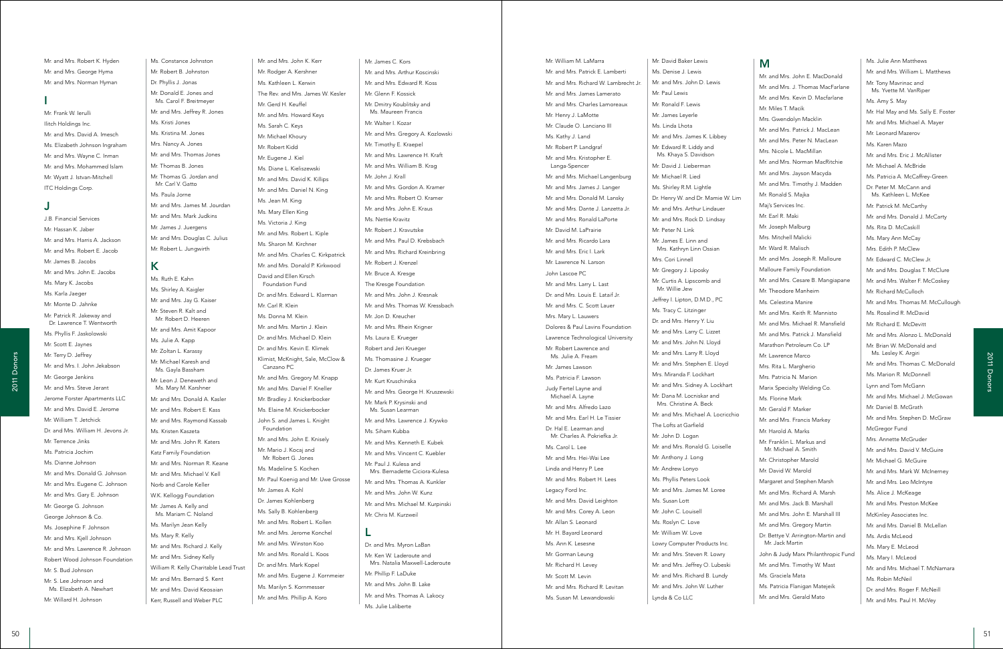Ms. Constance Johnston Mr. Robert B. Johnston Dr. Phyllis J. Jonas Mr. Donald E. Jones and Ms. Carol F. Breitmeyer Mr. and Mrs. Jeffrey R. Jones Ms. Kristi Jones Ms. Kristina M. Jones Mrs. Nancy A. Jones Mr. and Mrs. Thomas Jones Mr. Thomas B. Jones Mr. Thomas G. Jordan and Mr. Carl V. Gatto Ms. Paula Jorne Mr. and Mrs. James M. Jourdan Mr. and Mrs. Mark Judkins Mr. James J. Juergens Mr. and Mrs. Douglas C. Julius Mr. Robert L. Jungwirth

# K

Mr. Frank W. Ierulli Ilitch Holdings Inc. Mr. and Mrs. David A. Imesch Ms. Elizabeth Johnson Ingraham Mr. and Mrs. Wayne C. Inman Mr. and Mrs. Mohammed Islam Mr. Wyatt J. Istvan-Mitchell ITC Holdings Corp.

> Ms. Ruth E. Kahn Ms. Shirley A. Kaigler Mr. and Mrs. Jay G. Kaiser Mr. Steven R. Kalt and Mr. Robert D. Heeren Mr. and Mrs. Amit Kapoor Ms. Julie A. Kapp Mr. Zoltan L. Karassy Mr. Michael Karesh and Ms. Gayla Bassham Mr. Leon J. Deneweth and Ms. Mary M. Karshner Mr. and Mrs. Donald A. Kasler Mr. and Mrs. Robert E. Kass Mr. and Mrs. Raymond Kassab Ms. Kristen Kaszeta Mr. and Mrs. John R. Katers Katz Family Foundation Mr. and Mrs. Norman R. Keane Mr. and Mrs. Michael V. Kell Norb and Carole Keller W.K. Kellogg Foundation Mr. James A. Kelly and Ms. Mariam C. Noland Ms. Marilyn Jean Kelly Ms. Mary R. Kelly Mr. and Mrs. Richard J. Kelly Mr. and Mrs. Sidney Kelly William R. Kelly Charitable Lead Trust Mr. and Mrs. Bernard S. Kent Mr. and Mrs. David Keosaian Kerr, Russell and Weber PLC

Mr. and Mrs. Robert K. Hyden Mr. and Mrs. George Hyma Mr. and Mrs. Norman Hyman

### I

### J

J.B. Financial Services

Mr. Hassan K. Jaber Mr. and Mrs. Harris A. Jackson Mr. and Mrs. Robert E. Jacob Mr. James B. Jacobs Mr. and Mrs. John E. Jacobs Ms. Mary K. Jacobs Ms. Karla Jaeger Mr. Monte D. Jahnke Mr. Patrick R. Jakeway and Dr. Lawrence T. Wentworth Ms. Phyllis F. Jaskolowski Mr. Scott E. Jaynes Mr. Terry D. Jeffrey Mr. and Mrs. I. John Jekabson Mr. George Jenkins Mr. and Mrs. Steve Jerant Jerome Forster Apartments LLC Mr. and Mrs. David E. Jerome Mr. William T. Jetchick Dr. and Mrs. William H. Jevons Jr. Mr. Terrence Jinks Ms. Patricia Jochim Ms. Dianne Johnson Mr. and Mrs. Donald G. Johnson Mr. and Mrs. Eugene C. Johnson Mr. and Mrs. Gary E. Johnson Mr. George G. Johnson George Johnson & Co. Ms. Josephine F. Johnson Mr. and Mrs. Kjell Johnson Mr. and Mrs. Lawrence R. Johnson Robert Wood Johnson Foundation Mr. S. Bud Johnson Mr. S. Lee Johnson and Ms. Elizabeth A. Newhart Mr. Willard H. Johnson

Mr. and Mrs. John K. Kerr Mr. Rodger A. Kershner Ms. Kathleen L. Kerwin The Rev. and Mrs. James W. Kesler Mr. Gerd H. Keuffel Mr. and Mrs. Howard Keys Ms. Sarah C. Keys Mr. Michael Khoury Mr. Robert Kidd Mr. Eugene J. Kiel Ms. Diane L. Kieliszewski Mr. and Mrs. David K. Killips Mr. and Mrs. Daniel N. King Ms. Jean M. King Ms. Mary Ellen King Ms. Victoria J. King Mr. and Mrs. Robert L. Kiple Ms. Sharon M. Kirchner Mr. and Mrs. Charles C. Kirkpatrick Mr. and Mrs. Donald P. Kirkwood David and Ellen Kirsch Foundation Fund Dr. and Mrs. Edward L. Klarman Mr. Carl R. Klein Ms. Donna M. Klein Mr. and Mrs. Martin J. Klein Dr. and Mrs. Michael D. Klein Dr. and Mrs. Kevin E. Klimek Klimist, McKnight, Sale, McClow & Canzano PC Mr. and Mrs. Gregory M. Knapp Mr. and Mrs. Daniel F. Kneller Mr. Bradley J. Knickerbocker Ms. Elaine M. Knickerbocker John S. and James L. Knight Foundation Mr. and Mrs. John E. Knisely Mr. Mario J. Kocaj and Mr. Robert G. Jones Ms. Madeline S. Kochen Mr. Paul Koenig and Mr. Uwe Grosse Mr. James A. Kohl Dr. James Kohlenberg Ms. Sally B. Kohlenberg Mr. and Mrs. Robert L. Kollen Mr. and Mrs. Jerome Konchel Mr. and Mrs. Winston Koo Mr. and Mrs. Ronald L. Koos Dr. and Mrs. Mark Kopel Mr. and Mrs. Eugene J. Kornmeier Ms. Marilyn S. Kornmesser Mr. and Mrs. Phillip A. Koro

50 State of the Contract of Contract of Contract of Contract of Contract of Contract of Contract of Contract of Contract of Contract of Contract of Contract of Contract of Contract of Contract of Contract of Contract of Mr. William M. LaMarra Mr. and Mrs. Patrick E. Lamberti Mr. and Mrs. Richard W. Lambrecht Jr. Mr. and Mrs. James Lamerato Mr. and Mrs. Charles Lamoreaux Mr. Henry J. LaMotte Mr. Claude O. Lanciano III Ms. Kathy J. Land Mr. Robert P. Landgraf Mr. and Mrs. Kristopher E. Langa-Spencer Mr. and Mrs. Michael Langenburg Mr. and Mrs. James J. Langer Mr. and Mrs. Donald M. Lansky Mr. and Mrs. Dante J. Lanzetta Jr. Mr. and Mrs. Ronald LaPorte Mr. David M. LaPrairie Mr. and Mrs. Ricardo Lara Mr. and Mrs. Eric I. Lark Mr. Lawrence N. Larson John Lascoe PC Mr. and Mrs. Larry L. Last Dr. and Mrs. Louis E. Lataif Jr. Mr. and Mrs. C. Scott Lauer Mrs. Mary L. Lauwers Dolores & Paul Lavins Foundation Lawrence Technological University Mr. Robert Lawrence and Ms. Julie A. Fream Mr. James Lawson Ms. Patricia F. Lawson Judy Fertel Layne and Michael A. Layne Mr. and Mrs. Alfredo Lazo Mr. and Mrs. Earl H. Le Tissier Dr. Hal E. Learman and Mr. Charles A. Pokriefka Jr. Ms. Carol L. Lee Mr. and Mrs. Hei-Wai Lee Linda and Henry P. Lee Mr. and Mrs. Robert H. Lees Legacy Ford Inc. Mr. and Mrs. David Leighton Mr. and Mrs. Corey A. Leon Mr. Allan S. Leonard Mr. H. Bayard Leonard Ms. Ann K. Lesesne Mr. Gorman Leung Mr. Richard H. Levey Mr. Scott M. Levin Mr. and Mrs. Richard R. Levitan Ms. Susan M. Lewandowski

Mr. James C. Kors Mr. and Mrs. Arthur Koscinski Mr. and Mrs. Edward R. Koss Mr. Glenn F. Kossick Mr. Dmitry Koublitsky and Ms. Maureen Francis Mr. Walter I. Kozar Mr. and Mrs. Gregory A. Kozlowski Mr. Timothy E. Kraepel Mr. and Mrs. Lawrence H. Kraft Mr. and Mrs. William B. Krag Mr. John J. Krall Mr. and Mrs. Gordon A. Kramer Mr. and Mrs. Robert O. Kramer Mr. and Mrs. John E. Kraus Me. Nottie Kravitz Mr. Robert J. Kravutske Mr. and Mrs. Paul D. Krebsbach Mr. and Mrs. Richard Kreinbring Mr. Robert J. Krenzel Mr. Bruce A. Kresge The Kresge Foundation Mr. and Mrs. John J. Kresnak Mr. and Mrs. Thomas W. Kressbach Mr. Jon D. Kreucher Mr. and Mrs. Rhein Krigner Ms. Laura E. Krueger Robert and Jeri Krueger Ms. Thomasine J. Krueger Dr. James Kruer Jr. Mr. Kurt Kruschinska Mr. and Mrs. George H. Kruszewski Mr. Mark P. Krysinski and Ms. Susan Learman Mr. and Mrs. Lawrence J. Krywko Ms. Siham Kubba Mr. and Mrs. Kenneth E. Kubek Mr. and Mrs. Vincent C. Kuebler Mr. Paul J. Kulesa and Mrs. Bernadette Ciciora-Kulesa Mr. and Mrs. Thomas A. Kunkler Mr. and Mrs. John W. Kunz Mr. and Mrs. Michael M. Kurpinski Mr. Chris M. Kurzweil L Dr. and Mrs. Myron LaBan Mr. Ken W. Laderoute and Mrs. Natalia Maxwell-Laderoute

Mr. Phillip F. LaDuke Mr. and Mrs. John B. Lake Mr. and Mrs. Thomas A. Lakocy Ms. Julie Laliberte

Mr. David Baker Lewis Ms. Denise J. Lewis Mr. and Mrs. John D. Lewis Mr. Paul Lewis Mr. Ronald F. Lewis Mr. James Leyerle Ms. Linda Lhota Mr. and Mrs. James K. Libbey Mr. Edward R. Liddy and Ms. Khaya S. Davidson Mr. David J. Lieberman Mr. Michael R. Lied Ms. Shirley R.M. Lightle Dr. Henry W. and Dr. Mamie W. Lim Mr. and Mrs. Arthur Lindauer Mr. and Mrs. Rock D. Lindsay Mr. Peter N. Link Mr. James E. Linn and Mrs. Kathryn Linn Ossian Mrs. Cori Linnell Mr. Gregory J. Liposky Mr. Curtis A. Lipscomb and Mr. Willie Jew Jeffrey I. Lipton, D.M.D., PC Ms. Tracy C. Litzinger Dr. and Mrs. Henry Y. Liu Mr. and Mrs. Larry C. Lizzet Mr. and Mrs. John N. Lloyd Mr. and Mrs. Larry R. Lloyd Mr. and Mrs. Stephen E. Lloyd Mrs. Miranda F. Lockhart Mr. and Mrs. Sidney A. Lockhart Mr. Dana M. Locniskar and Mrs. Christine A. Beck Mr. and Mrs. Michael A. Locricchio The Lofts at Garfield Mr. John D. Logan Mr. and Mrs. Ronald G. Loiselle Mr. Anthony J. Long Mr. Andrew Lonyo Ms. Phyllis Peters Look Mr. and Mrs. James M. Loree Ms. Susan Lott Mr. John C. Louisell Ms. Roslyn C. Love Mr. William W. Love Lowry Computer Products Inc. Mr. and Mrs. Steven R. Lowry Mr. and Mrs. Jeffrey O. Lubeski Mr. and Mrs. Richard B. Lundy Mr. and Mrs. John W. Luther Lynda & Co LLC

### M

Mr. and Mrs. John E. MacDonald Mr. and Mrs. J. Thomas MacFarlane Mr. and Mrs. Kevin D. Macfarlane Mr. Miles T. Macik Mrs. Gwendolyn Macklin Mr. and Mrs. Patrick J. MacLean Mr. and Mrs. Peter N. MacLean Mrs. Nicole L. MacMillan Mr. and Mrs. Norman MacRitchie Mr. and Mrs. Jayson Macyda Mr. and Mrs. Timothy J. Madden Mr. Ronald S. Majka Maj's Services Inc. Mr. Earl R. Maki Mr. Joseph Malburg Mrs. Mitchell Malicki Mr. Ward R. Malisch Mr. and Mrs. Joseph R. Malloure Malloure Family Foundation Mr. and Mrs. Cesare B. Mangiapane Mr. Theodore Manheim Ms. Celestina Manire Mr. and Mrs. Keith R. Mannisto Mr. and Mrs. Michael R. Mansfield Mr. and Mrs. Patrick J. Mansfield Marathon Petroleum Co. LP Mr. Lawrence Marco Mrs. Rita L. Margherio Mrs. Patricia N. Marion Marix Specialty Welding Co. Ms. Florine Mark Mr. Gerald F. Marker Mr. and Mrs. Francis Markey Mr. Harold A. Marks Mr. Franklin L. Markus and Mr. Michael A. Smith Mr. Christopher Marold Mr. David W. Marold Margaret and Stephen Marsh Mr. and Mrs. Richard A. Marsh Mr. and Mrs. Jack B. Marshall Mr. and Mrs. John E. Marshall III Mr. and Mrs. Gregory Martin Dr. Bettye V. Arrington-Martin and Mr. Jack Martin John & Judy Marx Philanthropic Fund Mr. and Mrs. Timothy W. Mast Ms. Graciela Mata Ms. Patricia Flanigan Matejeik Mr. and Mrs. Gerald Mato

Ms. Julie Ann Matthews Mr. and Mrs. William L. Matthews Mr. Tony Mavrinac and Ms. Yvette M. VanRiper Ms. Amy S. May Mr. Hal May and Ms. Sally E. Foster Mr. and Mrs. Michael A. Mayer Mr. Leonard Mazerov Ms. Karen Mazo Mr. and Mrs. Eric J. McAllister Mr. Michael A. McBride Ms. Patricia A. McCaffrey-Green Dr. Peter M. McCann and Ms. Kathleen L. McKee Mr. Patrick M. McCarthy Mr. and Mrs. Donald J. McCarty Ms. Rita D. McCaskill Ms. Mary Ann McCay Mrs. Edith P. McClew Mr. Edward C. McClew Jr. Mr. and Mrs. Douglas T. McClure Mr. and Mrs. Walter F. McCoskey Mr. Richard McCulloch Mr. and Mrs. Thomas M. McCullough Ms. Rosalind R. McDavid Mr. Richard E. McDevitt Mr. and Mrs. Alonzo L. McDonald Mr. Brian W. McDonald and Ms. Lesley K. Argiri Mr. and Mrs. Thomas C. McDonald Ms. Marion R. McDonnell Lynn and Tom McGann Mr. and Mrs. Michael J. McGowan Mr. Daniel B. McGrath Mr. and Mrs. Stephen D. McGraw McGregor Fund Mrs. Annette McGruder Mr. and Mrs. David V. McGuire Mr. Michael G. McGuire Mr. and Mrs. Mark W. McInerney Mr. and Mrs. Leo McIntyre Ms. Alice J. McKeage Mr. and Mrs. Preston McKee McKinley Associates Inc. Mr. and Mrs. Daniel B. McLellan Ms. Ardis McLeod Ms. Mary E. McLeod Ms. Mary I. McLeod Mr. and Mrs. Michael T. McNamara Ms. Robin McNeil Dr. and Mrs. Roger F. McNeill Mr. and Mrs. Paul H. McVey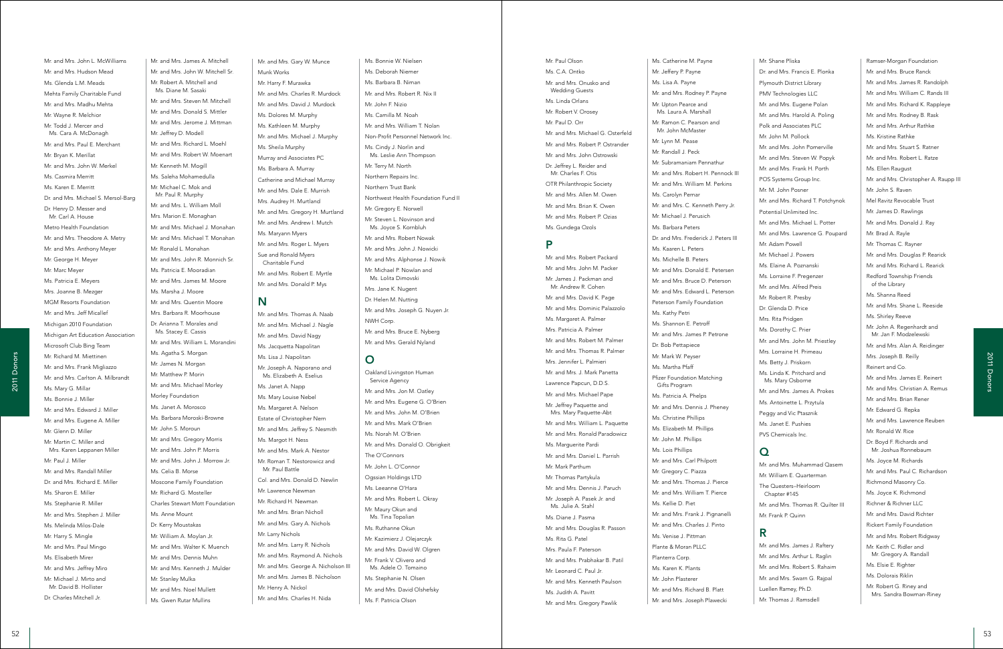Mr. and Mrs. James A. Mitchell Mr. and Mrs. John W. Mitchell Sr. Mr. Robert A. Mitchell and Ms. Diane M. Sasaki Mr. and Mrs. Steven M. Mitchell Mr. and Mrs. Donald S. Mittler Mr. and Mrs. Jerome J. Mittman Mr. Jeffrey D. Modell Mr. and Mrs. Richard L. Moehl Mr. and Mrs. Robert W. Moenart Mr. Kenneth M. Mogill Ms. Saleha Mohamedulla Mr. Michael C. Mok and Mr. Paul R. Murphy Mr. and Mrs. L. William Moll Mrs. Marion E. Monaghan Mr. and Mrs. Michael J. Monahan Mr. and Mrs. Michael T. Monahan Mr. Ronald L. Monahan Mr. and Mrs. John R. Monnich Sr. Ms. Patricia E. Mooradian Mr. and Mrs. James M. Moore Ms. Marsha J. Moore Mr. and Mrs. Quentin Moore Mrs. Barbara R. Moorhouse Dr. Arianna T. Morales and Ms. Stacey E. Cassis Mr. and Mrs. William L. Morandini Ms. Agatha S. Morgan Mr. James N. Morgan Mr. Matthew P. Morin Mr. and Mrs. Michael Morley Morley Foundation Ms. Janet A. Morosco Ms. Barbara Moroski-Browne Mr. John S. Moroun Mr. and Mrs. Gregory Morris Mr. and Mrs. John P. Morris Mr. and Mrs. John J. Morrow Jr. Ms. Celia B. Morse Moscone Family Foundation Mr. Richard G. Mosteller Charles Stewart Mott Foundation Ms. Anne Mount Dr. Kerry Moustakas Mr. William A. Moylan Jr. Mr. and Mrs. Walter K. Muench Mr. and Mrs. Dennis Muhn Mr. and Mrs. Kenneth J. Mulder Mr. Stanley Mulka Mr. and Mrs. Noel Mullett Ms. Gwen Rutar Mullins

Mr. and Mrs. John L. McWilliams Mr. and Mrs. Hudson Mead Ms. Glenda L.M. Meads Mehta Family Charitable Fund Mr. and Mrs. Madhu Mehta Mr. Wayne R. Melchior Mr. Todd J. Mercer and Ms. Cara A. McDonagh Mr. and Mrs. Paul E. Merchant Mr. Bryan K. Merillat Mr. and Mrs. John W. Merkel Ms. Casmira Merritt Ms. Karen E. Merritt Dr. and Mrs. Michael S. Mersol-Barg Dr. Henry D. Messer and Mr. Carl A. House Metro Health Foundation Mr. and Mrs. Theodore A. Metry Mr. and Mrs. Anthony Meyer Mr. George H. Meyer Mr. Marc Meyer Ms. Patricia E. Meyers Mrs. Joanne B. Mezger MGM Resorts Foundation Mr. and Mrs. Jeff Micallef Michigan 2010 Foundation Michigan Art Education Association Microsoft Club Bing Team Mr. Richard M. Miettinen Mr. and Mrs. Frank Migliazzo Mr. and Mrs. Carlton A. Milbrandt Ms. Mary G. Millar Ms. Bonnie J. Miller Mr. and Mrs. Edward J. Miller Mr. and Mrs. Eugene A. Miller Mr. Glenn D. Miller Mr. Martin C. Miller and Mrs. Karen Leppanen Miller Mr. Paul J. Miller Mr. and Mrs. Randall Miller Dr. and Mrs. Richard E. Miller Ms. Sharon E. Miller Ms. Stephanie R. Miller Mr. and Mrs. Stephen J. Miller Ms. Melinda Milos-Dale Mr. Harry S. Mingle Mr. and Mrs. Paul Mingo Ms. Elisabeth Mirer Mr. and Mrs. Jeffrey Miro Mr. Michael J. Mirto and Mr. David B. Hollister Dr. Charles Mitchell Jr.

Mr. and Mrs. Gary W. Munce Munk Works Mr. Harry F. Murawka Mr. and Mrs. Charles R. Murdock Mr. and Mrs. David J. Murdock Ms. Dolores M. Murphy Ms. Kathleen M. Murphy Mr. and Mrs. Michael J. Murphy Ms. Sheila Murphy Murray and Associates PC Ms. Barbara A. Murray Catherine and Michael Murray Mr. and Mrs. Dale E. Murrish Mrs. Audrey H. Murtland Mr. and Mrs. Gregory H. Murtland Mr. and Mrs. Andrew I. Mutch Ms. Maryann Myers Mr. and Mrs. Roger L. Myers Sue and Ronald Myers Charitable Fund Mr. and Mrs. Robert E. Myrtle Mr. and Mrs. Donald P. Mys

# N

<sup>52</sup> <sup>53</sup> 2011 Donors2011 Donors Ms. Laura A. Marshall Mr. Ramon C. Pearson and Mr. John McMaster Mr. Lynn M. Pease Mr. Randall J. Peck Mr. Subramaniam Pennathur Mr. and Mrs. Robert H. Pennock III Mr. and Mrs. William M. Perkins Ms. Carolyn Pernar Mr. and Mrs. C. Kenneth Perry Jr. Mr. Michael J. Perusich Ms. Barbara Peters Dr. and Mrs. Frederick J. Peters III Ms. Kaaren L. Peters Ms. Michelle B. Peters Mr. and Mrs. Donald E. Petersen Mr. and Mrs. Bruce D. Peterson Mr. and Mrs. Edward L. Peterson Peterson Family Foundation Ms. Kathy Petri Ms. Shannon E. Petroff Mr. and Mrs. James P. Petrone Dr. Bob Pettapiece Mr. Mark W. Peyser Ms. Martha Pfaff Pfizer Foundation Matching Gifts Program Ms. Patricia A. Phelps Mr. and Mrs. Dennis J. Pheney Ms. Christine Phillips Ms. Elizabeth M. Phillips Mr. John M. Phillips Ms. Lois Phillips Mr. and Mrs. Carl Philpott Mr. Gregory C. Piazza Mr. and Mrs. Thomas J. Pierce Mr. and Mrs. William T. Pierce Ms. Kellie D. Piet Mr. and Mrs. Frank J. Pignanelli Mr. and Mrs. Charles J. Pinto Ms. Venise J. Pittman Plante & Moran PLLC Planterra Corp. Ms. Karen K. Plants Mr. John Plasterer Mr. and Mrs. Richard B. Platt Mr. and Mrs. Joseph Plawecki

Mr. and Mrs. Thomas A. Naab Mr. and Mrs. Michael J. Nagle Mr. and Mrs. David Nagy Ms. Jacquetta Napolitan Ms. Lisa J. Napolitan Mr. Joseph A. Naporano and Ms. Elizabeth A. Eselius Ms. Janet A. Napp Ms. Mary Louise Nebel Ms. Margaret A. Nelson Estate of Christopher Nern Mr. and Mrs. Jeffrey S. Nesmith Ms. Margot H. Ness Mr. and Mrs. Mark A. Nestor Mr. Roman T. Nestorowicz and Mr. Paul Battle Col. and Mrs. Donald D. Newlin Mr. Lawrence Newman Mr. Richard H. Newman Mr. and Mrs. Brian Nicholl Mr. and Mrs. Gary A. Nichols Mr. Larry Nichols Mr. and Mrs. Larry R. Nichols Mr. and Mrs. Raymond A. Nichols Mr. and Mrs. George A. Nicholson III Mr. and Mrs. James B. Nicholson Mr. Henry A. Nickol Mr. and Mrs. Charles H. Nida

Ms. Bonnie W. Nielsen Ms. Deborah Niemer Ms. Barbara B. Niman Mr. and Mrs. Robert R. Nix II Mr. John F. Nizio Ms. Camilla M. Noah Mr. and Mrs. William T. Nolan Non-Profit Personnel Network Inc. Ms. Cindy J. Norlin and Ms. Leslie Ann Thompson Mr. Terry M. North Northern Repairs Inc. Northern Trust Bank Northwest Health Foundation Fund II Mr. Gregory E. Norwell Mr. Steven L. Novinson and Ms. Joyce S. Kornbluh Mr. and Mrs. Robert Nowak Mr. and Mrs. John J. Nowicki Mr. and Mrs. Alphonse J. Nowik Mr. Michael P. Nowlan and Ms. Lolita Dimovski Mrs. Jane K. Nugent Dr. Helen M. Nutting Mr. and Mrs. Joseph G. Nuyen Jr. NWH Corp. Mr. and Mrs. Bruce E. Nyberg

Mr. and Mrs. Gerald Nyland

# O

Oakland Livingston Human Service Agency Mr. and Mrs. Jon M. Oatley Mr. and Mrs. Eugene G. O'Brien Mr. and Mrs. John M. O'Brien Mr. and Mrs. Mark O'Brien Ms. Norah M. O'Brien Mr. and Mrs. Donald O. Obrigkeit The O'Connors Mr. John L. O'Connor Ogssian Holdings LTD Ms. Leeanne O'Hara Mr. and Mrs. Robert L. Okray Mr. Maury Okun and Ms. Tina Topalian Ms. Ruthanne Okun Mr. Kazimierz J. Olejarczyk Mr. and Mrs. David W. Olgren Mr. Frank V. Olivero and Ms. Adele O. Tomaino Ms. Stephanie N. Olsen Mr. and Mrs. David Olshefsky Ms. F. Patricia Olson

Ms. Catherine M. Payne Mr. Jeffery P. Payne Ms. Lisa A. Payne

Mr. and Mrs. Rodney P. Payne Mr. Upton Pearce and

Mr. Paul Olson Ms. C.A. Ontko Mr. and Mrs. Onusko and Wedding Guests Ms. Linda Orlans Mr. Robert V. Orosey Mr. Paul D. Orr Mr. and Mrs. Michael G. Osterfeld Mr. and Mrs. Robert P. Ostrander Mr. and Mrs. John Ostrowski Dr. Jeffrey L. Reider and Mr. Charles F. Otis OTR Philanthropic Society Mr. and Mrs. Allen M. Owen Mr. and Mrs. Brian K. Owen Mr. and Mrs. Robert P. Ozias Ms. Gundega Ozols P

Mr. and Mrs. Robert Packard Mr. and Mrs. John M. Packer Mr. James J. Packman and Mr. Andrew R. Cohen Mr. and Mrs. David K. Page Mr. and Mrs. Dominic Palazzolo Ms. Margaret A. Palmer Mrs. Patricia A. Palmer Mr. and Mrs. Robert M. Palmer Mr. and Mrs. Thomas R. Palmer Mrs. Jennifer L. Palmieri Mr. and Mrs. J. Mark Panetta Lawrence Papcun, D.D.S. Mr. and Mrs. Michael Pape Mr. Jeffrey Paquette and Mrs. Mary Paquette-Abt Mr. and Mrs. William L. Paquette Mr. and Mrs. Ronald Paradowicz

Ms. Marguerite Pardi Mr. and Mrs. Daniel L. Parrish

Mr. Mark Parthum Mr. Thomas Partykula Mr. and Mrs. Dennis J. Paruch Mr. Joseph A. Pasek Jr. and Ms. Julie A. Stahl Ms. Diane J. Pasma

Mr. and Mrs. Douglas R. Passon

Ms. Rita G. Patel Mrs. Paula F. Paterson Mr. and Mrs. Prabhakar B. Patil Mr. Leonard C. Paul Jr. Mr. and Mrs. Kenneth Paulson

Ms. Judith A. Pavitt Mr. and Mrs. Gregory Pawlik Mr. Shane Pliska Dr. and Mrs. Francis E. Plonka Plymouth District Library PMV Technologies LLC Mr. and Mrs. Eugene Polan Mr. and Mrs. Harold A. Poling Polk and Associates PLC Mr. John M. Pollock Mr. and Mrs. John Pomerville Mr. and Mrs. Steven W. Popyk Mr. and Mrs. Frank H. Porth POS Systems Group Inc. Mr. M. John Posner Mr. and Mrs. Richard T. Potchynok Potential Unlimited Inc. Mr. and Mrs. Michael L. Potter Mr. and Mrs. Lawrence G. Poupard Mr. Adam Powell Mr. Michael J. Powers Ms. Elaine A. Poznanski Ms. Lorraine F. Pregenzer Mr. and Mrs. Alfred Preis Mr. Robert R. Presby Dr. Glenda D. Price Mrs. Rita Pridgen Ms. Dorothy C. Prier Mr. and Mrs. John M. Priestley Mrs. Lorraine H. Primeau Ms. Betty J. Priskorn Ms. Linda K. Pritchard and Ms. Mary Osborne Mr. and Mrs. James A. Prokes Ms. Antoinette L. Przytula Peggy and Vic Ptasznik Ms. Janet E. Pushies PVS Chemicals Inc.

### $\Omega$

Mr. and Mrs. Muhammad Qasem Mr. William E. Quarterman The Questers–Heirloom Chapter #145 Mr. and Mrs. Thomas R. Quilter III Mr. Frank P. Quinn

# R

Mr. and Mrs. James J. Raftery Mr. and Mrs. Arthur L. Raglin Mr. and Mrs. Robert S. Rahaim Mr. and Mrs. Swarn G. Rajpal Luellen Ramey, Ph.D. Mr. Thomas J. Ramsdell

Ramser-Morgan Foundation Mr. and Mrs. Bruce Ranck Mr. and Mrs. James R. Randolph Mr. and Mrs. William C. Rands III Mr. and Mrs. Richard K. Rappleye Mr. and Mrs. Rodney B. Rask Mr. and Mrs. Arthur Rathke Ms. Kristine Rathke Mr. and Mrs. Stuart S. Ratner Mr. and Mrs. Robert L. Ratze Ms. Ellen Raugust Mr. and Mrs. Christopher A. Raupp III Mr. John S. Raven Mel Ravitz Revocable Trust Mr. James D. Rawlings Mr. and Mrs. Donald J. Ray Mr. Brad A. Rayle Mr. Thomas C. Rayner Mr. and Mrs. Douglas P. Rearick Mr. and Mrs. Richard L. Rearick Redford Township Friends of the Library Ms. Shanna Reed Mr. and Mrs. Shane L. Reeside Ms. Shirley Reeve Mr. John A. Regenhardt and Mr. Jan F. Modzelewski Mr. and Mrs. Alan A. Reidinger Mrs. Joseph B. Reilly Reinert and Co. Mr. and Mrs. James E. Reinert Mr. and Mrs. Christian A. Remus Mr. and Mrs. Brian Rener Mr. Edward G. Repka Mr. and Mrs. Lawrence Reuben Mr. Ronald W. Rice Dr. Boyd F. Richards and Mr. Joshua Ronnebaum Ms. Joyce M. Richards Mr. and Mrs. Paul C. Richardson Richmond Masonry Co. Ms. Joyce K. Richmond Richner & Richner LLC Mr. and Mrs. David Richter Rickert Family Foundation Mr. and Mrs. Robert Ridgway Mr. Keith C. Ridler and Mr. Gregory A. Randall Ms. Elsie E. Righter Ms. Dolorais Riklin Mr. Robert G. Riney and Mrs. Sandra Bowman-Riney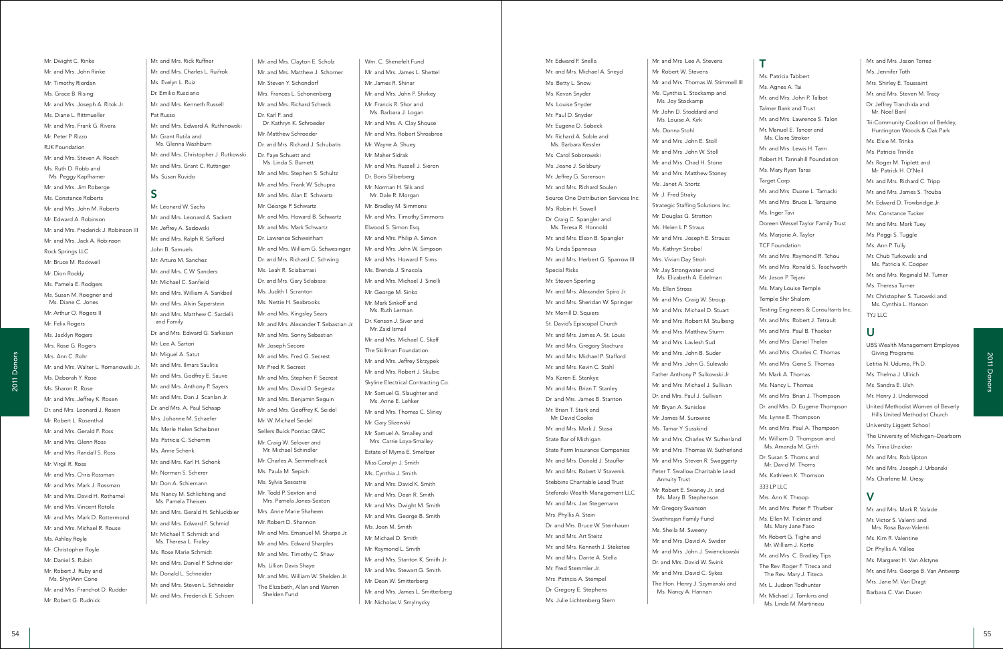Mr. and Mrs. Rick Ruffner Mr. and Mrs. Charles L. Ruifrok Ms. Evelyn L. Ruiz Dr. Emilio Rusciano Mr. and Mrs. Kenneth Russell Pat Russo Mr. and Mrs. Edward A. Ruthinowski Mr. Grant Rutila and Me Glanna Washburn Mr. and Mrs. Christopher J. Rutkowski Mr. and Mrs. Grant C. Ruttinger Ms. Susan Ruvido

# S

Mr. Leonard W. Sachs Mr. and Mrs. Leonard A. Sackett Mr. Jeffrey A. Sadowski Mr. and Mrs. Ralph R. Safford John B. Samuels Mr. Arturo M. Sanchez Mr. and Mrs. C.W. Sanders Mr. Michael C. Sanfield Mr. and Mrs. William A. Sankbeil Mr. and Mrs. Alvin Saperstein Mr. and Mrs. Matthew C. Sardelli and Family Dr. and Mrs. Edward G. Sarkisian Mr. Lee A. Sartori Mr. Miguel A. Satut Mr. and Mrs. Ilmars Saulitis Mr. and Mrs. Godfrey E. Sauve Mr. and Mrs. Anthony P. Sayers Mr. and Mrs. Dan J. Scanlan Jr. Dr. and Mrs. A. Paul Schaap Mrs. Johanne M. Schaefer Ms. Merle Helen Scheibner Ms. Patricia C. Schemm Ms. Anne Schenk Mr. and Mrs. Karl H. Schenk Mr. Norman S. Scherer Mr. Don A. Schiemann Ms. Nancy M. Schlichting and Ms. Pamela Theisen Mr. and Mrs. Gerald H. Schluckbier Mr. and Mrs. Edward F. Schmid Mr. Michael T. Schmidt and Ms. Theresa L. Fraley Ms. Rose Marie Schmidt Mr. and Mrs. Daniel P. Schneider Mr. Donald L. Schneider Mr. and Mrs. Steven L. Schneider Mr. and Mrs. Frederick E. Schoen

Mr. Dwight C. Rinke

Mr. Robert G. Rudnick

Wm. C. Shenefelt Fund Mr. and Mrs. James L. Shettel Mr. James R. Shinar Mr. and Mrs. John P. Shirkey Mr. Francis R. Shor and Ms. Barbara J. Logan Mr. and Mrs. A. Clay Shouse Mr. and Mrs. Robert Shrosbree Mr. Wayne A. Shuey Mr. Maher Sidrak Mr. and Mrs. Russell J. Sieron Dr. Boris Silberberg Mr. Norman H. Silk and Mr. Dale R. Morgan Mr. Bradley M. Simmons Mr. and Mrs. Timothy Simmons Elwood S. Simon Esq. Mr. and Mrs. Philip A. Simon Mr. and Mrs. John W. Simpson Mr. and Mrs. Howard F. Sims Ms. Brenda J. Sinacola Mr. and Mrs. Michael J. Sinelli Mr. George M. Sinko Mr. Mark Sinkoff and Me Ruth Larman Dr. Kenson J. Siver and Mr. Zaid Ismail Mr. and Mrs. Michael C. Skaff The Skillman Foundation Mr. and Mrs. Jeffrey Skrzypek Mr. and Mrs. Robert J. Skubic Skyline Electrical Contracting Co. Mr. Samuel G. Slaughter and Ms. Anne E. Lehker Mr. and Mrs. Thomas C. Sliney Mr. Gary Slizewski Mr. Samuel A. Smalley and Mrs. Carrie Loya-Smalley Estate of Myrna E. Smeltzer Miss Carolyn J. Smith Ms. Cynthia J. Smith Mr. and Mrs. David K. Smith Mr. and Mrs. Dean R. Smith Mr. and Mrs. Dwight M. Smith Mr. and Mrs. George B. Smith Ms. Joan M. Smith Mr. Michael D. Smith Mr. Raymond L. Smith Mr. and Mrs. Stanton K. Smith Jr. Mr. and Mrs. Stewart G. Smith Mr. Dean W. Smitterberg Mr. and Mrs. James L. Smitterberg Mr. Nicholas V. Smylnycky

Mr. and Mrs. Clayton E. Scholz Mr. and Mrs. Matthew J. Schomer Mr. Steven Y. Schondorf Mrs. Frances L. Schonenberg Mr. and Mrs. Richard Schreck Dr. Karl F. and Dr. Kathryn K. Schroeder Mr. Matthew Schroeder Dr. and Mrs. Richard J. Schubatis Dr. Faye Schuett and Ms. Linda S. Burnett Mr. and Mrs. Stephen S. Schultz Mr. and Mrs. Frank W. Schupra Mr. and Mrs. Alan E. Schwartz Mr. George P. Schwartz Mr. and Mrs. Howard B. Schwartz Mr. and Mrs. Mark Schwartz Dr. Lawrence Schweinhart Mr. and Mrs. William G. Schwesinger Dr. and Mrs. Richard C. Schwing Ms. Leah R. Sciabarrasi Dr. and Mrs. Gary Sclabassi Ms. Judith l. Scranton Ms. Nettie H. Seabrooks Mr. and Mrs. Kingsley Sears Mr. and Mrs. Alexander T. Sebastian Jr. Mr. and Mrs. Sonny Sebastian Mr. Joseph Secore Mr. and Mrs. Fred G. Secrest Mr. Fred R. Secrest Mr. and Mrs. Stephen F. Secrest Mr. and Mrs. David D. Segesta Mr. and Mrs. Benjamin Seguin Mr. and Mrs. Geoffrey K. Seidel Mr. W. Michael Seidel Sellers Buick Pontiac GMC Mr. Craig W. Selover and Mr. Michael Schindler Mr. Charles A. Semmelhack Ms. Paula M. Sepich Ms. Sylvia Sesostris Mr. Todd P. Sexton and Mrs. Pamela Jones-Sexton Mrs. Anne Marie Shaheen Mr. Robert D. Shannon Mr. and Mrs. Emanuel M. Sharpe Jr. Mr. and Mrs. Edward Sharples Mr. and Mrs. Timothy C. Shaw Ms. Lillian Davis Shaye Mr. and Mrs. William W. Shelden Jr. The Elizabeth, Allan and Warren Shelden Fund

<sup>54</sup> <sup>55</sup> 2011 Donors2011 Donors Mr. Edward F. Snella Mr. and Mrs. Michael A. Sneyd Ms. Betty L. Snow Ms. Kevan Snyder Ms. Louise Snyder Mr. Paul D. Snyder Mr. Eugene D. Sobeck Mr. Richard A. Soble and Ms. Barbara Kessler Ms. Carol Soborowski Ms. Jeane J. Solsbury Mr. Jeffrey G. Sorenson Mr. and Mrs. Richard Soulen Source One Distribution Services Inc. Ms. Robin H. Sowell Dr. Craig C. Spangler and Ms. Teresa R. Honnold Mr. and Mrs. Elson B. Spangler Ms. Linda Spannaus Mr. and Mrs. Herbert G. Sparrow III Special Risks Mr. Steven Sperling Mr. and Mrs. Alexander Spiro Jr. Mr. and Mrs. Sheridan W. Springer Mr. Merrill D. Squiers St. David's Episcopal Church Mr. and Mrs. James A. St. Louis Mr. and Mrs. Gregory Stachura Mr. and Mrs. Michael P. Stafford Mr. and Mrs. Kevin C. Stahl Ms. Karen E. Stankye Mr. and Mrs. Brian T. Stanley Dr. and Mrs. James B. Stanton Mr. Brian T. Stark and Mr. David Cooke Mr. and Mrs. Mark J. Stasa State Bar of Michigan State Farm Insurance Companies Mr. and Mrs. Donald J. Stauffer Mr. and Mrs. Robert V. Stavenik Stebbins Charitable Lead Trust Stefanski Wealth Management LLC Mr. and Mrs. Jan Stegemann Mrs. Phyllis A. Stein Dr. and Mrs. Bruce W. Steinhauer Mr. and Mrs. Art Steitz Mr. and Mrs. Kenneth J. Steketee Mr. and Mrs. Dante A. Stella Mr. Fred Stemmler Jr. Mrs. Patricia A. Stempel Dr. Gregory E. Stephens Ms. Julie Lichtenberg Stern

Mr. and Mrs. Lee A. Stevens Mr. Robert W. Stevens Mr. and Mrs. Thomas W. Stimmell III Ms. Cynthia L. Stockamp and Ms. Joy Stockamp Mr. John D. Stoddard and Ms. Louise A. Kirk Ms. Donna Stohl Mr. and Mrs. John E. Stoll Mr. and Mrs. John W. Stoll Mr. and Mrs. Chad H. Stone Mr. and Mrs. Matthew Stoney Ms. Janet A. Stortz Mr. J. Fred Straky Strategic Staffing Solutions Inc. Mr. Douglas G. Stratton Ms. Helen L.P. Straus Mr. and Mrs. Joseph E. Strauss Ms. Kathryn Strobel Mrs. Vivian Day Stroh Mr. Jay Strongwater and Ms. Elizabeth A. Edelman Ms. Ellen Stross Mr. and Mrs. Craig W. Stroup Mr. and Mrs. Michael D. Stuart Mr. and Mrs. Robert M. Stulberg Mr. and Mrs. Matthew Sturm Mr. and Mrs. Lavlesh Sud Mr. and Mrs. John B. Suder Mr. and Mrs. John G. Sulewski Father Anthony P. Sulkowski Jr. Mr. and Mrs. Michael J. Sullivan Dr. and Mrs. Paul J. Sullivan Mr. Bryan A. Sunisloe Mr. James M. Surowiec Ms. Tamar Y. Susskind Mr. and Mrs. Charles W. Sutherland Mr. and Mrs. Thomas W. Sutherland Mr. and Mrs. Steven R. Swaggerty Peter T. Swallow Charitable Lead Annuity Trust Mr. Robert E. Swaney Jr. and Ms. Mary B. Stephenson Mr. Gregory Swanson Swathirajan Family Fund Ms. Sheila M. Sweeny Mr. and Mrs. David A. Swider Mr. and Mrs. John J. Swienckowski Dr. and Mrs. David W. Swink Mr. and Mrs. David C. Sykes The Hon. Henry J. Szymanski and Ms. Nancy A. Hannan

T

Ms. Patricia Tabbert Ms. Agnes A. Tai Mr. and Mrs. John P. Talbot Talmer Bank and Trust Mr. and Mrs. Lawrence S. Talon Mr. Manuel E. Tancer and Ms. Claire Stroker Mr. and Mrs. Lewis H. Tann Robert H. Tannahill Foundation Ms. Mary Ryan Taras Target Corp. Mr. and Mrs. Duane L. Tarnacki Mr. and Mrs. Bruce L. Tarquino Ms. Inger Tavi Doreen Wessel Taylor Family Trust Ms. Marjorie A. Taylor TCF Foundation Mr. and Mrs. Raymond R. Tchou Mr. and Mrs. Ronald S. Teachworth Mr. Jason P. Tejani Ms. Mary Louise Temple Temple Shir Shalom Testing Engineers & Consultants Inc. Mr. and Mrs. Robert J. Tetrault Mr. and Mrs. Paul B. Thacker Mr. and Mrs. Daniel Thelen Mr. and Mrs. Charles C. Thomas Mr. and Mrs. Gene S. Thomas Mr. Mark A. Thomas Ms. Nancy L. Thomas Mr. and Mrs. Brian J. Thompson Dr. and Mrs. D. Eugene Thompson Ms. Lynne E. Thompson Mr. and Mrs. Paul A. Thompson Mr. William D. Thompson and Ms. Amanda M. Girth Dr. Susan S. Thoms and Mr. David M. Thoms Ms. Kathleen K. Thomson 333 LP LLC Mrs. Ann K. Throop Mr. and Mrs. Peter P. Thurber Ms. Ellen M. Tickner and Ms. Mary Jane Faso Mr. Robert G. Tighe and Mr. William J. Korte Mr. and Mrs. C. Bradley Tips The Rev. Roger F. Titeca and The Rev. Mary J. Titeca Mr. L. Judson Todhunter Mr. Michael J. Tomkins and Ms. Linda M. Martineau

Mr. and Mrs. Jason Torrez

Ms. Jennifer Toth Mrs. Shirley E. Toussaint Mr. and Mrs. Steven M. Tracy Dr. Jeffrey Tranchida and Mr. Noel Baril Tri-Community Coalition of Berkley, Huntington Woods & Oak Park Ms. Elsie M. Trinka Ms. Patricia Trinkle Mr. Roger M. Triplett and Mr. Patrick H. O'Neil Mr. and Mrs. Richard C. Tripp Mr. and Mrs. James S. Trouba Mr. Edward D. Trowbridge Jr. Mrs. Constance Tucker Mr. and Mrs. Mark Tuey Ms. Peggi S. Tuggle Ms. Ann P. Tully Mr. Chub Turkowski and Ms. Patricia K. Cooper Mr. and Mrs. Reginald M. Turner Ms. Theresa Turner Mr. Christopher S. Turowski and Ms. Cynthia L. Hanson TYJ LLC

### U

UBS Wealth Management Employee Giving Programs Letitia N. Uduma, Ph.D. Ms. Thelma J. Ullrich Ms. Sandra E. Ulsh Mr. Henry J. Underwood United Methodist Women of Beverly Hills United Methodist Church University Liggett School The University of Michigan–Dearborn Ms. Trina Unzicker Mr. and Mrs. Rob Upton Mr. and Mrs. Joseph J. Urbanski Ms. Charlene M. Uresy V

Mr. and Mrs. Mark R. Valade Mr. Victor S. Valenti and Mrs. Rosa Bava-Valenti Ms. Kim R. Valentine Dr. Phyllis A. Vallee Ms. Margaret H. Van Alstyne Mr. and Mrs. George B. Van Antwerp Mrs. Jane M. Van Dragt Barbara C. Van Dusen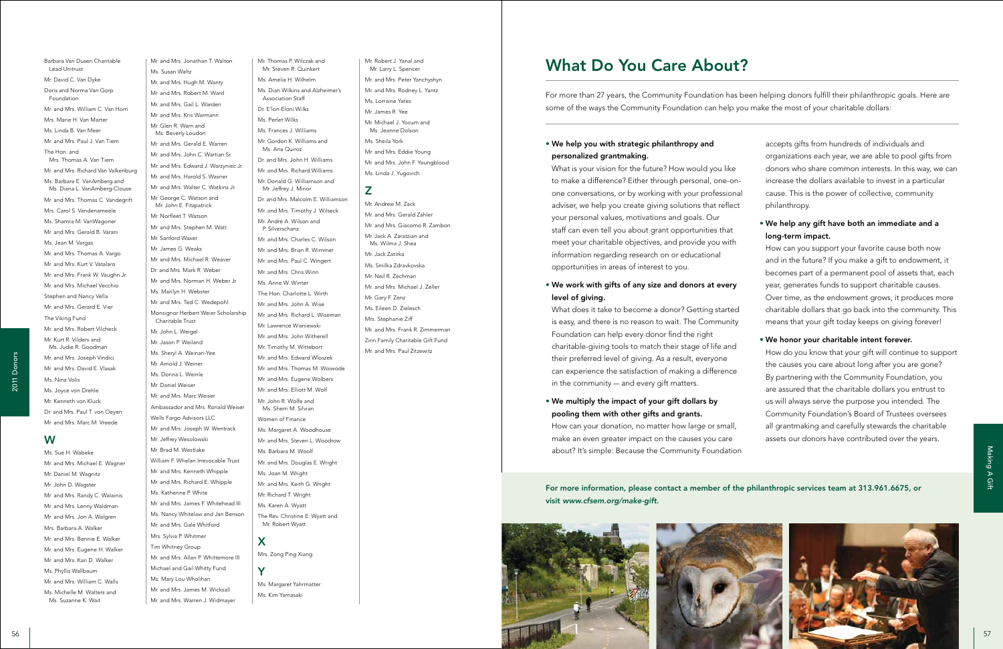<sup>56</sup> <sup>57</sup> 2011 Donors Mr. and Mrs. Jonathan T. Walton Ms. Susan Waltz Mr. and Mrs. Hugh M. Wanty Mr. and Mrs. Robert M. Ward Mr. and Mrs. Gail L. Warden Mr. and Mrs. Kris Warmann Mr. Glen R. Warn and Ms. Beverly Loudon Mr. and Mrs. Gerald E. Warren Mr. and Mrs. John C. Wartian Sr. Mr. and Mrs. Edward J. Warzyniec Jr. Mr. and Mrs. Harold S. Wasner Mr. and Mrs. Walter C. Watkins Jr. Mr. George C. Watson and Mr. John E. Fitzpatrick Mr. Norfleet T. Watson Mr. and Mrs. Stephen M. Watt Mr. Sanford Waxer Mr. James G. Weaks Mr. and Mrs. Michael R. Weaver Dr. and Mrs. Mark R. Weber Mr. and Mrs. Norman H. Weber Jr. Ms. Marilyn H. Webster Mr. and Mrs. Ted C. Wedepohl Monsignor Herbert Weier Scholarship Charitable Trust Mr. John L. Weigel Mr. Jason P. Weiland Ms. Sheryl A. Weinan-Yee Mr. Arnold J. Weiner Ms. Donna L. Weinle Mr. Daniel Weiser Mr. and Mrs. Marc Weiser Ambassador and Mrs. Ronald Weiser Wells Fargo Advisors LLC Mr. and Mrs. Joseph W. Wentrack Mr. Jeffrey Wesolowski Mr. Brad M. Westlake William F. Whelan Irrevocable Trust Mr. and Mrs. Kenneth Whipple Mr. and Mrs. Richard E. Whipple Ms. Katherine P. White Mr. and Mrs. James F. Whitehead III Ms. Nancy Whitelaw and Jan Benson Mr. and Mrs. Gale Whitford Mrs. Sylvia P. Whitmer Tim Whitney Group Mr. and Mrs. Allan P. Whittemore III Michael and Gail Whitty Fund Ms. Mary Lou Wholihan Mr. and Mrs. James M. Wicksall Mr. and Mrs. Warren J. Widmayer

Barbara Van Dusen Charitable

Lead Unitrust Mr. David C. Van Dyke Doris and Norma Van Gorp

Foundation

Mr. and Mrs. William C. Van Horn

Mrs. Marie H. Van Marter Ms. Linda B. Van Meer Mr. and Mrs. Paul J. Van Tiem The Hon. and Mrs. Thomas A. Van Tiem Mr. and Mrs. Richard Van Valkenburg Ms. Barbara E. VanAmberg and Ms. Diana L. VanAmberg-Clouse Mr. and Mrs. Thomas C. Vandegrift Mrs. Carol S. Vandenameele Ms. Shamra M. VanWagoner Mr. and Mrs. Gerald B. Varani Ms. Jean M. Vargas Mr. and Mrs. Thomas A. Vargo Mr. and Mrs. Kurt V. Vatalaro Mr. and Mrs. Frank W. Vaughn Jr. Mr. and Mrs. Michael Vecchio Stephen and Nancy Vella Mr. and Mrs. Gerard E. Vier The Viking Fund Mr. and Mrs. Robert Vilcheck Mr. Kurt R. Vilders and Ms. Judie R. Goodman Mr. and Mrs. Joseph Vindici Mr. and Mrs. David E. Vlasak Ms. Nina Volis Ms. Joyce von Drehle Mr. Kenneth von Kluck Dr. and Mrs. Paul T. von Oeyen Mr. and Mrs. Marc M. Vreede W Ms. Sue H. Wabeke Mr. and Mrs. Michael E. Wagner Mr. Daniel M. Wagnitz Mr. John D. Wagster Mr. and Mrs. Randy C. Walainis Mr. and Mrs. Lenny Waldman Mr. and Mrs. Jon A. Walgren Mrs. Barbara A. Walker Mr. and Mrs. Bennie E. Walker Mr. and Mrs. Eugene H. Walker Mr. and Mrs. Kari D. Walker Ms. Phyllis Wallbaum Mr. and Mrs. William C. Walls Ms. Michelle M. Walters and Ms. Suzanne K. Wait

Mr. Thomas P. Wilczak and Mr. Steven R. Quinkert Ms. Amelia H. Wilhelm Ms. Dian Wilkins and Alzheimer's Association Staff Dr. E'lon-Eloni Wilks Ms. Perlet Wilks Ms. Frances J. Williams Mr. Gordon K. Williams and Ms. Ana Quiroz Dr. and Mrs. John H. Williams Mr. and Mrs. Richard Williams Mr. Donald G. Williamson and Mr. Jeffrey J. Minor Dr. and Mrs. Malcolm E. Williamson Mr. and Mrs. Timothy J. Wilseck Mr. André A. Wilson and P. Silverschanz Mr. and Mrs. Charles C. Wilson Mr. and Mrs. Brian R. Wimmer Mr. and Mrs. Paul C. Wingert Mr. and Mrs. Chris Winn Ms. Anne W. Winter The Hon. Charlotte L. Wirth Mr. and Mrs. John A. Wise Mr. and Mrs. Richard L. Wiseman Mr. Lawrence Wisniewski Mr. and Mrs. John Witherell Mr. Timothy M. Wittebort Mr. and Mrs. Edward Wloszek Mr. and Mrs. Thomas M. Woiwode Mr. and Mrs. Eugene Wolbers Mr. and Mrs. Elliott M. Wolf Mr. John R. Wolfe and Ms. Sherri M. Silvian Women of Finance Ms. Margaret A. Woodhouse Mr. and Mrs. Steven L. Woodrow Ms. Barbara M. Woolf Mr. and Mrs. Douglas E. Wright Ms. Joan M. Wright Mr. and Mrs. Keith G. Wright Mr. Richard T. Wright Ms. Karen A. Wyatt The Rev. Christine E. Wyatt and Mr. Robert Wyatt

# X

Mrs. Zong Ping Xiang

### Y

Ms. Margaret Yahrmatter Ms. Kim Yamasaki

Mr. Robert J. Yanal and Mr. Larry L. Spencer Mr. and Mrs. Peter Yanchyshyn Mr. and Mrs. Rodney L. Yantz Ms. Lorraine Yates Mr. James R. Yee Mr. Michael J. Yocum and Ms. Jeanne Dolson Ms. Sheila York Mr. and Mrs. Eddie Young Mr. and Mrs. John F. Youngblood Ms. Linda J. Yugovich Z Mr. Andrew M. Zack Mr. and Mrs. Gerald Zahler Mr. and Mrs. Giacomo R. Zambon Mr. Jack A. Zaratzian and Ms. Wilma J. Shea Mr. Jack Zatirka Ms. Smilka Zdravkovska Mr. Neil R. Zechman Mr. and Mrs. Michael J. Zeller Mr. Gary F. Zenz Ms. Eileen D. Zielesch Mrs. Stephanie Ziff

Mr. and Mrs. Frank R. Zimmerman Zinn Family Charitable Gift Fund Mr. and Mrs. Paul Zitzewitz

### • We help you with strategic philanthropy and personalized grantmaking.

What is your vision for the future? How would you like to make a difference? Either through personal, one-onone conversations, or by working with your professional adviser, we help you create giving solutions that reflect your personal values, motivations and goals. Our staff can even tell you about grant opportunities that meet your charitable objectives, and provide you with information regarding research on or educational opportunities in areas of interest to you.

### • We work with gifts of any size and donors at every level of giving.

What does it take to become a donor? Getting started is easy, and there is no reason to wait. The Community Foundation can help every donor find the right charitable-giving tools to match their stage of life and their preferred level of giving. As a result, everyone can experience the satisfaction of making a difference in the community — and every gift matters.

• We multiply the impact of your gift dollars by pooling them with other gifts and grants.

How can your donation, no matter how large or small, make an even greater impact on the causes you care about? It's simple: Because the Community Foundation

# What Do You Care About?

accepts gifts from hundreds of individuals and organizations each year, we are able to pool gifts from donors who share common interests. In this way, we can increase the dollars available to invest in a particular cause. This is the power of collective, community philanthropy.

• We help any gift have both an immediate and a long-term impact.

How can you support your favorite cause both now and in the future? If you make a gift to endowment, it becomes part of a permanent pool of assets that, each year, generates funds to support charitable causes. Over time, as the endowment grows, it produces more charitable dollars that go back into the community. This means that your gift today keeps on giving forever!

• We honor your charitable intent forever.

How do you know that your gift will continue to support the causes you care about long after you are gone? By partnering with the Community Foundation, you are assured that the charitable dollars you entrust to us will always serve the purpose you intended. The Community Foundation's Board of Trustees oversees all grantmaking and carefully stewards the charitable assets our donors have contributed over the years.



For more than 27 years, the Community Foundation has been helping donors fulfill their philanthropic goals. Here are some of the ways the Community Foundation can help you make the most of your charitable dollars:

For more information, please contact a member of the philanthropic services team at 313.961.6675, or visit *www.cfsem.org/make-gift.*



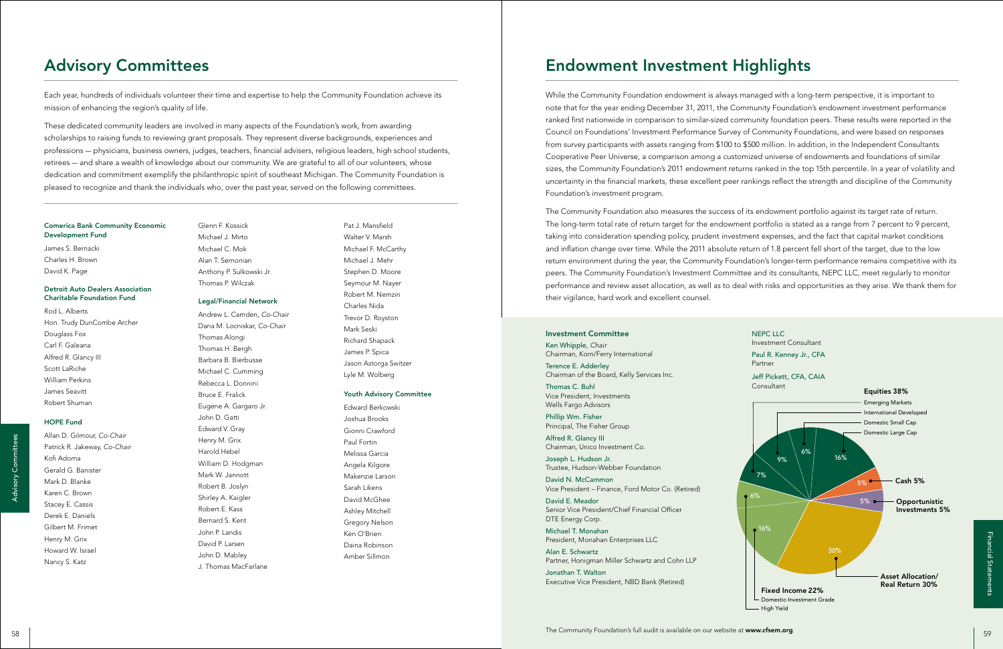### Comerica Bank Community Economic Development Fund

James S. Bernacki Charles H. Brown David K. Page

### Detroit Auto Dealers Association Charitable Foundation Fund

Rod L. Alberts Hon. Trudy DunCombe Archer Douglass Fox Carl F. Galeana Alfred R. Glancy III Scott LaRiche William Perkins James Seavitt Robert Shuman

### HOPE Fund

Allan D. Gilmour, *Co-Chair* Patrick R. Jakeway, *Co-Chair* Kofi Adoma Gerald G. Banister Mark D. Blanke Karen C. Brown Stacey E. Cassis Derek E. Daniels Gilbert M. Frimet Henry M. Grix Howard W. Israel Nancy S. Katz

Pat J. Mansfield Walter V. Marsh Michael F. McCarthy Michael J. Mehr Stephen D. Moore Seymour M. Nayer Robert M. Nemzin Charles Nida Trevor D. Royston Mark Seski Richard Shapack James P. Spica Jason Astorga Switzer Lyle M. Wolberg

### Youth Advisory Committee

Edward Berkowski Joshua Brooks Gionni Crawford Paul Fortin Melissa Garcia Angela Kilgore Makenzie Larson Sarah Likens David McGhee Ashley Mitchell Gregory Nelson Ken O'Brien Daina Robinson Amber Sillmon

### Glenn F. Kossick Michael J. Mirto Michael C. Mok Alan T. Semonian Anthony P. Sulkowski Jr. Thomas P. Wilczak

### Legal/Financial Network

Andrew L. Camden, *Co-Chair* Dana M. Locniskar, *Co-Chair* Thomas Alongi Thomas H. Bergh Barbara B. Bierbusse Michael C. Cumming Rebecca L. Donnini Bruce E. Fralick Eugene A. Gargaro Jr. John D. Gatti Edward V. Gray Henry M. Grix Harold Hebel William D. Hodgman Mark W. Jannott Robert B. Joslyn Shirley A. Kaigler Robert E. Kass Bernard S. Kent John P. Landis David P. Larsen John D. Mabley J. Thomas MacFarlane

Each year, hundreds of individuals volunteer their time and expertise to help the Community Foundation achieve its mission of enhancing the region's quality of life.

These dedicated community leaders are involved in many aspects of the Foundation's work, from awarding scholarships to raising funds to reviewing grant proposals. They represent diverse backgrounds, experiences and professions — physicians, business owners, judges, teachers, financial advisers, religious leaders, high school students, retirees — and share a wealth of knowledge about our community. We are grateful to all of our volunteers, whose dedication and commitment exemplify the philanthropic spirit of southeast Michigan. The Community Foundation is pleased to recognize and thank the individuals who, over the past year, served on the following committees.

# Advisory Committees



While the Community Foundation endowment is always managed with a long-term perspective, it is important to note that for the year ending December 31, 2011, the Community Foundation's endowment investment performance ranked first nationwide in comparison to similar-sized community foundation peers. These results were reported in the Council on Foundations' Investment Performance Survey of Community Foundations, and were based on responses from survey participants with assets ranging from \$100 to \$500 million. In addition, in the Independent Consultants Cooperative Peer Universe, a comparison among a customized universe of endowments and foundations of similar sizes, the Community Foundation's 2011 endowment returns ranked in the top 15th percentile. In a year of volatility and uncertainty in the financial markets, these excellent peer rankings reflect the strength and discipline of the Community Foundation's investment program.

The Community Foundation also measures the success of its endowment portfolio against its target rate of return. The long-term total rate of return target for the endowment portfolio is stated as a range from 7 percent to 9 percent, taking into consideration spending policy, prudent investment expenses, and the fact that capital market conditions and inflation change over time. While the 2011 absolute return of 1.8 percent fell short of the target, due to the low return environment during the year, the Community Foundation's longer-term performance remains competitive with its peers. The Community Foundation's Investment Committee and its consultants, NEPC LLC, meet regularly to monitor performance and review asset allocation, as well as to deal with risks and opportunities as they arise. We thank them for their vigilance, hard work and excellent counsel.

# Endowment Investment Highlights

### Investment Committee

Ken Whipple, *Chair* Chairman, Korn/Ferry International

Terence E. Adderley Chairman of the Board, Kelly Services Inc.

Thomas C. Buhl Vice President, Investments Wells Fargo Advisors

Phillip Wm. Fisher Principal, The Fisher Group

Alfred R. Glancy III Chairman, Unico Investment Co.

Joseph L. Hudson Jr. Trustee, Hudson-Webber Foundation

David N. McCammon Vice President – Finance, Ford Motor Co. (Retired)

David E. Meador Senior Vice President/Chief Financial Officer DTE Energy Corp.

Michael T. Monahan President, Monahan Enterprises LLC

Alan E. Schwartz Partner, Honigman Miller Schwartz and Cohn LLP

Jonathan T. Walton Executive Vice President, NBD Bank (Retired)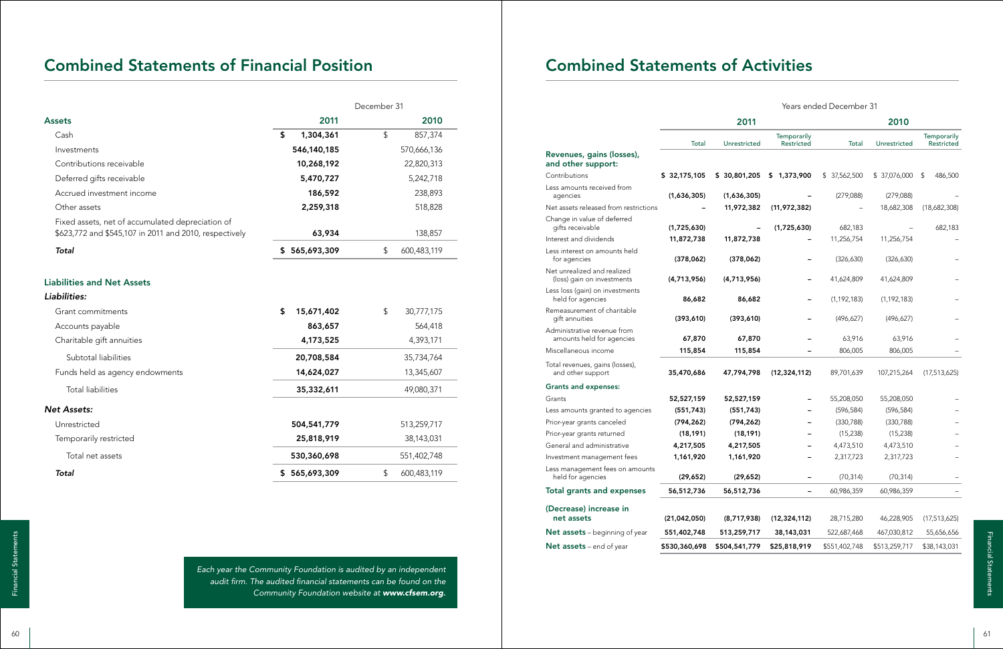# Combined Statements of Financial Position **Combined Statements of Activities**

|                                                                                                            | December 31      |                          |  |  |
|------------------------------------------------------------------------------------------------------------|------------------|--------------------------|--|--|
| <b>Assets</b>                                                                                              | 2011             | 2010                     |  |  |
| Cash                                                                                                       | \$<br>1,304,361  | $\mathsf{\$}$<br>857,374 |  |  |
| Investments                                                                                                | 546,140,185      | 570,666,136              |  |  |
| Contributions receivable                                                                                   | 10,268,192       | 22,820,313               |  |  |
| Deferred gifts receivable                                                                                  | 5,470,727        | 5,242,718                |  |  |
| Accrued investment income                                                                                  | 186,592          | 238,893                  |  |  |
| Other assets                                                                                               | 2,259,318        | 518,828                  |  |  |
| Fixed assets, net of accumulated depreciation of<br>\$623,772 and \$545,107 in 2011 and 2010, respectively | 63,934           | 138,857                  |  |  |
| <b>Total</b>                                                                                               | \$565,693,309    | 600,483,119<br>\$        |  |  |
| <b>Liabilities and Net Assets</b><br>Liabilities:                                                          |                  |                          |  |  |
| Grant commitments                                                                                          | \$<br>15,671,402 | 30,777,175<br>\$         |  |  |
| Accounts payable                                                                                           | 863,657          | 564,418                  |  |  |
| Charitable gift annuities                                                                                  | 4,173,525        | 4,393,171                |  |  |
| Subtotal liabilities                                                                                       | 20,708,584       | 35,734,764               |  |  |
| Funds held as agency endowments                                                                            | 14,624,027       | 13,345,607               |  |  |
| <b>Total liabilities</b>                                                                                   | 35,332,611       | 49,080,371               |  |  |
| <b>Net Assets:</b>                                                                                         |                  |                          |  |  |
| Unrestricted                                                                                               | 504,541,779      | 513,259,717              |  |  |
| Temporarily restricted                                                                                     | 25,818,919       | 38,143,031               |  |  |
| Total net assets                                                                                           | 530,360,698      | 551,402,748              |  |  |
| <b>Total</b>                                                                                               | \$565,693,309    | \$<br>600,483,119        |  |  |

Financial Statement and firm. The audited financial statements can be found on the<br>
Business and of vear and for the community Foundation is audited by an independent<br>
Business and of vear and foundation website at www.cf *Each year the Community Foundation is audited by an independent audit firm. The audited financial statements can be found on the Community Foundation website at www.cfsem.org.*

|                                                           | 2011           |               |                           | 2010          |               |                                  |
|-----------------------------------------------------------|----------------|---------------|---------------------------|---------------|---------------|----------------------------------|
|                                                           | Total          | Unrestricted  | Temporarily<br>Restricted | Total         | Unrestricted  | Temporarily<br><b>Restricted</b> |
| Revenues, gains (losses),<br>and other support:           |                |               |                           |               |               |                                  |
| Contributions                                             | \$32,175,105   | \$30,801,205  | \$1,373,900               | \$37,562,500  | \$37,076,000  | 486,500<br>\$                    |
| Less amounts received from<br>agencies                    | (1,636,305)    | (1,636,305)   |                           | (279,088)     | (279,088)     |                                  |
| Net assets released from restrictions                     |                | 11,972,382    | (11, 972, 382)            |               | 18,682,308    | (18,682,308)                     |
| Change in value of deferred<br>gifts receivable           | (1,725,630)    |               | (1,725,630)               | 682,183       |               | 682,183                          |
| Interest and dividends                                    | 11,872,738     | 11,872,738    |                           | 11,256,754    | 11,256,754    |                                  |
| Less interest on amounts held<br>for agencies             | (378,062)      | (378,062)     |                           | (326, 630)    | (326, 630)    |                                  |
| Net unrealized and realized<br>(loss) gain on investments | (4,713,956)    | (4,713,956)   |                           | 41,624,809    | 41,624,809    |                                  |
| Less loss (gain) on investments<br>held for agencies      | 86,682         | 86,682        |                           | (1, 192, 183) | (1, 192, 183) |                                  |
| Remeasurement of charitable<br>gift annuities             | (393, 610)     | (393, 610)    |                           | (496, 627)    | (496, 627)    |                                  |
| Administrative revenue from<br>amounts held for agencies  | 67,870         | 67,870        |                           | 63,916        | 63,916        |                                  |
| Miscellaneous income                                      | 115,854        | 115,854       |                           | 806,005       | 806,005       |                                  |
| Total revenues, gains (losses),<br>and other support      | 35,470,686     | 47,794,798    | (12, 324, 112)            | 89,701,639    | 107,215,264   | (17,513,625)                     |
| <b>Grants and expenses:</b>                               |                |               |                           |               |               |                                  |
| Grants                                                    | 52,527,159     | 52,527,159    |                           | 55,208,050    | 55,208,050    |                                  |
| Less amounts granted to agencies                          | (551, 743)     | (551, 743)    |                           | (596, 584)    | (596, 584)    |                                  |
| Prior-year grants canceled                                | (794, 262)     | (794, 262)    |                           | (330, 788)    | (330, 788)    |                                  |
| Prior-year grants returned                                | (18, 191)      | (18, 191)     |                           | (15, 238)     | (15, 238)     |                                  |
| General and administrative                                | 4,217,505      | 4,217,505     |                           | 4,473,510     | 4,473,510     |                                  |
| Investment management fees                                | 1,161,920      | 1,161,920     |                           | 2,317,723     | 2,317,723     |                                  |
| Less management fees on amounts<br>held for agencies      | (29, 652)      | (29, 652)     |                           | (70, 314)     | (70, 314)     |                                  |
| <b>Total grants and expenses</b>                          | 56,512,736     | 56,512,736    |                           | 60,986,359    | 60,986,359    |                                  |
| (Decrease) increase in<br>net assets                      | (21, 042, 050) | (8,717,938)   | (12, 324, 112)            | 28,715,280    | 46,228,905    | (17, 513, 625)                   |
| Net assets - beginning of year                            | 551,402,748    | 513,259,717   | 38,143,031                | 522,687,468   | 467,030,812   | 55,656,656                       |
| Net assets - end of year                                  | \$530,360,698  | \$504,541,779 | \$25,818,919              | \$551,402,748 | \$513,259,717 | \$38,143,031                     |